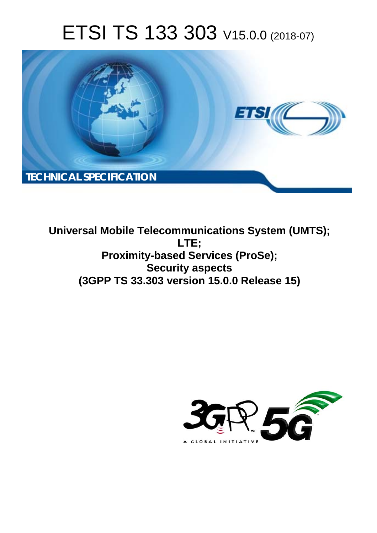# ETSI TS 133 303 V15.0.0 (2018-07)



**Universal Mobile Telecommunications System (UMTS); LTE; Proximity-based Services (ProSe); Security aspects (3GPP TS 33.303 version 15.0.0 Release 15)** 

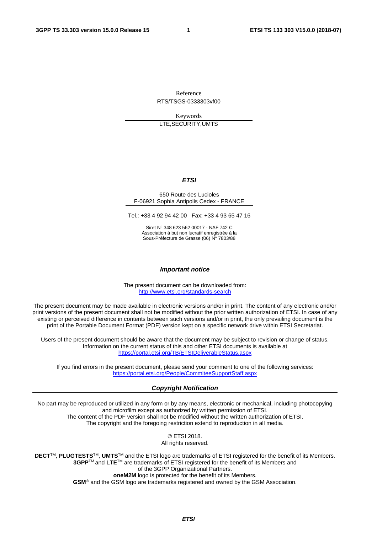Reference

RTS/TSGS-0333303vf00

Keywords LTE,SECURITY,UMTS

#### *ETSI*

#### 650 Route des Lucioles F-06921 Sophia Antipolis Cedex - FRANCE

Tel.: +33 4 92 94 42 00 Fax: +33 4 93 65 47 16

Siret N° 348 623 562 00017 - NAF 742 C Association à but non lucratif enregistrée à la Sous-Préfecture de Grasse (06) N° 7803/88

#### *Important notice*

The present document can be downloaded from: <http://www.etsi.org/standards-search>

The present document may be made available in electronic versions and/or in print. The content of any electronic and/or print versions of the present document shall not be modified without the prior written authorization of ETSI. In case of any existing or perceived difference in contents between such versions and/or in print, the only prevailing document is the print of the Portable Document Format (PDF) version kept on a specific network drive within ETSI Secretariat.

Users of the present document should be aware that the document may be subject to revision or change of status. Information on the current status of this and other ETSI documents is available at <https://portal.etsi.org/TB/ETSIDeliverableStatus.aspx>

If you find errors in the present document, please send your comment to one of the following services: <https://portal.etsi.org/People/CommiteeSupportStaff.aspx>

#### *Copyright Notification*

No part may be reproduced or utilized in any form or by any means, electronic or mechanical, including photocopying and microfilm except as authorized by written permission of ETSI. The content of the PDF version shall not be modified without the written authorization of ETSI. The copyright and the foregoing restriction extend to reproduction in all media.

> © ETSI 2018. All rights reserved.

**DECT**TM, **PLUGTESTS**TM, **UMTS**TM and the ETSI logo are trademarks of ETSI registered for the benefit of its Members. **3GPP**TM and **LTE**TM are trademarks of ETSI registered for the benefit of its Members and of the 3GPP Organizational Partners. **oneM2M** logo is protected for the benefit of its Members.

**GSM**® and the GSM logo are trademarks registered and owned by the GSM Association.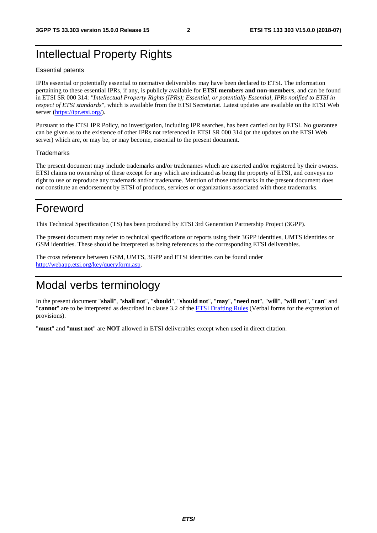## Intellectual Property Rights

#### Essential patents

IPRs essential or potentially essential to normative deliverables may have been declared to ETSI. The information pertaining to these essential IPRs, if any, is publicly available for **ETSI members and non-members**, and can be found in ETSI SR 000 314: *"Intellectual Property Rights (IPRs); Essential, or potentially Essential, IPRs notified to ETSI in respect of ETSI standards"*, which is available from the ETSI Secretariat. Latest updates are available on the ETSI Web server ([https://ipr.etsi.org/\)](https://ipr.etsi.org/).

Pursuant to the ETSI IPR Policy, no investigation, including IPR searches, has been carried out by ETSI. No guarantee can be given as to the existence of other IPRs not referenced in ETSI SR 000 314 (or the updates on the ETSI Web server) which are, or may be, or may become, essential to the present document.

#### **Trademarks**

The present document may include trademarks and/or tradenames which are asserted and/or registered by their owners. ETSI claims no ownership of these except for any which are indicated as being the property of ETSI, and conveys no right to use or reproduce any trademark and/or tradename. Mention of those trademarks in the present document does not constitute an endorsement by ETSI of products, services or organizations associated with those trademarks.

## Foreword

This Technical Specification (TS) has been produced by ETSI 3rd Generation Partnership Project (3GPP).

The present document may refer to technical specifications or reports using their 3GPP identities, UMTS identities or GSM identities. These should be interpreted as being references to the corresponding ETSI deliverables.

The cross reference between GSM, UMTS, 3GPP and ETSI identities can be found under [http://webapp.etsi.org/key/queryform.asp.](http://webapp.etsi.org/key/queryform.asp)

## Modal verbs terminology

In the present document "**shall**", "**shall not**", "**should**", "**should not**", "**may**", "**need not**", "**will**", "**will not**", "**can**" and "**cannot**" are to be interpreted as described in clause 3.2 of the [ETSI Drafting Rules](https://portal.etsi.org/Services/editHelp!/Howtostart/ETSIDraftingRules.aspx) (Verbal forms for the expression of provisions).

"**must**" and "**must not**" are **NOT** allowed in ETSI deliverables except when used in direct citation.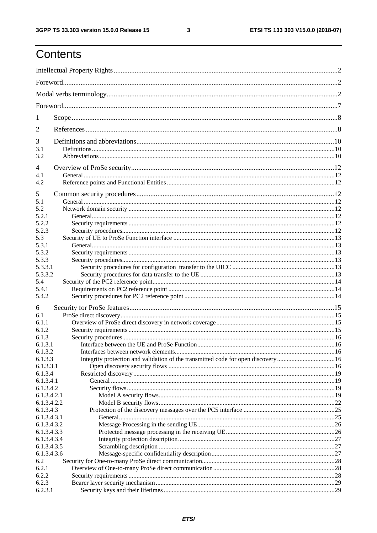## Contents

| $\mathbf{I}$             |                                                                                    |  |  |
|--------------------------|------------------------------------------------------------------------------------|--|--|
| 2                        |                                                                                    |  |  |
| 3                        |                                                                                    |  |  |
| 3.1<br>3.2               |                                                                                    |  |  |
| 4                        |                                                                                    |  |  |
| 4.1                      |                                                                                    |  |  |
| 4.2                      |                                                                                    |  |  |
| 5                        |                                                                                    |  |  |
| 5.1                      |                                                                                    |  |  |
| 5.2                      |                                                                                    |  |  |
| 5.2.1                    |                                                                                    |  |  |
| 5.2.2                    |                                                                                    |  |  |
| 5.2.3<br>5.3             |                                                                                    |  |  |
| 5.3.1                    |                                                                                    |  |  |
| 5.3.2                    |                                                                                    |  |  |
| 5.3.3                    |                                                                                    |  |  |
| 5.3.3.1                  |                                                                                    |  |  |
| 5.3.3.2                  |                                                                                    |  |  |
| 5.4                      |                                                                                    |  |  |
| 5.4.1                    |                                                                                    |  |  |
| 5.4.2                    |                                                                                    |  |  |
| 6                        |                                                                                    |  |  |
| 6.1                      |                                                                                    |  |  |
| 6.1.1                    |                                                                                    |  |  |
| 6.1.2                    |                                                                                    |  |  |
| 6.1.3<br>6.1.3.1         |                                                                                    |  |  |
| 6.1.3.2                  |                                                                                    |  |  |
| 6.1.3.3                  | Integrity protection and validation of the transmitted code for open discovery  16 |  |  |
| 6.1.3.3.1                |                                                                                    |  |  |
| 6.1.3.4                  |                                                                                    |  |  |
| 6.1.3.4.1                |                                                                                    |  |  |
| 6.1.3.4.2                |                                                                                    |  |  |
| 6.1.3.4.2.1              |                                                                                    |  |  |
| 6.1.3.4.2.2<br>6.1.3.4.3 |                                                                                    |  |  |
| 6.1.3.4.3.1              |                                                                                    |  |  |
| 6.1.3.4.3.2              |                                                                                    |  |  |
| 6.1.3.4.3.3              |                                                                                    |  |  |
| 6.1.3.4.3.4              |                                                                                    |  |  |
| 6.1.3.4.3.5              |                                                                                    |  |  |
| 6.1.3.4.3.6              |                                                                                    |  |  |
| 6.2                      |                                                                                    |  |  |
| 6.2.1<br>6.2.2           |                                                                                    |  |  |
| 6.2.3                    |                                                                                    |  |  |
| 6.2.3.1                  |                                                                                    |  |  |
|                          |                                                                                    |  |  |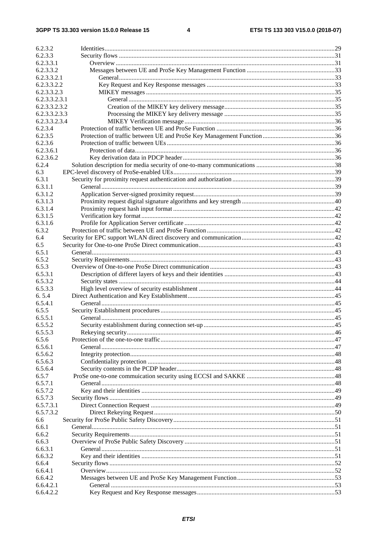| 6.2.3.2       |  |
|---------------|--|
| 6.2.3.3       |  |
| 6.2.3.3.1     |  |
| 6.2.3.3.2     |  |
| 6.2.3.3.2.1   |  |
| 6.2.3.3.2.2   |  |
| 6.2.3.3.2.3   |  |
| 6.2.3.3.2.3.1 |  |
| 6.2.3.3.2.3.2 |  |
| 6.2.3.3.2.3.3 |  |
| 6.2.3.3.2.3.4 |  |
| 6.2.3.4       |  |
| 6.2.3.5       |  |
| 6.2.3.6       |  |
| 6.2.3.6.1     |  |
| 6.2.3.6.2     |  |
|               |  |
| 6.2.4         |  |
| 6.3           |  |
| 6.3.1         |  |
| 6.3.1.1       |  |
| 6.3.1.2       |  |
| 6.3.1.3       |  |
| 6.3.1.4       |  |
| 6.3.1.5       |  |
| 6.3.1.6       |  |
| 6.3.2         |  |
| 6.4           |  |
| 6.5           |  |
| 6.5.1         |  |
| 6.5.2         |  |
| 6.5.3         |  |
| 6.5.3.1       |  |
| 6.5.3.2       |  |
| 6.5.3.3       |  |
| 6.5.4         |  |
| 6.5.4.1       |  |
| 6.5.5         |  |
| 6.5.5.1       |  |
| 6.5.5.2       |  |
| 6.5.5.3       |  |
| 6.5.6         |  |
| 6.5.6.1       |  |
| 6.5.6.2       |  |
| 6.5.6.3       |  |
| 6.5.6.4       |  |
| 6.5.7         |  |
| 6.5.7.1       |  |
| 6.5.7.2       |  |
| 6.5.7.3       |  |
| 6.5.7.3.1     |  |
| 6.5.7.3.2     |  |
| 6.6           |  |
| 6.6.1         |  |
| 6.6.2         |  |
| 6.6.3         |  |
| 6.6.3.1       |  |
| 6.6.3.2       |  |
|               |  |
| 6.6.4         |  |
| 6.6.4.1       |  |
| 6.6.4.2       |  |
| 6.6.4.2.1     |  |
| 6.6.4.2.2     |  |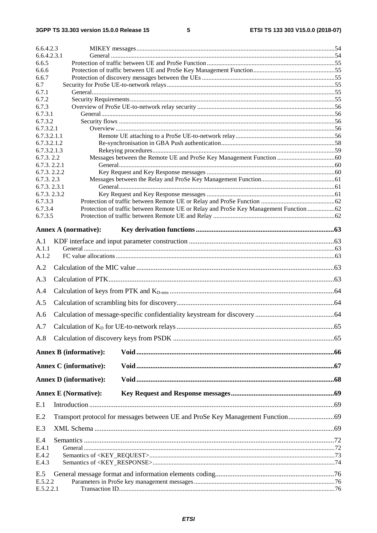| 6.6.4.2.3                  |                                                                                        |  |
|----------------------------|----------------------------------------------------------------------------------------|--|
| 6.6.4.2.3.1<br>6.6.5       |                                                                                        |  |
| 6.6.6                      |                                                                                        |  |
| 6.6.7                      |                                                                                        |  |
| 6.7                        |                                                                                        |  |
| 6.7.1                      |                                                                                        |  |
| 6.7.2<br>6.7.3             |                                                                                        |  |
| 6.7.3.1                    |                                                                                        |  |
| 6.7.3.2                    |                                                                                        |  |
| 6.7.3.2.1                  |                                                                                        |  |
| 6.7.3.2.1.1                |                                                                                        |  |
| 6.7.3.2.1.2<br>6.7.3.2.1.3 |                                                                                        |  |
| 6.7.3.2.2                  |                                                                                        |  |
| 6.7.3.2.2.1                |                                                                                        |  |
| 6.7.3.2.2.2                |                                                                                        |  |
| 6.7.3.2.3                  |                                                                                        |  |
| 6.7.3.2.3.1                |                                                                                        |  |
| 6.7.3.2.3.2<br>6.7.3.3     |                                                                                        |  |
| 6.7.3.4                    | Protection of traffic between Remote UE or Relay and ProSe Key Management Function  62 |  |
| 6.7.3.5                    |                                                                                        |  |
|                            | <b>Annex A (normative):</b>                                                            |  |
| A.1                        |                                                                                        |  |
| A.1.1                      |                                                                                        |  |
| A.1.2                      |                                                                                        |  |
| A.2                        |                                                                                        |  |
| A.3                        |                                                                                        |  |
| A.4                        |                                                                                        |  |
| A.5                        |                                                                                        |  |
| A.6                        |                                                                                        |  |
| A.7                        |                                                                                        |  |
|                            |                                                                                        |  |
| A.8                        |                                                                                        |  |
|                            | <b>Annex B</b> (informative):                                                          |  |
|                            | <b>Annex C</b> (informative):                                                          |  |
|                            | <b>Annex D</b> (informative):                                                          |  |
|                            | <b>Annex E (Normative):</b>                                                            |  |
| E.1                        |                                                                                        |  |
| E.2                        | Transport protocol for messages between UE and ProSe Key Management Function           |  |
| E.3                        |                                                                                        |  |
|                            |                                                                                        |  |
| E.4<br>E.4.1               |                                                                                        |  |
| E.4.2                      |                                                                                        |  |
| E.4.3                      |                                                                                        |  |
| E.5                        |                                                                                        |  |
| E.5.2.2                    |                                                                                        |  |
| E.5.2.2.1                  |                                                                                        |  |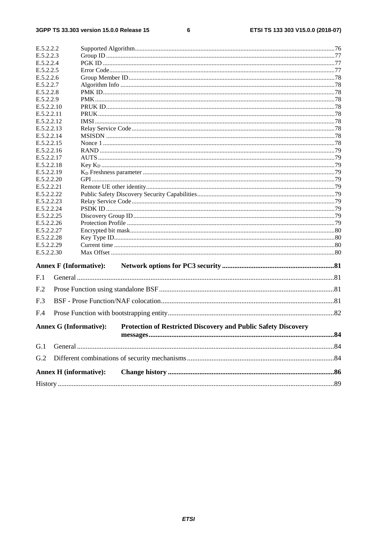#### $\bf 6$

| E.5.2.2.2                |  |                                                                                                        |  |
|--------------------------|--|--------------------------------------------------------------------------------------------------------|--|
| E.5.2.2.3                |  |                                                                                                        |  |
| E.5.2.2.4                |  |                                                                                                        |  |
| E.5.2.2.5                |  |                                                                                                        |  |
| E.5.2.2.6                |  |                                                                                                        |  |
| E.5.2.2.7                |  |                                                                                                        |  |
| E.5.2.2.8                |  |                                                                                                        |  |
| E.5.2.2.9                |  |                                                                                                        |  |
| E.5.2.2.10               |  |                                                                                                        |  |
| E.5.2.2.11               |  |                                                                                                        |  |
| E.5.2.2.12               |  |                                                                                                        |  |
| E.5.2.2.13               |  |                                                                                                        |  |
| E.5.2.2.14               |  |                                                                                                        |  |
| E.5.2.2.15               |  |                                                                                                        |  |
| E.5.2.2.16               |  |                                                                                                        |  |
| E.5.2.2.17               |  |                                                                                                        |  |
| E.5.2.2.18               |  |                                                                                                        |  |
| E.5.2.2.19               |  |                                                                                                        |  |
| E.5.2.2.20               |  |                                                                                                        |  |
| E.5.2.2.21               |  |                                                                                                        |  |
| E.5.2.2.22               |  |                                                                                                        |  |
| E.5.2.2.23               |  |                                                                                                        |  |
| E.5.2.2.24               |  |                                                                                                        |  |
| E.5.2.2.25<br>E.5.2.2.26 |  |                                                                                                        |  |
| E.5.2.2.27               |  |                                                                                                        |  |
| E.5.2.2.28               |  |                                                                                                        |  |
| E.5.2.2.29               |  |                                                                                                        |  |
| E.5.2.2.30               |  |                                                                                                        |  |
|                          |  |                                                                                                        |  |
|                          |  | <b>Annex F (Informative):</b>                                                                          |  |
| F.1                      |  |                                                                                                        |  |
| F <sub>.2</sub>          |  |                                                                                                        |  |
| F.3                      |  |                                                                                                        |  |
|                          |  |                                                                                                        |  |
| F.4                      |  |                                                                                                        |  |
|                          |  | <b>Protection of Restricted Discovery and Public Safety Discovery</b><br><b>Annex G (Informative):</b> |  |
|                          |  |                                                                                                        |  |
| G.1                      |  |                                                                                                        |  |
| G.2                      |  |                                                                                                        |  |
|                          |  |                                                                                                        |  |
|                          |  | <b>Annex H</b> (informative):                                                                          |  |
|                          |  |                                                                                                        |  |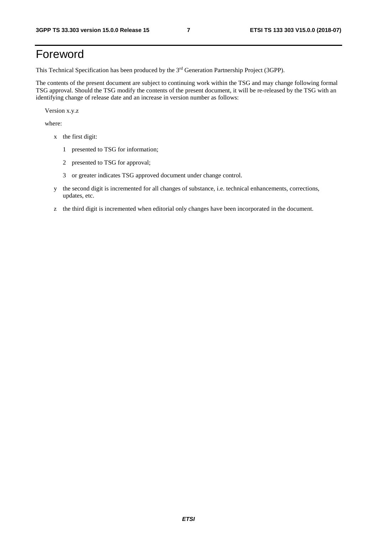## Foreword

This Technical Specification has been produced by the 3rd Generation Partnership Project (3GPP).

The contents of the present document are subject to continuing work within the TSG and may change following formal TSG approval. Should the TSG modify the contents of the present document, it will be re-released by the TSG with an identifying change of release date and an increase in version number as follows:

Version x.y.z

where:

- x the first digit:
	- 1 presented to TSG for information;
	- 2 presented to TSG for approval;
	- 3 or greater indicates TSG approved document under change control.
- y the second digit is incremented for all changes of substance, i.e. technical enhancements, corrections, updates, etc.
- z the third digit is incremented when editorial only changes have been incorporated in the document.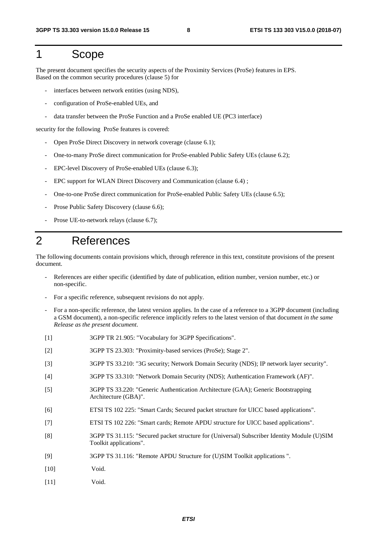## 1 Scope

The present document specifies the security aspects of the Proximity Services (ProSe) features in EPS. Based on the common security procedures (clause 5) for

- interfaces between network entities (using NDS),
- configuration of ProSe-enabled UEs, and
- data transfer between the ProSe Function and a ProSe enabled UE (PC3 interface)

security for the following ProSe features is covered:

- Open ProSe Direct Discovery in network coverage (clause 6.1);
- One-to-many ProSe direct communication for ProSe-enabled Public Safety UEs (clause 6.2);
- EPC-level Discovery of ProSe-enabled UEs (clause 6.3);
- EPC support for WLAN Direct Discovery and Communication (clause 6.4) ;
- One-to-one ProSe direct communication for ProSe-enabled Public Safety UEs (clause 6.5);
- Prose Public Safety Discovery (clause 6.6);
- Prose UE-to-network relays (clause 6.7);

## 2 References

The following documents contain provisions which, through reference in this text, constitute provisions of the present document.

- References are either specific (identified by date of publication, edition number, version number, etc.) or non-specific.
- For a specific reference, subsequent revisions do not apply.
- For a non-specific reference, the latest version applies. In the case of a reference to a 3GPP document (including a GSM document), a non-specific reference implicitly refers to the latest version of that document *in the same Release as the present document*.
- [1] 3GPP TR 21.905: "Vocabulary for 3GPP Specifications".
- [2] 3GPP TS 23.303: "Proximity-based services (ProSe); Stage 2".
- [3] 3GPP TS 33.210: "3G security; Network Domain Security (NDS); IP network layer security".
- [4] 3GPP TS 33.310: "Network Domain Security (NDS); Authentication Framework (AF)".
- [5] 3GPP TS 33.220: "Generic Authentication Architecture (GAA); Generic Bootstrapping Architecture (GBA)".
- [6] ETSI TS 102 225: "Smart Cards; Secured packet structure for UICC based applications".
- [7] ETSI TS 102 226: "Smart cards; Remote APDU structure for UICC based applications".
- [8] 3GPP TS 31.115: "Secured packet structure for (Universal) Subscriber Identity Module (U)SIM Toolkit applications".
- [9] 3GPP TS 31.116: "Remote APDU Structure for (U)SIM Toolkit applications ".
- [10] Void.
- [11] Void.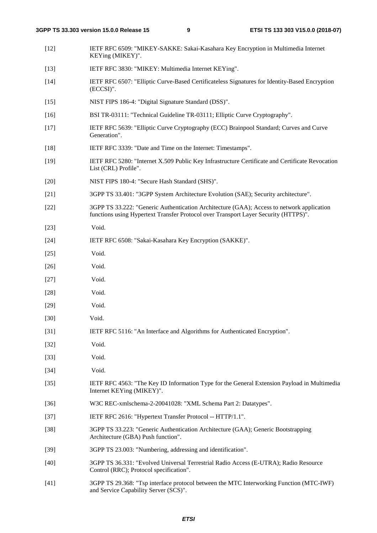| $[12]$ | IETF RFC 6509: "MIKEY-SAKKE: Sakai-Kasahara Key Encryption in Multimedia Internet<br>KEYing (MIKEY)".                                                                            |
|--------|----------------------------------------------------------------------------------------------------------------------------------------------------------------------------------|
| $[13]$ | IETF RFC 3830: "MIKEY: Multimedia Internet KEYing".                                                                                                                              |
| $[14]$ | IETF RFC 6507: "Elliptic Curve-Based Certificateless Signatures for Identity-Based Encryption<br>$(ECCSI)$ ".                                                                    |
| $[15]$ | NIST FIPS 186-4: "Digital Signature Standard (DSS)".                                                                                                                             |
| $[16]$ | BSI TR-03111: "Technical Guideline TR-03111; Elliptic Curve Cryptography".                                                                                                       |
| $[17]$ | IETF RFC 5639: "Elliptic Curve Cryptography (ECC) Brainpool Standard; Curves and Curve<br>Generation".                                                                           |
| $[18]$ | IETF RFC 3339: "Date and Time on the Internet: Timestamps".                                                                                                                      |
| $[19]$ | IETF RFC 5280: "Internet X.509 Public Key Infrastructure Certificate and Certificate Revocation<br>List (CRL) Profile".                                                          |
| $[20]$ | NIST FIPS 180-4: "Secure Hash Standard (SHS)".                                                                                                                                   |
| $[21]$ | 3GPP TS 33.401: "3GPP System Architecture Evolution (SAE); Security architecture".                                                                                               |
| $[22]$ | 3GPP TS 33.222: "Generic Authentication Architecture (GAA); Access to network application<br>functions using Hypertext Transfer Protocol over Transport Layer Security (HTTPS)". |
| $[23]$ | Void.                                                                                                                                                                            |
| $[24]$ | IETF RFC 6508: "Sakai-Kasahara Key Encryption (SAKKE)".                                                                                                                          |
| $[25]$ | Void.                                                                                                                                                                            |
| $[26]$ | Void.                                                                                                                                                                            |
| $[27]$ | Void.                                                                                                                                                                            |
| $[28]$ | Void.                                                                                                                                                                            |
| $[29]$ | Void.                                                                                                                                                                            |
| $[30]$ | Void.                                                                                                                                                                            |
| $[31]$ | IETF RFC 5116: "An Interface and Algorithms for Authenticated Encryption".                                                                                                       |
| $[32]$ | Void.                                                                                                                                                                            |
| $[33]$ | Void.                                                                                                                                                                            |
| $[34]$ | Void.                                                                                                                                                                            |
| $[35]$ | IETF RFC 4563: "The Key ID Information Type for the General Extension Payload in Multimedia<br>Internet KEYing (MIKEY)".                                                         |
| $[36]$ | W3C REC-xmlschema-2-20041028: "XML Schema Part 2: Datatypes".                                                                                                                    |
| $[37]$ | IETF RFC 2616: "Hypertext Transfer Protocol -- HTTP/1.1".                                                                                                                        |
| $[38]$ | 3GPP TS 33.223: "Generic Authentication Architecture (GAA); Generic Bootstrapping<br>Architecture (GBA) Push function".                                                          |
| $[39]$ | 3GPP TS 23.003: "Numbering, addressing and identification".                                                                                                                      |
| $[40]$ | 3GPP TS 36.331: "Evolved Universal Terrestrial Radio Access (E-UTRA); Radio Resource<br>Control (RRC); Protocol specification".                                                  |
| $[41]$ | 3GPP TS 29.368: "Tsp interface protocol between the MTC Interworking Function (MTC-IWF)<br>and Service Capability Server (SCS)".                                                 |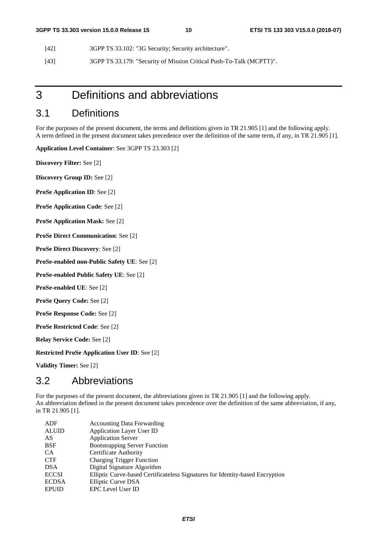- [42] 3GPP TS 33.102: "3G Security; Security architecture".
- [43] 3GPP TS 33.179: "Security of Mission Critical Push-To-Talk (MCPTT)".

## 3 Definitions and abbreviations

## 3.1 Definitions

For the purposes of the present document, the terms and definitions given in TR 21.905 [1] and the following apply. A term defined in the present document takes precedence over the definition of the same term, if any, in TR 21.905 [1].

**Application Level Container**: See 3GPP TS 23.303 [2]

**Discovery Filter:** See [2]

**Discovery Group ID:** See [2]

**ProSe Application ID**: See [2]

**ProSe Application Code**: See [2]

**ProSe Application Mask:** See [2]

**ProSe Direct Communication**: See [2]

**ProSe Direct Discovery**: See [2]

**ProSe-enabled non-Public Safety UE**: See [2]

**ProSe-enabled Public Safety UE**: See [2]

**ProSe-enabled UE**: See [2]

**ProSe Query Code:** See [2]

**ProSe Response Code:** See [2]

**ProSe Restricted Code**: See [2]

**Relay Service Code:** See [2]

**Restricted ProSe Application User ID**: See [2]

**Validity Timer:** See [2]

## 3.2 Abbreviations

For the purposes of the present document, the abbreviations given in TR 21.905 [1] and the following apply. An abbreviation defined in the present document takes precedence over the definition of the same abbreviation, if any, in TR 21.905 [1].

| ADF          | <b>Accounting Data Forwarding</b>                                             |
|--------------|-------------------------------------------------------------------------------|
| <b>ALUID</b> | <b>Application Layer User ID</b>                                              |
| AS           | <b>Application Server</b>                                                     |
| <b>BSF</b>   | <b>Bootstrapping Server Function</b>                                          |
| CA.          | Certificate Authority                                                         |
| <b>CTF</b>   | <b>Charging Trigger Function</b>                                              |
| <b>DSA</b>   | Digital Signature Algorithm                                                   |
| <b>ECCSI</b> | Elliptic Curve-based Certificateless Signatures for Identity-based Encryption |
| <b>ECDSA</b> | Elliptic Curve DSA                                                            |
| <b>EPUID</b> | <b>EPC</b> Level User ID                                                      |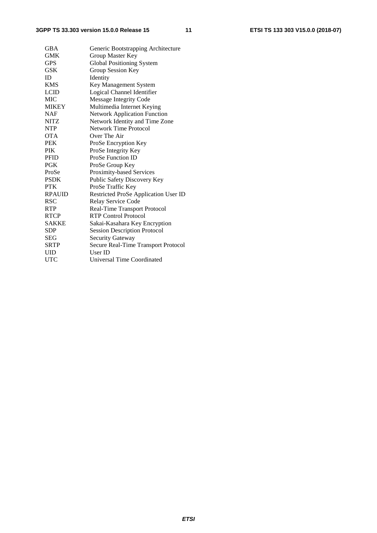| GBA           | Generic Bootstrapping Architecture   |
|---------------|--------------------------------------|
| <b>GMK</b>    | Group Master Key                     |
| <b>GPS</b>    | <b>Global Positioning System</b>     |
| GSK           | Group Session Key                    |
| ID            | Identity                             |
| <b>KMS</b>    | Key Management System                |
| <b>LCID</b>   | Logical Channel Identifier           |
| <b>MIC</b>    | Message Integrity Code               |
| <b>MIKEY</b>  | Multimedia Internet Keying           |
| <b>NAF</b>    | <b>Network Application Function</b>  |
| <b>NITZ</b>   | Network Identity and Time Zone       |
| <b>NTP</b>    | Network Time Protocol                |
| <b>OTA</b>    | Over The Air                         |
| <b>PEK</b>    | ProSe Encryption Key                 |
| <b>PIK</b>    | ProSe Integrity Key                  |
| <b>PFID</b>   | <b>ProSe Function ID</b>             |
| <b>PGK</b>    | ProSe Group Key                      |
| ProSe         | Proximity-based Services             |
| <b>PSDK</b>   | Public Safety Discovery Key          |
| <b>PTK</b>    | ProSe Traffic Key                    |
| <b>RPAUID</b> | Restricted ProSe Application User ID |
| <b>RSC</b>    | Relay Service Code                   |
| <b>RTP</b>    | <b>Real-Time Transport Protocol</b>  |
| <b>RTCP</b>   | <b>RTP Control Protocol</b>          |
| <b>SAKKE</b>  | Sakai-Kasahara Key Encryption        |
| <b>SDP</b>    | <b>Session Description Protocol</b>  |
| SEG           | <b>Security Gateway</b>              |
| <b>SRTP</b>   | Secure Real-Time Transport Protocol  |
| UID           | User ID                              |
| UTC           | Universal Time Coordinated           |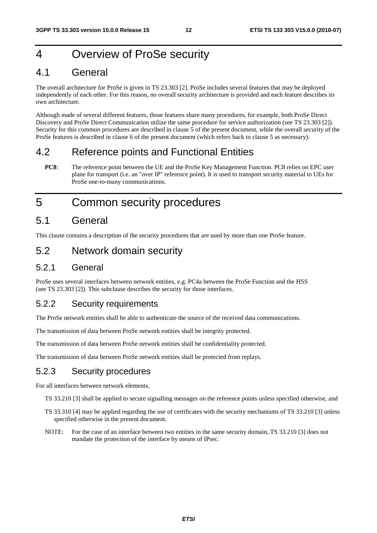## 4 Overview of ProSe security

## 4.1 General

The overall architecture for ProSe is given in TS 23.303 [2]. ProSe includes several features that may be deployed independently of each other. For this reason, no overall security architecture is provided and each feature describes its own architecture.

Although made of several different features, those features share many procedures, for example, both ProSe Direct Discovery and ProSe Direct Communication utilize the same procedure for service authorization (see TS 23.303 [2]). Security for this common procedures are described in clause 5 of the present document, while the overall security of the ProSe features is described in clause 6 of the present document (which refers back to clause 5 as necessary).

## 4.2 Reference points and Functional Entities

**PC8**: The reference point between the UE and the ProSe Key Management Function. PC8 relies on EPC user plane for transport (i.e. an "over IP" reference point). It is used to transport security material to UEs for ProSe one-to-many communications.

## 5 Common security procedures

## 5.1 General

This clause contains a description of the security procedures that are used by more than one ProSe feature.

## 5.2 Network domain security

## 5.2.1 General

ProSe uses several interfaces between network entities, e.g. PC4a between the ProSe Function and the HSS (see TS 23.303 [2]). This subclause describes the security for those interfaces.

## 5.2.2 Security requirements

The ProSe network entities shall be able to authenticate the source of the received data communications.

The transmission of data between ProSe network entities shall be integrity protected.

The transmission of data between ProSe network entities shall be confidentiality protected.

The transmission of data between ProSe network entities shall be protected from replays.

## 5.2.3 Security procedures

For all interfaces between network elements,

- TS 33.210 [3] shall be applied to secure signalling messages on the reference points unless specified otherwise, and
- TS 33.310 [4] may be applied regarding the use of certificates with the security mechanisms of TS 33.210 [3] unless specified otherwise in the present document.
- NOTE: For the case of an interface between two entities in the same security domain, TS 33.210 [3] does not mandate the protection of the interface by means of IPsec.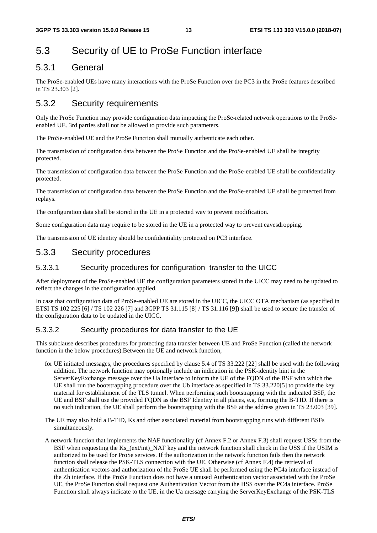## 5.3 Security of UE to ProSe Function interface

## 5.3.1 General

The ProSe-enabled UEs have many interactions with the ProSe Function over the PC3 in the ProSe features described in TS 23.303 [2].

## 5.3.2 Security requirements

Only the ProSe Function may provide configuration data impacting the ProSe-related network operations to the ProSeenabled UE. 3rd parties shall not be allowed to provide such parameters.

The ProSe-enabled UE and the ProSe Function shall mutually authenticate each other.

The transmission of configuration data between the ProSe Function and the ProSe-enabled UE shall be integrity protected.

The transmission of configuration data between the ProSe Function and the ProSe-enabled UE shall be confidentiality protected.

The transmission of configuration data between the ProSe Function and the ProSe-enabled UE shall be protected from replays.

The configuration data shall be stored in the UE in a protected way to prevent modification.

Some configuration data may require to be stored in the UE in a protected way to prevent eavesdropping.

The transmission of UE identity should be confidentiality protected on PC3 interface.

## 5.3.3 Security procedures

### 5.3.3.1 Security procedures for configuration transfer to the UICC

After deployment of the ProSe-enabled UE the configuration parameters stored in the UICC may need to be updated to reflect the changes in the configuration applied.

In case that configuration data of ProSe-enabled UE are stored in the UICC, the UICC OTA mechanism (as specified in ETSI TS 102 225 [6] / TS 102 226 [7] and 3GPP TS 31.115 [8] / TS 31.116 [9]) shall be used to secure the transfer of the configuration data to be updated in the UICC.

### 5.3.3.2 Security procedures for data transfer to the UE

This subclause describes procedures for protecting data transfer between UE and ProSe Function (called the network function in the below procedures).Between the UE and network function,

- for UE initiated messages, the procedures specified by clause 5.4 of TS 33.222 [22] shall be used with the following addition. The network function may optionally include an indication in the PSK-identity hint in the ServerKeyExchange message over the Ua interface to inform the UE of the FQDN of the BSF with which the UE shall run the bootstrapping procedure over the Ub interface as specified in TS 33.220[5] to provide the key material for establishment of the TLS tunnel. When performing such bootstrapping with the indicated BSF, the UE and BSF shall use the provided FQDN as the BSF Identity in all places, e.g. forming the B-TID. If there is no such indication, the UE shall perform the bootstrapping with the BSF at the address given in TS 23.003 [39].
- The UE may also hold a B-TID, Ks and other associated material from bootstrapping runs with different BSFs simultaneously.
- A network function that implements the NAF functionality (cf Annex F.2 or Annex F.3) shall request USSs from the BSF when requesting the Ks\_(ext/int)\_NAF key and the network function shall check in the USS if the USIM is authorized to be used for ProSe services. If the authorization in the network function fails then the network function shall release the PSK-TLS connection with the UE. Otherwise (cf Annex F.4) the retrieval of authentication vectors and authorization of the ProSe UE shall be performed using the PC4a interface instead of the Zh interface. If the ProSe Function does not have a unused Authentication vector associated with the ProSe UE, the ProSe Function shall request one Authentication Vector from the HSS over the PC4a interface. ProSe Function shall always indicate to the UE, in the Ua message carrying the ServerKeyExchange of the PSK-TLS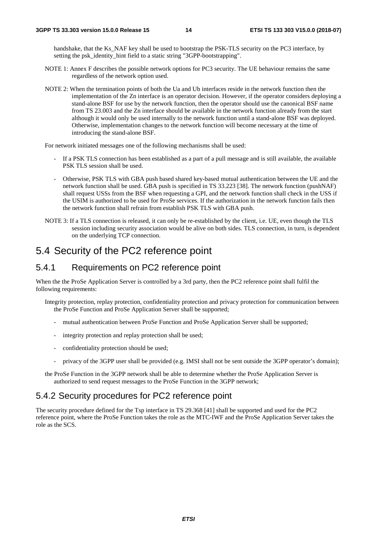handshake, that the Ks\_NAF key shall be used to bootstrap the PSK-TLS security on the PC3 interface, by setting the psk\_identity\_hint field to a static string "3GPP-bootstrapping".

- NOTE 1: Annex F describes the possible network options for PC3 security. The UE behaviour remains the same regardless of the network option used.
- NOTE 2: When the termination points of both the Ua and Ub interfaces reside in the network function then the implementation of the Zn interface is an operator decision. However, if the operator considers deploying a stand-alone BSF for use by the network function, then the operator should use the canonical BSF name from TS 23.003 and the Zn interface should be available in the network function already from the start although it would only be used internally to the network function until a stand-alone BSF was deployed. Otherwise, implementation changes to the network function will become necessary at the time of introducing the stand-alone BSF.

For network initiated messages one of the following mechanisms shall be used:

- If a PSK TLS connection has been established as a part of a pull message and is still available, the available PSK TLS session shall be used.
- Otherwise, PSK TLS with GBA push based shared key-based mutual authentication between the UE and the network function shall be used. GBA push is specified in TS 33.223 [38]. The network function (pushNAF) shall request USSs from the BSF when requesting a GPI, and the network function shall check in the USS if the USIM is authorized to be used for ProSe services. If the authorization in the network function fails then the network function shall refrain from establish PSK TLS with GBA push.
- NOTE 3: If a TLS connection is released, it can only be re-established by the client, i.e. UE, even though the TLS session including security association would be alive on both sides. TLS connection, in turn, is dependent on the underlying TCP connection.

## 5.4 Security of the PC2 reference point

## 5.4.1 Requirements on PC2 reference point

When the the ProSe Application Server is controlled by a 3rd party, then the PC2 reference point shall fulfil the following requirements:

- Integrity protection, replay protection, confidentiality protection and privacy protection for communication between the ProSe Function and ProSe Application Server shall be supported;
	- mutual authentication between ProSe Function and ProSe Application Server shall be supported;
	- integrity protection and replay protection shall be used;
	- confidentiality protection should be used;
	- privacy of the 3GPP user shall be provided (e.g. IMSI shall not be sent outside the 3GPP operator's domain);
- the ProSe Function in the 3GPP network shall be able to determine whether the ProSe Application Server is authorized to send request messages to the ProSe Function in the 3GPP network;

### 5.4.2 Security procedures for PC2 reference point

The security procedure defined for the Tsp interface in TS 29.368 [41] shall be supported and used for the PC2 reference point, where the ProSe Function takes the role as the MTC-IWF and the ProSe Application Server takes the role as the SCS.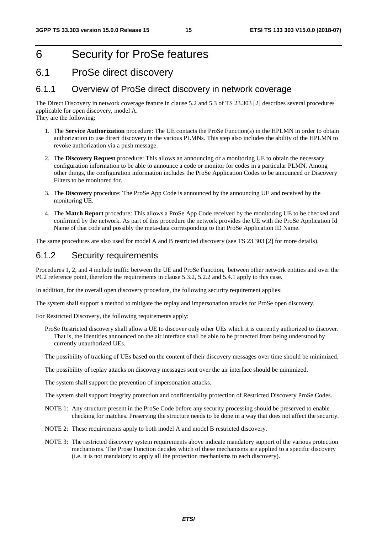## 6 Security for ProSe features

## 6.1 ProSe direct discovery

### 6.1.1 Overview of ProSe direct discovery in network coverage

The Direct Discovery in network coverage feature in clause 5.2 and 5.3 of TS 23.303 [2] describes several procedures applicable for open discovery, model A.

They are the following:

- 1. The **Service Authorization** procedure: The UE contacts the ProSe Function(s) in the HPLMN in order to obtain authorization to use direct discovery in the various PLMNs. This step also includes the ability of the HPLMN to revoke authorization via a push message.
- 2. The **Discovery Request** procedure: This allows an announcing or a monitoring UE to obtain the necessary configuration information to be able to announce a code or monitor for codes in a particular PLMN. Among other things, the configuration information includes the ProSe Application Codes to be announced or Discovery Filters to be monitored for.
- 3. The **Discovery** procedure: The ProSe App Code is announced by the announcing UE and received by the monitoring UE.
- 4. The **Match Report** procedure: This allows a ProSe App Code received by the monitoring UE to be checked and confirmed by the network. As part of this procedure the network provides the UE with the ProSe Application Id Name of that code and possibly the meta-data corresponding to that ProSe Application ID Name.

The same procedures are also used for model A and B restricted discovery (see TS 23.303 [2] for more details).

## 6.1.2 Security requirements

Procedures 1, 2, and 4 include traffic between the UE and ProSe Function, between other network entities and over the PC2 reference point, therefore the requirements in clause 5.3.2, 5.2.2 and 5.4.1 apply to this case.

In addition, for the overall open discovery procedure, the following security requirement applies:

The system shall support a method to mitigate the replay and impersonation attacks for ProSe open discovery.

For Restricted Discovery, the following requirements apply:

ProSe Restricted discovery shall allow a UE to discover only other UEs which it is currently authorized to discover. That is, the identities announced on the air interface shall be able to be protected from being understood by currently unauthorized UEs.

The possibility of tracking of UEs based on the content of their discovery messages over time should be minimized.

The possibility of replay attacks on discovery messages sent over the air interface should be minimized.

The system shall support the prevention of impersonation attacks.

The system shall support integrity protection and confidentiality protection of Restricted Discovery ProSe Codes.

- NOTE 1: Any structure present in the ProSe Code before any security processing should be preserved to enable checking for matches. Preserving the structure needs to be done in a way that does not affect the security.
- NOTE 2: These requirements apply to both model A and model B restricted discovery.
- NOTE 3: The restricted discovery system requirements above indicate mandatory support of the various protection mechanisms. The Prose Function decides which of these mechanisms are applied to a specific discovery (i.e. it is not mandatory to apply all the protection mechanisms to each discovery).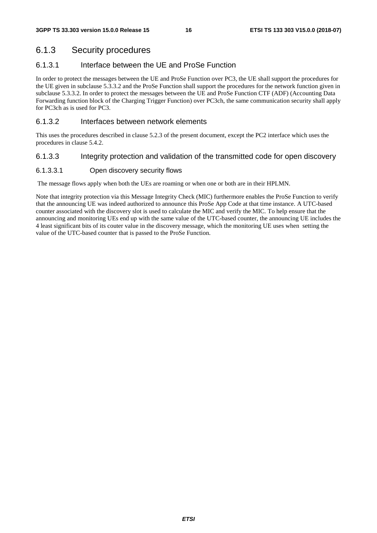## 6.1.3 Security procedures

### 6.1.3.1 Interface between the UE and ProSe Function

In order to protect the messages between the UE and ProSe Function over PC3, the UE shall support the procedures for the UE given in subclause 5.3.3.2 and the ProSe Function shall support the procedures for the network function given in subclause 5.3.3.2. In order to protect the messages between the UE and ProSe Function CTF (ADF) (Accounting Data Forwarding function block of the Charging Trigger Function) over PC3ch, the same communication security shall apply for PC3ch as is used for PC3.

### 6.1.3.2 Interfaces between network elements

This uses the procedures described in clause 5.2.3 of the present document, except the PC2 interface which uses the procedures in clause 5.4.2.

### 6.1.3.3 Integrity protection and validation of the transmitted code for open discovery

### 6.1.3.3.1 Open discovery security flows

The message flows apply when both the UEs are roaming or when one or both are in their HPLMN.

Note that integrity protection via this Message Integrity Check (MIC) furthermore enables the ProSe Function to verify that the announcing UE was indeed authorized to announce this ProSe App Code at that time instance. A UTC-based counter associated with the discovery slot is used to calculate the MIC and verify the MIC. To help ensure that the announcing and monitoring UEs end up with the same value of the UTC-based counter, the announcing UE includes the 4 least significant bits of its couter value in the discovery message, which the monitoring UE uses when setting the value of the UTC-based counter that is passed to the ProSe Function.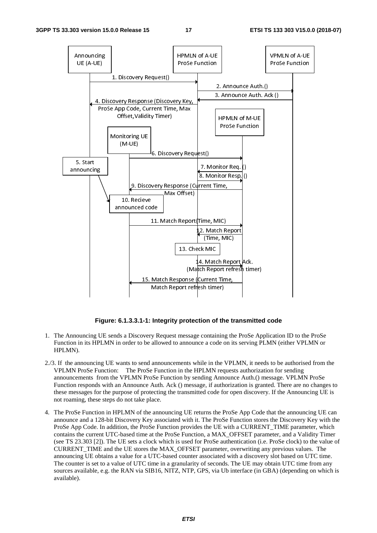

**Figure: 6.1.3.3.1-1: Integrity protection of the transmitted code** 

- 1. The Announcing UE sends a Discovery Request message containing the ProSe Application ID to the ProSe Function in its HPLMN in order to be allowed to announce a code on its serving PLMN (either VPLMN or HPLMN).
- 2./3. If the announcing UE wants to send announcements while in the VPLMN, it needs to be authorised from the VPLMN ProSe Function: The ProSe Function in the HPLMN requests authorization for sending announcements from the VPLMN ProSe Function by sending Announce Auth.() message. VPLMN ProSe Function responds with an Announce Auth. Ack () message, if authorization is granted. There are no changes to these messages for the purpose of protecting the transmitted code for open discovery. If the Announcing UE is not roaming, these steps do not take place.
- 4. The ProSe Function in HPLMN of the announcing UE returns the ProSe App Code that the announcing UE can announce and a 128-bit Discovery Key associated with it. The ProSe Function stores the Discovery Key with the ProSe App Code. In addition, the ProSe Function provides the UE with a CURRENT\_TIME parameter, which contains the current UTC-based time at the ProSe Function, a MAX\_OFFSET parameter, and a Validity Timer (see TS 23.303 [2]). The UE sets a clock which is used for ProSe authentication (i.e. ProSe clock) to the value of CURRENT\_TIME and the UE stores the MAX\_OFFSET parameter, overwriting any previous values. The announcing UE obtains a value for a UTC-based counter associated with a discovery slot based on UTC time. The counter is set to a value of UTC time in a granularity of seconds. The UE may obtain UTC time from any sources available, e.g. the RAN via SIB16, NITZ, NTP, GPS, via Ub interface (in GBA) (depending on which is available).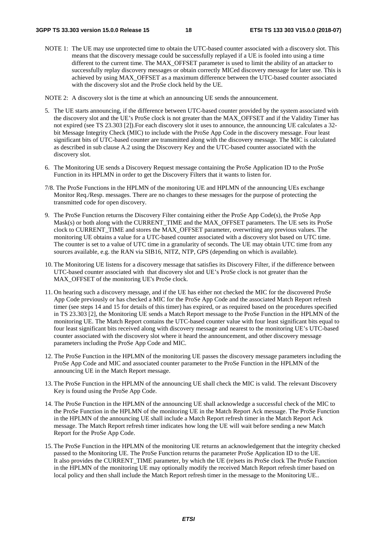NOTE 1: The UE may use unprotected time to obtain the UTC-based counter associated with a discovery slot. This means that the discovery message could be successfully replayed if a UE is fooled into using a time different to the current time. The MAX\_OFFSET parameter is used to limit the ability of an attacker to successfully replay discovery messages or obtain correctly MICed discovery message for later use. This is achieved by using MAX\_OFFSET as a maximum difference between the UTC-based counter associated with the discovery slot and the ProSe clock held by the UE.

NOTE 2: A discovery slot is the time at which an announcing UE sends the announcement.

- 5. The UE starts announcing, if the difference between UTC-based counter provided by the system associated with the discovery slot and the UE's ProSe clock is not greater than the MAX\_OFFSET and if the Validity Timer has not expired (see TS 23.303 [2]).For each discovery slot it uses to announce, the announcing UE calculates a 32 bit Message Integrity Check (MIC) to include with the ProSe App Code in the discovery message. Four least significant bits of UTC-based counter are transmitted along with the discovery message. The MIC is calculated as described in sub clause A.2 using the Discovery Key and the UTC-based counter associated with the discovery slot.
- 6. The Monitoring UE sends a Discovery Request message containing the ProSe Application ID to the ProSe Function in its HPLMN in order to get the Discovery Filters that it wants to listen for.
- 7/8. The ProSe Functions in the HPLMN of the monitoring UE and HPLMN of the announcing UEs exchange Monitor Req./Resp. messages. There are no changes to these messages for the purpose of protecting the transmitted code for open discovery.
- 9. The ProSe Function returns the Discovery Filter containing either the ProSe App Code(s), the ProSe App Mask(s) or both along with the CURRENT TIME and the MAX OFFSET parameters. The UE sets its ProSe clock to CURRENT\_TIME and stores the MAX\_OFFSET parameter, overwriting any previous values. The monitoring UE obtains a value for a UTC-based counter associated with a discovery slot based on UTC time. The counter is set to a value of UTC time in a granularity of seconds. The UE may obtain UTC time from any sources available, e.g. the RAN via SIB16, NITZ, NTP, GPS (depending on which is available).
- 10. The Monitoring UE listens for a discovery message that satisfies its Discovery Filter, if the difference between UTC-based counter associated with that discovery slot and UE's ProSe clock is not greater than the MAX OFFSET of the monitoring UE's ProSe clock.
- 11. On hearing such a discovery message, and if the UE has either not checked the MIC for the discovered ProSe App Code previously or has checked a MIC for the ProSe App Code and the associated Match Report refresh timer (see steps 14 and 15 for details of this timer) has expired, or as required based on the procedures specified in TS 23.303 [2], the Monitoring UE sends a Match Report message to the ProSe Function in the HPLMN of the monitoring UE. The Match Report contains the UTC-based counter value with four least significant bits equal to four least significant bits received along with discovery message and nearest to the monitoring UE's UTC-based counter associated with the discovery slot where it heard the announcement, and other discovery message parameters including the ProSe App Code and MIC.
- 12. The ProSe Function in the HPLMN of the monitoring UE passes the discovery message parameters including the ProSe App Code and MIC and associated counter parameter to the ProSe Function in the HPLMN of the announcing UE in the Match Report message.
- 13. The ProSe Function in the HPLMN of the announcing UE shall check the MIC is valid. The relevant Discovery Key is found using the ProSe App Code.
- 14. The ProSe Function in the HPLMN of the announcing UE shall acknowledge a successful check of the MIC to the ProSe Function in the HPLMN of the monitoring UE in the Match Report Ack message. The ProSe Function in the HPLMN of the announcing UE shall include a Match Report refresh timer in the Match Report Ack message. The Match Report refresh timer indicates how long the UE will wait before sending a new Match Report for the ProSe App Code.
- 15. The ProSe Function in the HPLMN of the monitoring UE returns an acknowledgement that the integrity checked passed to the Monitoring UE. The ProSe Function returns the parameter ProSe Application ID to the UE. It also provides the CURRENT\_TIME parameter, by which the UE (re)sets its ProSe clock The ProSe Function in the HPLMN of the monitoring UE may optionally modify the received Match Report refresh timer based on local policy and then shall include the Match Report refresh timer in the message to the Monitoring UE..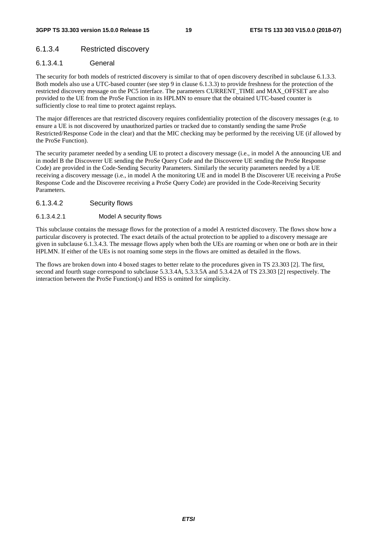### 6.1.3.4 Restricted discovery

### 6.1.3.4.1 General

The security for both models of restricted discovery is similar to that of open discovery described in subclause 6.1.3.3. Both models also use a UTC-based counter (see step 9 in clause 6.1.3.3) to provide freshness for the protection of the restricted discovery message on the PC5 interface. The parameters CURRENT\_TIME and MAX\_OFFSET are also provided to the UE from the ProSe Function in its HPLMN to ensure that the obtained UTC-based counter is sufficiently close to real time to protect against replays.

The major differences are that restricted discovery requires confidentiality protection of the discovery messages (e.g. to ensure a UE is not discovered by unauthorized parties or tracked due to constantly sending the same ProSe Restricted/Response Code in the clear) and that the MIC checking may be performed by the receiving UE (if allowed by the ProSe Function).

The security parameter needed by a sending UE to protect a discovery message (i.e., in model A the announcing UE and in model B the Discoverer UE sending the ProSe Query Code and the Discoveree UE sending the ProSe Response Code) are provided in the Code-Sending Security Parameters. Similarly the security parameters needed by a UE receiving a discovery message (i.e., in model A the monitoring UE and in model B the Discoverer UE receiving a ProSe Response Code and the Discoveree receiving a ProSe Query Code) are provided in the Code-Receiving Security Parameters.

#### 6.1.3.4.2 Security flows

#### 6.1.3.4.2.1 Model A security flows

This subclause contains the message flows for the protection of a model A restricted discovery. The flows show how a particular discovery is protected. The exact details of the actual protection to be applied to a discovery message are given in subclause 6.1.3.4.3. The message flows apply when both the UEs are roaming or when one or both are in their HPLMN. If either of the UEs is not roaming some steps in the flows are omitted as detailed in the flows.

The flows are broken down into 4 boxed stages to better relate to the procedures given in TS 23.303 [2]. The first, second and fourth stage correspond to subclause 5.3.3.4A, 5.3.3.5A and 5.3.4.2A of TS 23.303 [2] respectively. The interaction between the ProSe Function(s) and HSS is omitted for simplicity.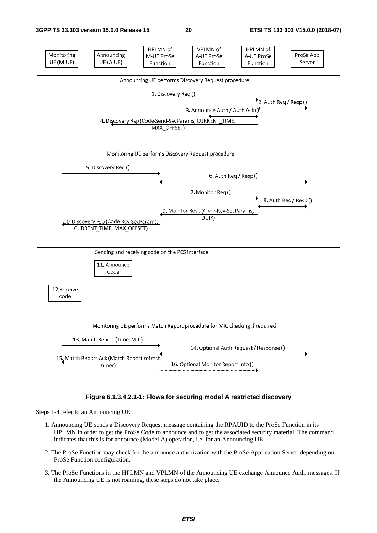

#### **Figure 6.1.3.4.2.1-1: Flows for securing model A restricted discovery**

Steps 1-4 refer to an Announcing UE.

- 1. Announcing UE sends a Discovery Request message containing the RPAUID to the ProSe Function in its HPLMN in order to get the ProSe Code to announce and to get the associated security material. The command indicates that this is for announce (Model A) operation, i.e. for an Announcing UE.
- 2. The ProSe Function may check for the announce authorization with the ProSe Application Server depending on ProSe Function configuration.
- 3. The ProSe Functions in the HPLMN and VPLMN of the Announcing UE exchange Announce Auth. messages. If the Announcing UE is not roaming, these steps do not take place.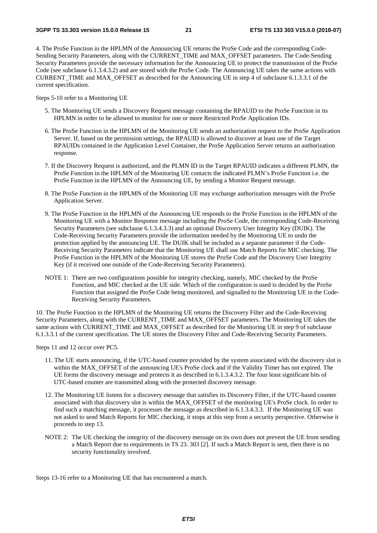4. The ProSe Function in the HPLMN of the Announcing UE returns the ProSe Code and the corresponding Code-Sending Security Parameters, along with the CURRENT\_TIME and MAX\_OFFSET parameters. The Code-Sending Security Parameters provide the necessary information for the Announcing UE to protect the transmission of the ProSe Code (see subclause 6.1.3.4.3.2) and are stored with the ProSe Code. The Announcing UE takes the same actions with CURRENT\_TIME and MAX\_OFFSET as described for the Announcing UE in step 4 of subclause 6.1.3.3.1 of the current specification.

Steps 5-10 refer to a Monitoring UE

- 5. The Monitoring UE sends a Discovery Request message containing the RPAUID to the ProSe Function in its HPLMN in order to be allowed to monitor for one or more Restricted ProSe Application IDs.
- 6. The ProSe Function in the HPLMN of the Monitoring UE sends an authorization request to the ProSe Application Server. If, based on the permission settings, the RPAUID is allowed to discover at least one of the Target RPAUIDs contained in the Application Level Container, the ProSe Application Server returns an authorization response.
- 7. If the Discovery Request is authorized, and the PLMN ID in the Target RPAUID indicates a different PLMN, the ProSe Function in the HPLMN of the Monitoring UE contacts the indicated PLMN's ProSe Function i.e. the ProSe Function in the HPLMN of the Announcing UE, by sending a Monitor Request message.
- 8. The ProSe Function in the HPLMN of the Monitoring UE may exchange authorization messages with the ProSe Application Server.
- 9. The ProSe Function in the HPLMN of the Announcing UE responds to the ProSe Function in the HPLMN of the Monitoring UE with a Monitor Response message including the ProSe Code, the corresponding Code-Receiving Security Parameters (see subclause 6.1.3.4.3.3) and an optional Discovery User Integrity Key (DUIK). The Code-Receiving Security Parameters provide the information needed by the Monitoring UE to undo the protection applied by the announcing UE. The DUIK shall be included as a separate parameter if the Code-Receiving Security Parameters indicate that the Monitoring UE shall use Match Reports for MIC checking. The ProSe Function in the HPLMN of the Monitoring UE stores the ProSe Code and the Discovery User Integrity Key (if it received one outside of the Code-Receiving Security Parameters).
- NOTE 1: There are two configurations possible for integrity checking, namely, MIC checked by the ProSe Function, and MIC checked at the UE side. Which of the configuration is used is decided by the ProSe Function that assigned the ProSe Code being monitored, and signalled to the Monitoring UE in the Code-Receiving Security Parameters.

10. The ProSe Function in the HPLMN of the Monitoring UE returns the Discovery Filter and the Code-Receiving Security Parameters, along with the CURRENT\_TIME and MAX\_OFFSET parameters. The Monitoring UE takes the same actions with CURRENT TIME and MAX OFFSET as described for the Monitoring UE in step 9 of subclause 6.1.3.3.1 of the current specification. The UE stores the Discovery Filter and Code-Receiving Security Parameters.

Steps 11 and 12 occur over PC5.

- 11. The UE starts announcing, if the UTC-based counter provided by the system associated with the discovery slot is within the MAX\_OFFSET of the announcing UE's ProSe clock and if the Validity Timer has not expired. The UE forms the discovery message and protects it as described in 6.1.3.4.3.2. The four least significant bits of UTC-based counter are transmitted along with the protected discovery message.
- 12. The Monitoring UE listens for a discovery message that satisfies its Discovery Filter, if the UTC-based counter associated with that discovery slot is within the MAX\_OFFSET of the monitoring UE's ProSe clock. In order to find such a matching message, it processes the message as described in 6.1.3.4.3.3. If the Monitoring UE was not asked to send Match Reports for MIC checking, it stops at this step from a security perspective. Otherwise it proceeds to step 13.
- NOTE 2: The UE checking the integrity of the discovery message on its own does not prevent the UE from sending a Match Report due to requirements in TS 23. 303 [2]. If such a Match Report is sent, then there is no security functionality involved.

Steps 13-16 refer to a Monitoring UE that has encountered a match.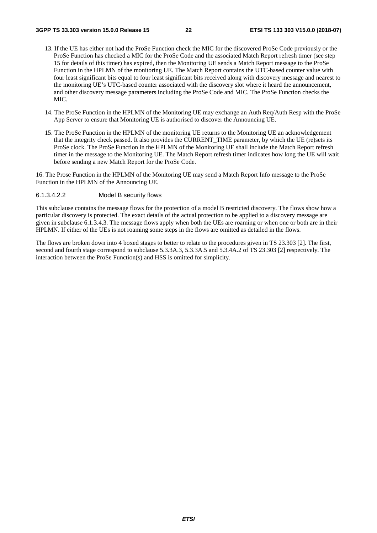- 13. If the UE has either not had the ProSe Function check the MIC for the discovered ProSe Code previously or the ProSe Function has checked a MIC for the ProSe Code and the associated Match Report refresh timer (see step 15 for details of this timer) has expired, then the Monitoring UE sends a Match Report message to the ProSe Function in the HPLMN of the monitoring UE. The Match Report contains the UTC-based counter value with four least significant bits equal to four least significant bits received along with discovery message and nearest to the monitoring UE's UTC-based counter associated with the discovery slot where it heard the announcement, and other discovery message parameters including the ProSe Code and MIC. The ProSe Function checks the MIC.
- 14. The ProSe Function in the HPLMN of the Monitoring UE may exchange an Auth Req/Auth Resp with the ProSe App Server to ensure that Monitoring UE is authorised to discover the Announcing UE.
- 15. The ProSe Function in the HPLMN of the monitoring UE returns to the Monitoring UE an acknowledgement that the integrity check passed. It also provides the CURRENT\_TIME parameter, by which the UE (re)sets its ProSe clock. The ProSe Function in the HPLMN of the Monitoring UE shall include the Match Report refresh timer in the message to the Monitoring UE. The Match Report refresh timer indicates how long the UE will wait before sending a new Match Report for the ProSe Code.

16. The Prose Function in the HPLMN of the Monitoring UE may send a Match Report Info message to the ProSe Function in the HPLMN of the Announcing UE.

#### 6.1.3.4.2.2 Model B security flows

This subclause contains the message flows for the protection of a model B restricted discovery. The flows show how a particular discovery is protected. The exact details of the actual protection to be applied to a discovery message are given in subclause 6.1.3.4.3. The message flows apply when both the UEs are roaming or when one or both are in their HPLMN. If either of the UEs is not roaming some steps in the flows are omitted as detailed in the flows.

The flows are broken down into 4 boxed stages to better to relate to the procedures given in TS 23.303 [2]. The first, second and fourth stage correspond to subclause 5.3.3A.3, 5.3.3A.5 and 5.3.4A.2 of TS 23.303 [2] respectively. The interaction between the ProSe Function(s) and HSS is omitted for simplicity.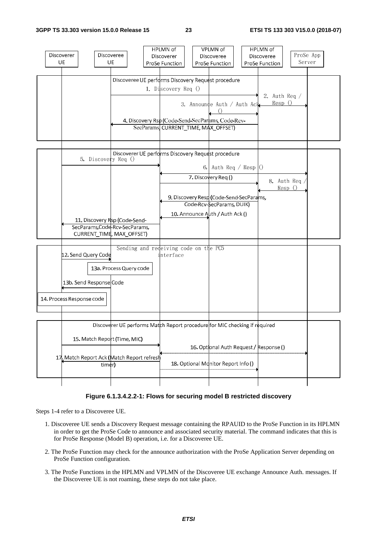

#### **Figure 6.1.3.4.2.2-1: Flows for securing model B restricted discovery**

Steps 1-4 refer to a Discoveree UE.

- 1. Discoveree UE sends a Discovery Request message containing the RPAUID to the ProSe Function in its HPLMN in order to get the ProSe Code to announce and associated security material. The command indicates that this is for ProSe Response (Model B) operation, i.e. for a Discoveree UE.
- 2. The ProSe Function may check for the announce authorization with the ProSe Application Server depending on ProSe Function configuration.
- 3. The ProSe Functions in the HPLMN and VPLMN of the Discoveree UE exchange Announce Auth. messages. If the Discoveree UE is not roaming, these steps do not take place.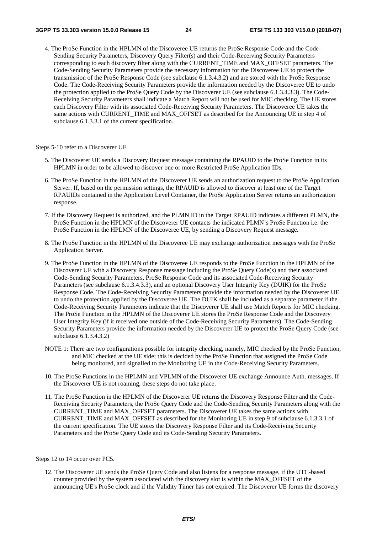4. The ProSe Function in the HPLMN of the Discoveree UE returns the ProSe Response Code and the Code-Sending Security Parameters, Discovery Query Filter(s) and their Code-Receiving Security Parameters corresponding to each discovery filter along with the CURRENT\_TIME and MAX\_OFFSET parameters. The Code-Sending Security Parameters provide the necessary information for the Discoveree UE to protect the transmission of the ProSe Response Code (see subclause 6.1.3.4.3.2) and are stored with the ProSe Response Code. The Code-Receiving Security Parameters provide the information needed by the Discoveree UE to undo the protection applied to the ProSe Query Code by the Discoverer UE (see subclause 6.1.3.4.3.3). The Code-Receiving Security Parameters shall indicate a Match Report will not be used for MIC checking. The UE stores each Discovery Filter with its associated Code-Receiving Security Parameters. The Discoveree UE takes the same actions with CURRENT\_TIME and MAX\_OFFSET as described for the Announcing UE in step 4 of subclause 6.1.3.3.1 of the current specification.

Steps 5-10 refer to a Discoverer UE

- 5. The Discoverer UE sends a Discovery Request message containing the RPAUID to the ProSe Function in its HPLMN in order to be allowed to discover one or more Restricted ProSe Application IDs.
- 6. The ProSe Function in the HPLMN of the Discoverer UE sends an authorization request to the ProSe Application Server. If, based on the permission settings, the RPAUID is allowed to discover at least one of the Target RPAUIDs contained in the Application Level Container, the ProSe Application Server returns an authorization response.
- 7. If the Discovery Request is authorized, and the PLMN ID in the Target RPAUID indicates a different PLMN, the ProSe Function in the HPLMN of the Discoverer UE contacts the indicated PLMN's ProSe Function i.e. the ProSe Function in the HPLMN of the Discoveree UE, by sending a Discovery Request message.
- 8. The ProSe Function in the HPLMN of the Discoveree UE may exchange authorization messages with the ProSe Application Server.
- 9. The ProSe Function in the HPLMN of the Discoveree UE responds to the ProSe Function in the HPLMN of the Discoverer UE with a Discovery Response message including the ProSe Query Code(s) and their associated Code-Sending Security Parameters, ProSe Response Code and its associated Code-Receiving Security Parameters (see subclause 6.1.3.4.3.3), and an optional Discovery User Integrity Key (DUIK) for the ProSe Response Code. The Code-Receiving Security Parameters provide the information needed by the Discoverer UE to undo the protection applied by the Discoveree UE. The DUIK shall be included as a separate parameter if the Code-Receiving Security Parameters indicate that the Discoverer UE shall use Match Reports for MIC checking. The ProSe Function in the HPLMN of the Discoverer UE stores the ProSe Response Code and the Discovery User Integrity Key (if it received one outside of the Code-Receiving Security Parameters). The Code-Sending Security Parameters provide the information needed by the Discoverer UE to protect the ProSe Query Code (see subclause 6.1.3.4.3.2)
- NOTE 1: There are two configurations possible for integrity checking, namely, MIC checked by the ProSe Function, and MIC checked at the UE side; this is decided by the ProSe Function that assigned the ProSe Code being monitored, and signalled to the Monitoring UE in the Code-Receiving Security Parameters.
- 10. The ProSe Functions in the HPLMN and VPLMN of the Discoverer UE exchange Announce Auth. messages. If the Discoverer UE is not roaming, these steps do not take place.
- 11. The ProSe Function in the HPLMN of the Discoverer UE returns the Discovery Response Filter and the Code-Receiving Security Parameters, the ProSe Query Code and the Code-Sending Security Parameters along with the CURRENT\_TIME and MAX\_OFFSET parameters. The Discoverer UE takes the same actions with CURRENT\_TIME and MAX\_OFFSET as described for the Monitoring UE in step 9 of subclause 6.1.3.3.1 of the current specification. The UE stores the Discovery Response Filter and its Code-Receiving Security Parameters and the ProSe Query Code and its Code-Sending Security Parameters.

Steps 12 to 14 occur over PC5.

12. The Discoverer UE sends the ProSe Query Code and also listens for a response message, if the UTC-based counter provided by the system associated with the discovery slot is within the MAX\_OFFSET of the announcing UE's ProSe clock and if the Validity Timer has not expired. The Discoverer UE forms the discovery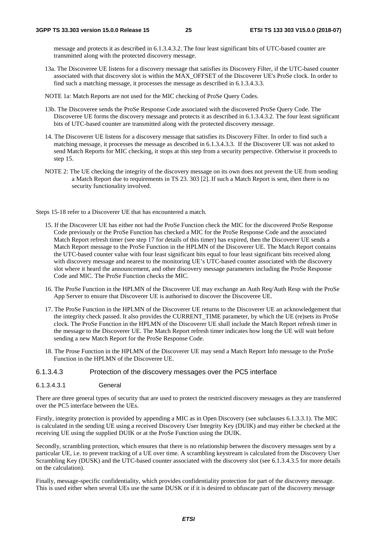message and protects it as described in 6.1.3.4.3.2. The four least significant bits of UTC-based counter are transmitted along with the protected discovery message.

- 13a. The Discoveree UE listens for a discovery message that satisfies its Discovery Filter, if the UTC-based counter associated with that discovery slot is within the MAX\_OFFSET of the Discoverer UE's ProSe clock. In order to find such a matching message, it processes the message as described in 6.1.3.4.3.3.
- NOTE 1a: Match Reports are not used for the MIC checking of ProSe Query Codes.
- 13b. The Discoveree sends the ProSe Response Code associated with the discovered ProSe Query Code. The Discoveree UE forms the discovery message and protects it as described in 6.1.3.4.3.2. The four least significant bits of UTC-based counter are transmitted along with the protected discovery message.
- 14. The Discoverer UE listens for a discovery message that satisfies its Discovery Filter. In order to find such a matching message, it processes the message as described in 6.1.3.4.3.3. If the Discoverer UE was not asked to send Match Reports for MIC checking, it stops at this step from a security perspective. Otherwise it proceeds to step 15.
- NOTE 2: The UE checking the integrity of the discovery message on its own does not prevent the UE from sending a Match Report due to requirements in TS 23. 303 [2]. If such a Match Report is sent, then there is no security functionality involved.

Steps 15-18 refer to a Discoverer UE that has encountered a match.

- 15. If the Discoverer UE has either not had the ProSe Function check the MIC for the discovered ProSe Response Code previously or the ProSe Function has checked a MIC for the ProSe Response Code and the associated Match Report refresh timer (see step 17 for details of this timer) has expired, then the Discoverer UE sends a Match Report message to the ProSe Function in the HPLMN of the Discoverer UE. The Match Report contains the UTC-based counter value with four least significant bits equal to four least significant bits received along with discovery message and nearest to the monitoring UE's UTC-based counter associated with the discovery slot where it heard the announcement, and other discovery message parameters including the ProSe Response Code and MIC. The ProSe Function checks the MIC.
- 16. The ProSe Function in the HPLMN of the Discoverer UE may exchange an Auth Req/Auth Resp with the ProSe App Server to ensure that Discoverer UE is authorised to discover the Discoveree UE.
- 17. The ProSe Function in the HPLMN of the Discoverer UE returns to the Discoverer UE an acknowledgement that the integrity check passed. It also provides the CURRENT\_TIME parameter, by which the UE (re)sets its ProSe clock. The ProSe Function in the HPLMN of the Discoverer UE shall include the Match Report refresh timer in the message to the Discoverer UE. The Match Report refresh timer indicates how long the UE will wait before sending a new Match Report for the ProSe Response Code.
- 18. The Prose Function in the HPLMN of the Discoverer UE may send a Match Report Info message to the ProSe Function in the HPLMN of the Discoveree UE.

### 6.1.3.4.3 Protection of the discovery messages over the PC5 interface

6.1.3.4.3.1 General

There are three general types of security that are used to protect the restricted discovery messages as they are transferred over the PC5 interface between the UEs.

Firstly, integrity protection is provided by appending a MIC as in Open Discovery (see subclauses 6.1.3.3.1). The MIC is calculated in the sending UE using a received Discovery User Integrity Key (DUIK) and may either be checked at the receiving UE using the supplied DUIK or at the ProSe Function using the DUIK.

Secondly, scrambling protection, which ensures that there is no relationship between the discovery messages sent by a particular UE, i.e. to prevent tracking of a UE over time. A scrambling keystream is calculated from the Discovery User Scrambling Key (DUSK) and the UTC-based counter associated with the discovery slot (see 6.1.3.4.3.5 for more details on the calculation).

Finally, message-specific confidentiality, which provides confidentiality protection for part of the discovery message. This is used either when several UEs use the same DUSK or if it is desired to obfuscate part of the discovery message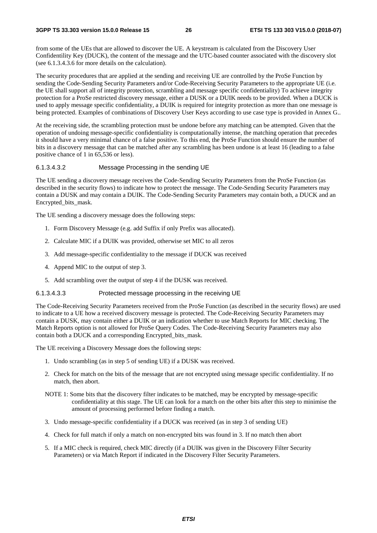from some of the UEs that are allowed to discover the UE. A keystream is calculated from the Discovery User Confidentility Key (DUCK), the content of the message and the UTC-based counter associated with the discovery slot (see 6.1.3.4.3.6 for more details on the calculation).

The security procedures that are applied at the sending and receiving UE are controlled by the ProSe Function by sending the Code-Sending Security Parameters and/or Code-Receiving Security Parameters to the appropriate UE (i.e. the UE shall support all of integrity protection, scrambling and message specific confidentiality) To achieve integrity protection for a ProSe restricted discovery message, either a DUSK or a DUIK needs to be provided. When a DUCK is used to apply message specific confidentiality, a DUIK is required for integrity protection as more than one message is being protected. Examples of combinations of Discovery User Keys according to use case type is provided in Annex G..

At the receiving side, the scrambling protection must be undone before any matching can be attempted. Given that the operation of undoing message-specific confidentiality is computationally intense, the matching operation that precedes it should have a very minimal chance of a false positive. To this end, the ProSe Function should ensure the number of bits in a discovery message that can be matched after any scrambling has been undone is at least 16 (leading to a false positive chance of 1 in 65,536 or less).

#### 6.1.3.4.3.2 Message Processing in the sending UE

The UE sending a discovery message receives the Code-Sending Security Parameters from the ProSe Function (as described in the security flows) to indicate how to protect the message. The Code-Sending Security Parameters may contain a DUSK and may contain a DUIK. The Code-Sending Security Parameters may contain both, a DUCK and an Encrypted\_bits\_mask.

The UE sending a discovery message does the following steps:

- 1. Form Discovery Message (e.g. add Suffix if only Prefix was allocated).
- 2. Calculate MIC if a DUIK was provided, otherwise set MIC to all zeros
- 3. Add message-specific confidentiality to the message if DUCK was received
- 4. Append MIC to the output of step 3.
- 5. Add scrambling over the output of step 4 if the DUSK was received.

#### 6.1.3.4.3.3 Protected message processing in the receiving UE

The Code-Receiving Security Parameters received from the ProSe Function (as described in the security flows) are used to indicate to a UE how a received discovery message is protected. The Code-Receiving Security Parameters may contain a DUSK, may contain either a DUIK or an indication whether to use Match Reports for MIC checking. The Match Reports option is not allowed for ProSe Query Codes. The Code-Receiving Security Parameters may also contain both a DUCK and a corresponding Encrypted\_bits\_mask.

The UE receiving a Discovery Message does the following steps:

- 1. Undo scrambling (as in step 5 of sending UE) if a DUSK was received.
- 2. Check for match on the bits of the message that are not encrypted using message specific confidentiality. If no match, then abort.
- NOTE 1: Some bits that the discovery filter indicates to be matched, may be encrypted by message-specific confidentiality at this stage. The UE can look for a match on the other bits after this step to minimise the amount of processing performed before finding a match.
- 3. Undo message-specific confidentiality if a DUCK was received (as in step 3 of sending UE)
- 4. Check for full match if only a match on non-encrypted bits was found in 3. If no match then abort
- 5. If a MIC check is required, check MIC directly (if a DUIK was given in the Discovery Filter Security Parameters) or via Match Report if indicated in the Discovery Filter Security Parameters.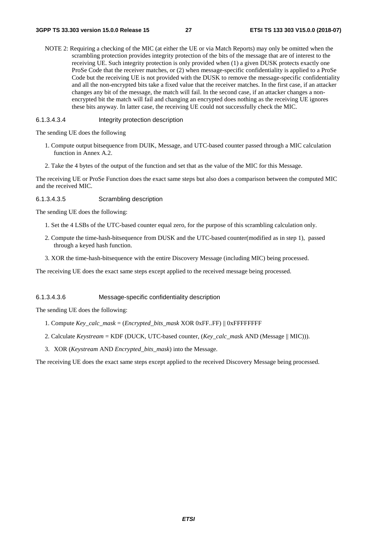NOTE 2: Requiring a checking of the MIC (at either the UE or via Match Reports) may only be omitted when the scrambling protection provides integrity protection of the bits of the message that are of interest to the receiving UE. Such integrity protection is only provided when (1) a given DUSK protects exactly one ProSe Code that the receiver matches, or (2) when message-specific confidentiality is applied to a ProSe Code but the receiving UE is not provided with the DUSK to remove the message-specific confidentiality and all the non-encrypted bits take a fixed value that the receiver matches. In the first case, if an attacker changes any bit of the message, the match will fail. In the second case, if an attacker changes a nonencrypted bit the match will fail and changing an encrypted does nothing as the receiving UE ignores these bits anyway. In latter case, the receiving UE could not successfully check the MIC.

#### 6.1.3.4.3.4 Integrity protection description

The sending UE does the following

- 1. Compute output bitsequence from DUIK, Message, and UTC-based counter passed through a MIC calculation function in Annex A.2.
- 2. Take the 4 bytes of the output of the function and set that as the value of the MIC for this Message.

The receiving UE or ProSe Function does the exact same steps but also does a comparison between the computed MIC and the received MIC.

#### 6.1.3.4.3.5 Scrambling description

The sending UE does the following:

- 1. Set the 4 LSBs of the UTC-based counter equal zero, for the purpose of this scrambling calculation only.
- 2. Compute the time-hash-bitsequence from DUSK and the UTC-based counter(modified as in step 1), passed through a keyed hash function.
- 3. XOR the time-hash-bitsequence with the entire Discovery Message (including MIC) being processed.

The receiving UE does the exact same steps except applied to the received message being processed.

#### 6.1.3.4.3.6 Message-specific confidentiality description

The sending UE does the following:

- 1. Compute *Key\_calc\_mask* = (*Encrypted\_bits\_mask* XOR 0xFF..FF) || 0xFFFFFFFF
- 2. Calculate *Keystream* = KDF (DUCK, UTC-based counter, (*Key\_calc\_mas*k AND (Message || MIC))).
- 3. XOR (*Keystream* AND *Encrypted\_bits\_mask*) into the Message.

The receiving UE does the exact same steps except applied to the received Discovery Message being processed.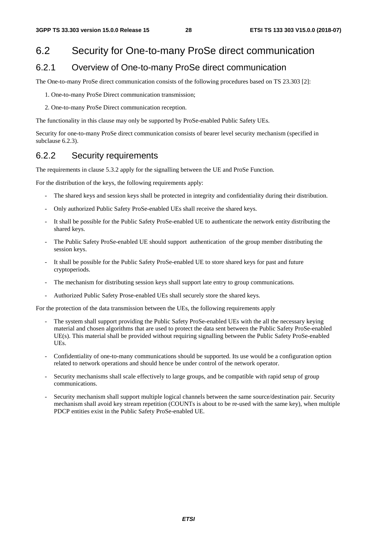## 6.2 Security for One-to-many ProSe direct communication

## 6.2.1 Overview of One-to-many ProSe direct communication

The One-to-many ProSe direct communication consists of the following procedures based on TS 23.303 [2]:

- 1. One-to-many ProSe Direct communication transmission;
- 2. One-to-many ProSe Direct communication reception.

The functionality in this clause may only be supported by ProSe-enabled Public Safety UEs.

Security for one-to-many ProSe direct communication consists of bearer level security mechanism (specified in subclause 6.2.3).

## 6.2.2 Security requirements

The requirements in clause 5.3.2 apply for the signalling between the UE and ProSe Function.

For the distribution of the keys, the following requirements apply:

- The shared keys and session keys shall be protected in integrity and confidentiality during their distribution.
- Only authorized Public Safety ProSe-enabled UEs shall receive the shared keys.
- It shall be possible for the Public Safety ProSe-enabled UE to authenticate the network entity distributing the shared keys.
- The Public Safety ProSe-enabled UE should support authentication of the group member distributing the session keys.
- It shall be possible for the Public Safety ProSe-enabled UE to store shared keys for past and future cryptoperiods.
- The mechanism for distributing session keys shall support late entry to group communications.
- Authorized Public Safety Prose-enabled UEs shall securely store the shared keys.

For the protection of the data transmission between the UEs, the following requirements apply

- The system shall support providing the Public Safety ProSe-enabled UEs with the all the necessary keying material and chosen algorithms that are used to protect the data sent between the Public Safety ProSe-enabled UE(s). This material shall be provided without requiring signalling between the Public Safety ProSe-enabled UEs.
- Confidentiality of one-to-many communications should be supported. Its use would be a configuration option related to network operations and should hence be under control of the network operator.
- Security mechanisms shall scale effectively to large groups, and be compatible with rapid setup of group communications.
- Security mechanism shall support multiple logical channels between the same source/destination pair. Security mechanism shall avoid key stream repetition (COUNTs is about to be re-used with the same key), when multiple PDCP entities exist in the Public Safety ProSe-enabled UE.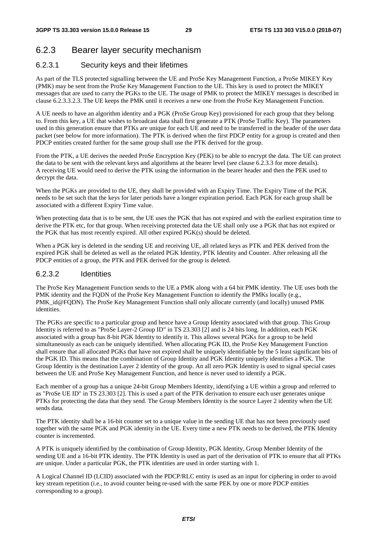## 6.2.3 Bearer layer security mechanism

### 6.2.3.1 Security keys and their lifetimes

As part of the TLS protected signalling between the UE and ProSe Key Management Function, a ProSe MIKEY Key (PMK) may be sent from the ProSe Key Management Function to the UE. This key is used to protect the MIKEY messages that are used to carry the PGKs to the UE. The usage of PMK to protect the MIKEY messages is described in clause 6.2.3.3.2.3. The UE keeps the PMK until it receives a new one from the ProSe Key Management Function.

A UE needs to have an algorithm identity and a PGK (ProSe Group Key) provisioned for each group that they belong to. From this key, a UE that wishes to broadcast data shall first generate a PTK (ProSe Traffic Key). The parameters used in this generation ensure that PTKs are unique for each UE and need to be transferred in the header of the user data packet (see below for more information). The PTK is derived when the first PDCP entity for a group is created and then PDCP entities created further for the same group shall use the PTK derived for the group.

From the PTK, a UE derives the needed ProSe Encryption Key (PEK) to be able to encrypt the data. The UE can protect the data to be sent with the relevant keys and algorithms at the bearer level (see clause 6.2.3.3 for more details). A receiving UE would need to derive the PTK using the information in the bearer header and then the PEK used to decrypt the data.

When the PGKs are provided to the UE, they shall be provided with an Expiry Time. The Expiry Time of the PGK needs to be set such that the keys for later periods have a longer expiration period. Each PGK for each group shall be associated with a different Expiry Time value.

When protecting data that is to be sent, the UE uses the PGK that has not expired and with the earliest expiration time to derive the PTK etc, for that group. When receiving protected data the UE shall only use a PGK that has not expired or the PGK that has most recently expired. All other expired PGK(s) should be deleted.

When a PGK key is deleted in the sending UE and receiving UE, all related keys as PTK and PEK derived from the expired PGK shall be deleted as well as the related PGK Identity, PTK Identity and Counter. After releasing all the PDCP entities of a group, the PTK and PEK derived for the group is deleted.

#### 6.2.3.2 Identities

The ProSe Key Management Function sends to the UE a PMK along with a 64 bit PMK identity. The UE uses both the PMK identity and the FQDN of the ProSe Key Management Function to identify the PMKs locally (e.g., PMK\_id@FQDN). The ProSe Key Management Function shall only allocate currently (and locally) unused PMK identities.

The PGKs are specific to a particular group and hence have a Group Identity associated with that group. This Group Identity is referred to as "ProSe Layer-2 Group ID" in TS 23.303 [2] and is 24 bits long. In addition, each PGK associated with a group has 8-bit PGK Identity to identify it. This allows several PGKs for a group to be held simultaneously as each can be uniquely identified. When allocating PGK ID, the ProSe Key Management Function shall ensure that all allocated PGKs that have not expired shall be uniquely identifiable by the 5 least significant bits of the PGK ID. This means that the combination of Group Identity and PGK Identity uniquely identifies a PGK. The Group Identity is the destination Layer 2 identity of the group. An all zero PGK Identity is used to signal special cases between the UE and ProSe Key Management Function, and hence is never used to identify a PGK.

Each member of a group has a unique 24-bit Group Members Identity, identifying a UE within a group and referred to as "ProSe UE ID" in TS 23.303 [2]. This is used a part of the PTK derivation to ensure each user generates unique PTKs for protecting the data that they send. The Group Members Identity is the source Layer 2 identity when the UE sends data.

The PTK identity shall be a 16-bit counter set to a unique value in the sending UE that has not been previously used together with the same PGK and PGK identity in the UE. Every time a new PTK needs to be derived, the PTK Identity counter is incremented.

A PTK is uniquely identified by the combination of Group Identity, PGK Identity, Group Member Identity of the sending UE and a 16-bit PTK identity. The PTK Identity is used as part of the derivation of PTK to ensure that all PTKs are unique. Under a particular PGK, the PTK identities are used in order starting with 1.

A Logical Channel ID (LCID) associated with the PDCP/RLC entity is used as an input for ciphering in order to avoid key stream repetition (i.e., to avoid counter being re-used with the same PEK by one or more PDCP entities corresponding to a group).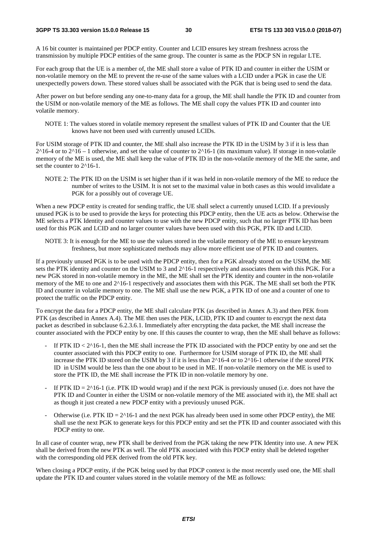A 16 bit counter is maintained per PDCP entity. Counter and LCID ensures key stream freshness across the transmission by multiple PDCP entities of the same group. The counter is same as the PDCP SN in regular LTE.

For each group that the UE is a member of, the ME shall store a value of PTK ID and counter in either the USIM or non-volatile memory on the ME to prevent the re-use of the same values with a LCID under a PGK in case the UE unexpectedly powers down. These stored values shall be associated with the PGK that is being used to send the data.

After power on but before sending any one-to-many data for a group, the ME shall handle the PTK ID and counter from the USIM or non-volatile memory of the ME as follows. The ME shall copy the values PTK ID and counter into volatile memory.

NOTE 1: The values stored in volatile memory represent the smallest values of PTK ID and Counter that the UE knows have not been used with currently unused LCIDs.

For USIM storage of PTK ID and counter, the ME shall also increase the PTK ID in the USIM by 3 if it is less than  $2^{\wedge}16$ -4 or to  $2^{\wedge}16$  – 1 otherwise, and set the value of counter to  $2^{\wedge}16$ -1 (its maximum value). If storage in non-volatile memory of the ME is used, the ME shall keep the value of PTK ID in the non-volatile memory of the ME the same, and set the counter to  $2^{\wedge}16$ -1.

NOTE 2: The PTK ID on the USIM is set higher than if it was held in non-volatile memory of the ME to reduce the number of writes to the USIM. It is not set to the maximal value in both cases as this would invalidate a PGK for a possibly out of coverage UE.

When a new PDCP entity is created for sending traffic, the UE shall select a currently unused LCID. If a previously unused PGK is to be used to provide the keys for protecting this PDCP entity, then the UE acts as below. Otherwise the ME selects a PTK Identity and counter values to use with the new PDCP entity, such that no larger PTK ID has been used for this PGK and LCID and no larger counter values have been used with this PGK, PTK ID and LCID.

NOTE 3: It is enough for the ME to use the values stored in the volatile memory of the ME to ensure keystream freshness, but more sophisticated methods may allow more efficient use of PTK ID and counters.

If a previously unused PGK is to be used with the PDCP entity, then for a PGK already stored on the USIM, the ME sets the PTK identity and counter on the USIM to 3 and  $2^{\wedge}16$ -1 respectively and associates them with this PGK. For a new PGK stored in non-volatile memory in the ME, the ME shall set the PTK identity and counter in the non-volatile memory of the ME to one and 2^16-1 respectively and associates them with this PGK. The ME shall set both the PTK ID and counter in volatile memory to one. The ME shall use the new PGK, a PTK ID of one and a counter of one to protect the traffic on the PDCP entity.

To encrypt the data for a PDCP entity, the ME shall calculate PTK (as described in Annex A.3) and then PEK from PTK (as described in Annex A.4). The ME then uses the PEK, LCID, PTK ID and counter to encrypt the next data packet as described in subclause 6.2.3.6.1. Immediately after encrypting the data packet, the ME shall increase the counter associated with the PDCP entity by one. If this causes the counter to wrap, then the ME shall behave as follows:

- If PTK ID  $<$  2^16-1, then the ME shall increase the PTK ID associated with the PDCP entity by one and set the counter associated with this PDCP entity to one. Furthermore for USIM storage of PTK ID, the ME shall increase the PTK ID stored on the USIM by 3 if it is less than 2^16-4 or to 2^16-1 otherwise if the stored PTK ID in USIM would be less than the one about to be used in ME. If non-volatile memory on the ME is used to store the PTK ID, the ME shall increase the PTK ID in non-volatile memory by one.
- If PTK ID =  $2^{\text{A}}16-1$  (i.e. PTK ID would wrap) and if the next PGK is previously unused (i.e. does not have the PTK ID and Counter in either the USIM or non-volatile memory of the ME associated with it), the ME shall act as though it just created a new PDCP entity with a previously unused PGK.
- Otherwise (i.e. PTK ID =  $2^{\text{A}}16-1$  and the next PGK has already been used in some other PDCP entity), the ME shall use the next PGK to generate keys for this PDCP entity and set the PTK ID and counter associated with this PDCP entity to one.

In all case of counter wrap, new PTK shall be derived from the PGK taking the new PTK Identity into use. A new PEK shall be derived from the new PTK as well. The old PTK associated with this PDCP entity shall be deleted together with the corresponding old PEK derived from the old PTK key.

When closing a PDCP entity, if the PGK being used by that PDCP context is the most recently used one, the ME shall update the PTK ID and counter values stored in the volatile memory of the ME as follows: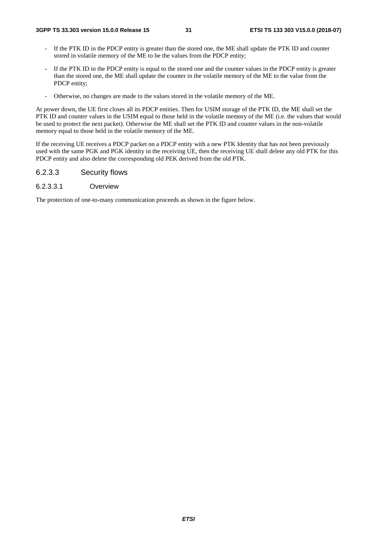- If the PTK ID in the PDCP entity is greater than the stored one, the ME shall update the PTK ID and counter stored in volatile memory of the ME to be the values from the PDCP entity;
- If the PTK ID in the PDCP entity is equal to the stored one and the counter values in the PDCP entity is greater than the stored one, the ME shall update the counter in the volatile memory of the ME to the value from the PDCP entity;
- Otherwise, no changes are made to the values stored in the volatile memory of the ME.

At power down, the UE first closes all its PDCP entities. Then for USIM storage of the PTK ID, the ME shall set the PTK ID and counter values in the USIM equal to those held in the volatile memory of the ME (i.e. the values that would be used to protect the next packet). Otherwise the ME shall set the PTK ID and counter values in the non-volatile memory equal to those held in the volatile memory of the ME.

If the receiving UE receives a PDCP packet on a PDCP entity with a new PTK Identity that has not been previously used with the same PGK and PGK identity in the receiving UE, then the receiving UE shall delete any old PTK for this PDCP entity and also delete the corresponding old PEK derived from the old PTK.

## 6.2.3.3 Security flows

6.2.3.3.1 Overview

The protection of one-to-many communication proceeds as shown in the figure below.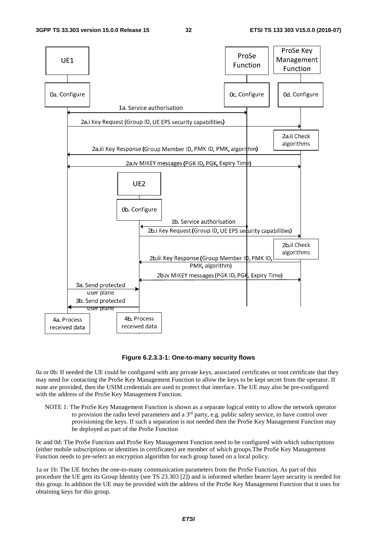

#### **Figure 6.2.3.3-1: One-to-many security flows**

0a or 0b: If needed the UE could be configured with any private keys, associated certificates or root certificate that they may need for contacting the ProSe Key Management Function to allow the keys to be kept secret from the operator. If none are provided, then the USIM credentials are used to protect that interface. The UE may also be pre-configured with the address of the ProSe Key Management Function.

NOTE 1: The ProSe Key Management Function is shown as a separate logical entity to allow the network operator to provision the radio level parameters and a  $3<sup>rd</sup>$  party, e.g. public safety service, to have control over provisioning the keys. If such a separation is not needed then the ProSe Key Management Function may be deployed as part of the ProSe Function

0c and 0d: The ProSe Function and ProSe Key Management Function need to be configured with which subscriptions (either mobile subscriptions or identities in certificates) are member of which groups.The ProSe Key Management Function needs to pre-select an encryption algorithm for each group based on a local policy.

1a or 1b: The UE fetches the one-to-many communication parameters from the ProSe Function. As part of this procedure the UE gets its Group Identity (see TS 23.303 [2]) and is informed whether bearer layer security is needed for this group. In addition the UE may be provided with the address of the ProSe Key Management Function that it uses for obtaining keys for this group.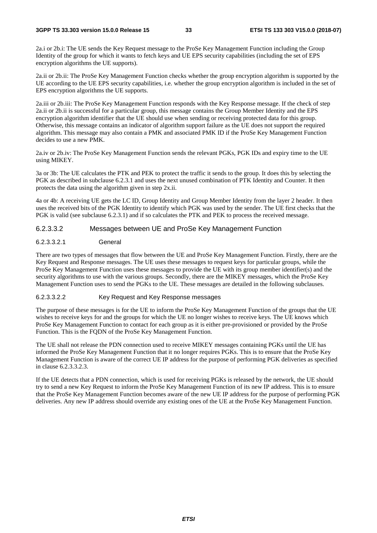2a.i or 2b.i: The UE sends the Key Request message to the ProSe Key Management Function including the Group Identity of the group for which it wants to fetch keys and UE EPS security capabilities (including the set of EPS encryption algorithms the UE supports).

2a.ii or 2b.ii: The ProSe Key Management Function checks whether the group encryption algorithm is supported by the UE according to the UE EPS security capabilities, i.e. whether the group encryption algorithm is included in the set of EPS encryption algorithms the UE supports.

2a.iii or 2b.iii: The ProSe Key Management Function responds with the Key Response message. If the check of step 2a.ii or 2b.ii is successful for a particular group, this message contains the Group Member Identity and the EPS encryption algorithm identifier that the UE should use when sending or receiving protected data for this group. Otherwise, this message contains an indicator of algorithm support failure as the UE does not support the required algorithm. This message may also contain a PMK and associated PMK ID if the ProSe Key Management Function decides to use a new PMK.

2a.iv or 2b.iv: The ProSe Key Management Function sends the relevant PGKs, PGK IDs and expiry time to the UE using MIKEY.

3a or 3b: The UE calculates the PTK and PEK to protect the traffic it sends to the group. It does this by selecting the PGK as described in subclause 6.2.3.1 and uses the next unused combination of PTK Identity and Counter. It then protects the data using the algorithm given in step 2x.ii.

4a or 4b: A receiving UE gets the LC ID, Group Identity and Group Member Identity from the layer 2 header. It then uses the received bits of the PGK Identity to identify which PGK was used by the sender. The UE first checks that the PGK is valid (see subclause 6.2.3.1) and if so calculates the PTK and PEK to process the received message.

#### 6.2.3.3.2 Messages between UE and ProSe Key Management Function

#### 6.2.3.3.2.1 General

There are two types of messages that flow between the UE and ProSe Key Management Function. Firstly, there are the Key Request and Response messages. The UE uses these messages to request keys for particular groups, while the ProSe Key Management Function uses these messages to provide the UE with its group member identifier(s) and the security algorithms to use with the various groups. Secondly, there are the MIKEY messages, which the ProSe Key Management Function uses to send the PGKs to the UE. These messages are detailed in the following subclauses.

#### 6.2.3.3.2.2 Key Request and Key Response messages

The purpose of these messages is for the UE to inform the ProSe Key Management Function of the groups that the UE wishes to receive keys for and the groups for which the UE no longer wishes to receive keys. The UE knows which ProSe Key Management Function to contact for each group as it is either pre-provisioned or provided by the ProSe Function. This is the FQDN of the ProSe Key Management Function.

The UE shall not release the PDN connection used to receive MIKEY messages containing PGKs until the UE has informed the ProSe Key Management Function that it no longer requires PGKs. This is to ensure that the ProSe Key Management Function is aware of the correct UE IP address for the purpose of performing PGK deliveries as specified in clause 6.2.3.3.2.3.

If the UE detects that a PDN connection, which is used for receiving PGKs is released by the network, the UE should try to send a new Key Request to inform the ProSe Key Management Function of its new IP address. This is to ensure that the ProSe Key Management Function becomes aware of the new UE IP address for the purpose of performing PGK deliveries. Any new IP address should override any existing ones of the UE at the ProSe Key Management Function.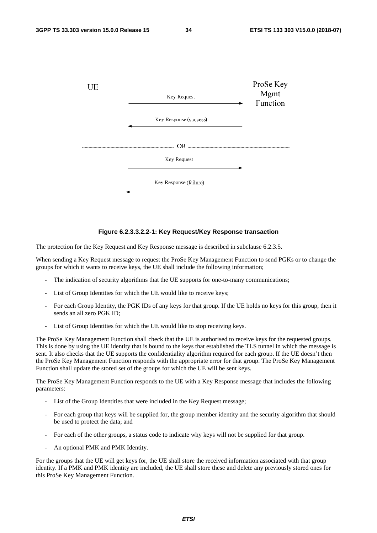

#### **Figure 6.2.3.3.2.2-1: Key Request/Key Response transaction**

The protection for the Key Request and Key Response message is described in subclause 6.2.3.5.

When sending a Key Request message to request the ProSe Key Management Function to send PGKs or to change the groups for which it wants to receive keys, the UE shall include the following information;

- The indication of security algorithms that the UE supports for one-to-many communications;
- List of Group Identities for which the UE would like to receive keys;
- For each Group Identity, the PGK IDs of any keys for that group. If the UE holds no keys for this group, then it sends an all zero PGK ID:
- List of Group Identities for which the UE would like to stop receiving keys.

The ProSe Key Management Function shall check that the UE is authorised to receive keys for the requested groups. This is done by using the UE identity that is bound to the keys that established the TLS tunnel in which the message is sent. It also checks that the UE supports the confidentiality algorithm required for each group. If the UE doesn't then the ProSe Key Management Function responds with the appropriate error for that group. The ProSe Key Management Function shall update the stored set of the groups for which the UE will be sent keys.

The ProSe Key Management Function responds to the UE with a Key Response message that includes the following parameters:

- List of the Group Identities that were included in the Key Request message;
- For each group that keys will be supplied for, the group member identity and the security algorithm that should be used to protect the data; and
- For each of the other groups, a status code to indicate why keys will not be supplied for that group.
- An optional PMK and PMK Identity.

For the groups that the UE will get keys for, the UE shall store the received information associated with that group identity. If a PMK and PMK identity are included, the UE shall store these and delete any previously stored ones for this ProSe Key Management Function.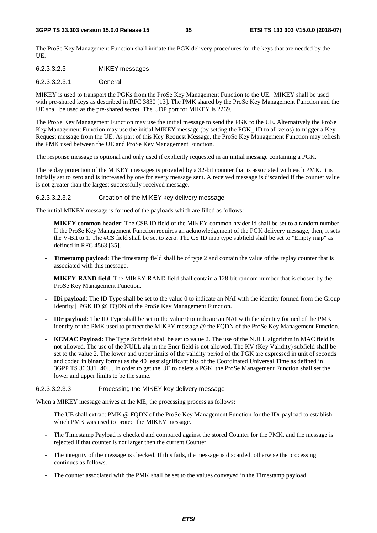The ProSe Key Management Function shall initiate the PGK delivery procedures for the keys that are needed by the UE.

6.2.3.3.2.3 MIKEY messages

#### 6.2.3.3.2.3.1 General

MIKEY is used to transport the PGKs from the ProSe Key Management Function to the UE. MIKEY shall be used with pre-shared keys as described in RFC 3830 [13]. The PMK shared by the ProSe Key Management Function and the UE shall be used as the pre-shared secret. The UDP port for MIKEY is 2269.

The ProSe Key Management Function may use the initial message to send the PGK to the UE. Alternatively the ProSe Key Management Function may use the initial MIKEY message (by setting the PGK\_ ID to all zeros) to trigger a Key Request message from the UE. As part of this Key Request Message, the ProSe Key Management Function may refresh the PMK used between the UE and ProSe Key Management Function.

The response message is optional and only used if explicitly requested in an initial message containing a PGK.

The replay protection of the MIKEY messages is provided by a 32-bit counter that is associated with each PMK. It is initially set to zero and is increased by one for every message sent. A received message is discarded if the counter value is not greater than the largest successfully received message.

#### 6.2.3.3.2.3.2 Creation of the MIKEY key delivery message

The initial MIKEY message is formed of the payloads which are filled as follows:

- **MIKEY common header**: The CSB ID field of the MIKEY common header id shall be set to a random number. If the ProSe Key Management Function requires an acknowledgement of the PGK delivery message, then, it sets the V-Bit to 1. The #CS field shall be set to zero. The CS ID map type subfield shall be set to "Empty map" as defined in RFC 4563 [35].
- **Timestamp payload**: The timestamp field shall be of type 2 and contain the value of the replay counter that is associated with this message.
- **MIKEY-RAND field**: The MIKEY-RAND field shall contain a 128-bit random number that is chosen by the ProSe Key Management Function.
- **IDi payload**: The ID Type shall be set to the value 0 to indicate an NAI with the identity formed from the Group Identity || PGK ID @ FQDN of the ProSe Key Management Function.
- **IDr payload**: The ID Type shall be set to the value 0 to indicate an NAI with the identity formed of the PMK identity of the PMK used to protect the MIKEY message @ the FQDN of the ProSe Key Management Function.
- **KEMAC Payload**: The Type Subfield shall be set to value 2. The use of the NULL algorithm in MAC field is not allowed. The use of the NULL alg in the Encr field is not allowed. The KV (Key Validity) subfield shall be set to the value 2. The lower and upper limits of the validity period of the PGK are expressed in unit of seconds and coded in binary format as the 40 least significant bits of the Coordinated Universal Time as defined in 3GPP TS 36.331 [40]. . In order to get the UE to delete a PGK, the ProSe Management Function shall set the lower and upper limits to be the same.

#### 6.2.3.3.2.3.3 Processing the MIKEY key delivery message

When a MIKEY message arrives at the ME, the processing process as follows:

- The UE shall extract PMK @ FQDN of the ProSe Key Management Function for the IDr payload to establish which PMK was used to protect the MIKEY message.
- The Timestamp Payload is checked and compared against the stored Counter for the PMK, and the message is rejected if that counter is not larger then the current Counter.
- The integrity of the message is checked. If this fails, the message is discarded, otherwise the processing continues as follows.
- The counter associated with the PMK shall be set to the values conveyed in the Timestamp payload.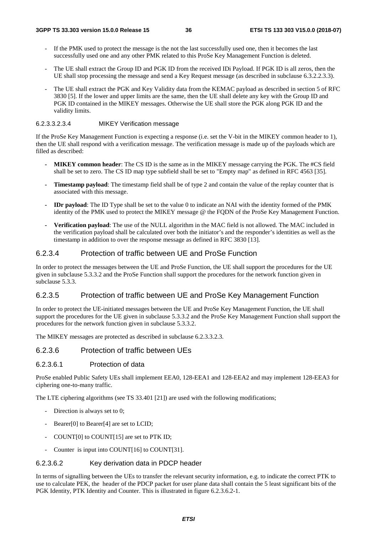- If the PMK used to protect the message is the not the last successfully used one, then it becomes the last successfully used one and any other PMK related to this ProSe Key Management Function is deleted.
- The UE shall extract the Group ID and PGK ID from the received IDi Payload. If PGK ID is all zeros, then the UE shall stop processing the message and send a Key Request message (as described in subclause 6.3.2.2.3.3).
- The UE shall extract the PGK and Key Validity data from the KEMAC payload as described in section 5 of RFC 3830 [5]. If the lower and upper limits are the same, then the UE shall delete any key with the Group ID and PGK ID contained in the MIKEY messages. Otherwise the UE shall store the PGK along PGK ID and the validity limits.

## 6.2.3.3.2.3.4 MIKEY Verification message

If the ProSe Key Management Function is expecting a response (i.e. set the V-bit in the MIKEY common header to 1), then the UE shall respond with a verification message. The verification message is made up of the payloads which are filled as described:

- **MIKEY common header**: The CS ID is the same as in the MIKEY message carrying the PGK. The #CS field shall be set to zero. The CS ID map type subfield shall be set to "Empty map" as defined in RFC 4563 [35].
- **Timestamp payload**: The timestamp field shall be of type 2 and contain the value of the replay counter that is associated with this message.
- **IDr payload**: The ID Type shall be set to the value 0 to indicate an NAI with the identity formed of the PMK identity of the PMK used to protect the MIKEY message @ the FODN of the ProSe Key Management Function.
- **Verification payload**: The use of the NULL algorithm in the MAC field is not allowed. The MAC included in the verification payload shall be calculated over both the initiator's and the responder's identities as well as the timestamp in addition to over the response message as defined in RFC 3830 [13].

## 6.2.3.4 Protection of traffic between UE and ProSe Function

In order to protect the messages between the UE and ProSe Function, the UE shall support the procedures for the UE given in subclause 5.3.3.2 and the ProSe Function shall support the procedures for the network function given in subclause 5.3.3.

# 6.2.3.5 Protection of traffic between UE and ProSe Key Management Function

In order to protect the UE-initiated messages between the UE and ProSe Key Management Function, the UE shall support the procedures for the UE given in subclause 5.3.3.2 and the ProSe Key Management Function shall support the procedures for the network function given in subclause 5.3.3.2.

The MIKEY messages are protected as described in subclause 6.2.3.3.2.3.

## 6.2.3.6 Protection of traffic between UEs

## 6.2.3.6.1 Protection of data

ProSe enabled Public Safety UEs shall implement EEA0, 128-EEA1 and 128-EEA2 and may implement 128-EEA3 for ciphering one-to-many traffic.

The LTE ciphering algorithms (see TS 33.401 [21]) are used with the following modifications;

- Direction is always set to 0;
- Bearer[0] to Bearer[4] are set to LCID;
- COUNT[0] to COUNT[15] are set to PTK ID;
- Counter is input into COUNT[16] to COUNT[31].

## 6.2.3.6.2 Key derivation data in PDCP header

In terms of signalling between the UEs to transfer the relevant security information, e.g. to indicate the correct PTK to use to calculate PEK, the header of the PDCP packet for user plane data shall contain the 5 least significant bits of the PGK Identity, PTK Identity and Counter. This is illustrated in figure 6.2.3.6.2-1.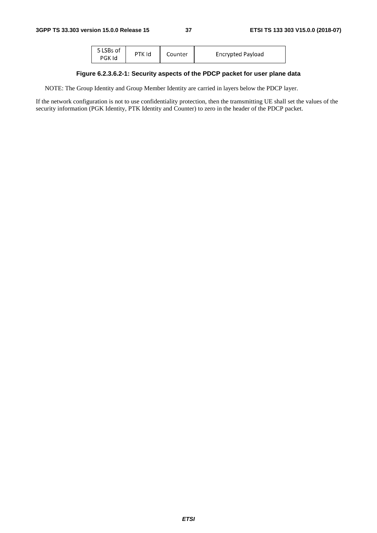| 5 LSBs of<br>PGK Id | PTK Id | Counter | Encrypted Payload |
|---------------------|--------|---------|-------------------|
|---------------------|--------|---------|-------------------|

## **Figure 6.2.3.6.2-1: Security aspects of the PDCP packet for user plane data**

NOTE: The Group Identity and Group Member Identity are carried in layers below the PDCP layer.

If the network configuration is not to use confidentiality protection, then the tramsmitting UE shall set the values of the security information (PGK Identity, PTK Identity and Counter) to zero in the header of the PDCP packet.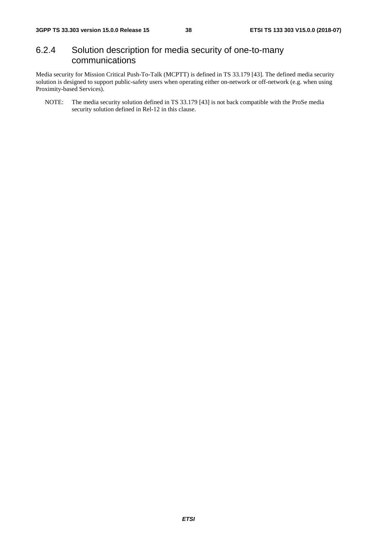# 6.2.4 Solution description for media security of one-to-many communications

Media security for Mission Critical Push-To-Talk (MCPTT) is defined in TS 33.179 [43]. The defined media security solution is designed to support public-safety users when operating either on-network or off-network (e.g. when using Proximity-based Services).

NOTE: The media security solution defined in TS 33.179 [43] is not back compatible with the ProSe media security solution defined in Rel-12 in this clause.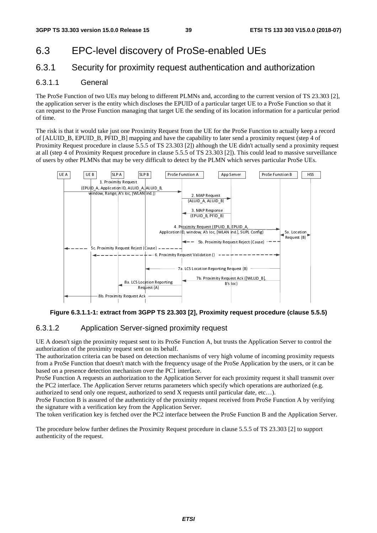# 6.3 EPC-level discovery of ProSe-enabled UEs

# 6.3.1 Security for proximity request authentication and authorization

## 6.3.1.1 General

The ProSe Function of two UEs may belong to different PLMNs and, according to the current version of TS 23.303 [2], the application server is the entity which discloses the EPUID of a particular target UE to a ProSe Function so that it can request to the Prose Function managing that target UE the sending of its location information for a particular period of time.

The risk is that it would take just one Proximity Request from the UE for the ProSe Function to actually keep a record of [ALUID\_B, EPUID\_B, PFID\_B] mapping and have the capability to later send a proximity request (step 4 of Proximity Request procedure in clause 5.5.5 of TS 23.303 [2]) although the UE didn't actually send a proximity request at all (step 4 of Proximity Request procedure in clause 5.5.5 of TS 23.303 [2]). This could lead to massive surveillance of users by other PLMNs that may be very difficult to detect by the PLMN which serves particular ProSe UEs.



**Figure 6.3.1.1-1: extract from 3GPP TS 23.303 [2], Proximity request procedure (clause 5.5.5)** 

## 6.3.1.2 Application Server-signed proximity request

UE A doesn't sign the proximity request sent to its ProSe Function A, but trusts the Application Server to control the authorization of the proximity request sent on its behalf.

The authorization criteria can be based on detection mechanisms of very high volume of incoming proximity requests from a ProSe Function that doesn't match with the frequency usage of the ProSe Application by the users, or it can be based on a presence detection mechanism over the PC1 interface.

ProSe Function A requests an authorization to the Application Server for each proximity request it shall transmit over the PC2 interface. The Application Server returns parameters which specify which operations are authorized (e.g. authorized to send only one request, authorized to send  $X$  requests until particular date, etc...).

ProSe Function B is assured of the authenticity of the proximity request received from ProSe Function A by verifying the signature with a verification key from the Application Server.

The token verification key is fetched over the PC2 interface between the ProSe Function B and the Application Server.

The procedure below further defines the Proximity Request procedure in clause 5.5.5 of TS 23.303 [2] to support authenticity of the request.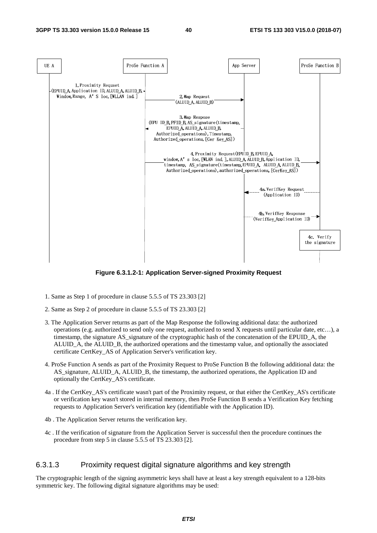

**Figure 6.3.1.2-1: Application Server-signed Proximity Request** 

- 1. Same as Step 1 of procedure in clause 5.5.5 of TS 23.303 [2]
- 2. Same as Step 2 of procedure in clause 5.5.5 of TS 23.303 [2]
- 3. The Application Server returns as part of the Map Response the following additional data: the authorized operations (e.g. authorized to send only one request, authorized to send X requests until particular date, etc…), a timestamp, the signature AS\_signature of the cryptographic hash of the concatenation of the EPUID\_A, the ALUID\_A, the ALUID\_B, the authorized operations and the timestamp value, and optionally the associated certificate CertKey\_AS of Application Server's verification key.
- 4. ProSe Function A sends as part of the Proximity Request to ProSe Function B the following additional data: the AS\_signature, ALUID\_A, ALUID\_B, the timestamp, the authorized operations, the Application ID and optionally the CertKey\_AS's certificate.
- 4a . If the CertKey\_AS's certificate wasn't part of the Proximity request, or that either the CertKey\_AS's certificate or verification key wasn't stored in internal memory, then ProSe Function B sends a Verification Key fetching requests to Application Server's verification key (identifiable with the Application ID).
- 4b . The Application Server returns the verification key.
- 4c . If the verification of signature from the Application Server is successful then the procedure continues the procedure from step 5 in clause 5.5.5 of TS 23.303 [2].

### 6.3.1.3 Proximity request digital signature algorithms and key strength

The cryptographic length of the signing asymmetric keys shall have at least a key strength equivalent to a 128-bits symmetric key. The following digital signature algorithms may be used: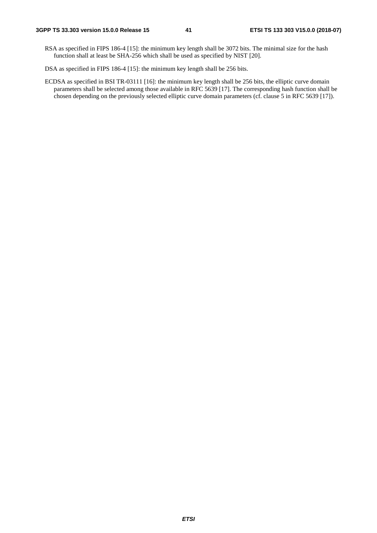- RSA as specified in FIPS 186-4 [15]: the minimum key length shall be 3072 bits. The minimal size for the hash function shall at least be SHA-256 which shall be used as specified by NIST [20].
- DSA as specified in FIPS 186-4 [15]: the minimum key length shall be 256 bits.
- ECDSA as specified in BSI TR-03111 [16]: the minimum key length shall be 256 bits, the elliptic curve domain parameters shall be selected among those available in RFC 5639 [17]. The corresponding hash function shall be chosen depending on the previously selected elliptic curve domain parameters (cf. clause 5 in RFC 5639 [17]).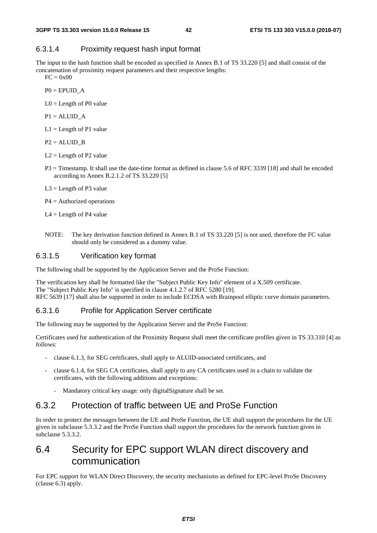### 6.3.1.4 Proximity request hash input format

The input to the hash function shall be encoded as specified in Annex B.1 of TS 33.220 [5] and shall consist of the concatenation of proximity request parameters and their respective lengths:

 $FC = 0x00$ 

 $P0 = EPUID$  A

 $LO =$  Length of P0 value

 $P1 = ALUID A$ 

- $L1 =$ Length of P1 value
- $P2 = ALUID$  B
- $L2 =$  Length of P2 value
- P3 = Timestamp. It shall use the date-time format as defined in clause 5.6 of RFC 3339 [18] and shall be encoded according to Annex B.2.1.2 of TS 33.220 [5]
- $L3 =$ Length of P3 value
- P4 = Authorized operations
- $L4 =$ Length of P4 value
- NOTE: The key derivation function defined in Annex B.1 of TS 33.220 [5] is not used, therefore the FC value should only be considered as a dummy value.

#### 6.3.1.5 Verification key format

The following shall be supported by the Application Server and the ProSe Function:

The verification key shall be formatted like the "Subject Public Key Info" element of a X.509 certificate. The "Subject Public Key Info" is specified in clause 4.1.2.7 of RFC 5280 [19]. RFC 5639 [17] shall also be supported in order to include ECDSA with Brainpool elliptic curve domain parameters.

#### 6.3.1.6 Profile for Application Server certificate

The following may be supported by the Application Server and the ProSe Function:

Certificates used for authentication of the Proximity Request shall meet the certificate profiles given in TS 33.310 [4] as follows:

- clause 6.1.3, for SEG certificates, shall apply to ALUID-associated certificates, and
- clause 6.1.4, for SEG CA certificates, shall apply to any CA certificates used in a chain to validate the certificates, with the following additions and exceptions:
	- Mandatory critical key usage: only digitalSignature shall be set.

# 6.3.2 Protection of traffic between UE and ProSe Function

In order to protect the messages between the UE and ProSe Function, the UE shall support the procedures for the UE given in subclause 5.3.3.2 and the ProSe Function shall support the procedures for the network function given in subclause  $5.3.3.2.2$ 

# 6.4 Security for EPC support WLAN direct discovery and communication

For EPC support for WLAN Direct Discovery, the security mechanisms as defined for EPC-level ProSe Discovery (clause 6.3) apply.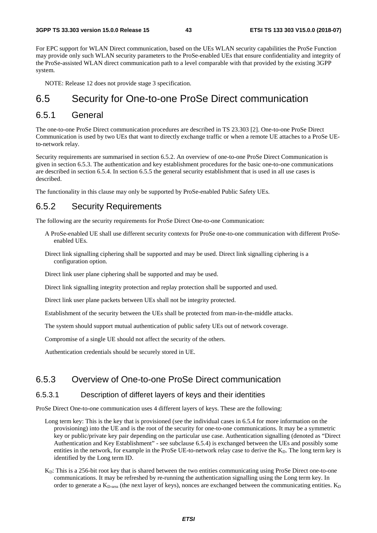For EPC support for WLAN Direct communication, based on the UEs WLAN security capabilities the ProSe Function may provide only such WLAN security parameters to the ProSe-enabled UEs that ensure confidentiality and integrity of the ProSe-assisted WLAN direct communication path to a level comparable with that provided by the existing 3GPP system.

NOTE: Release 12 does not provide stage 3 specification.

# 6.5 Security for One-to-one ProSe Direct communication

## 6.5.1 General

The one-to-one ProSe Direct communication procedures are described in TS 23.303 [2]. One-to-one ProSe Direct Communication is used by two UEs that want to directly exchange traffic or when a remote UE attaches to a ProSe UEto-network relay.

Security requirements are summarised in section 6.5.2. An overview of one-to-one ProSe Direct Communication is given in section 6.5.3. The authentication and key establishment procedures for the basic one-to-one communications are described in section 6.5.4. In section 6.5.5 the general security establishment that is used in all use cases is described.

The functionality in this clause may only be supported by ProSe-enabled Public Safety UEs.

# 6.5.2 Security Requirements

The following are the security requirements for ProSe Direct One-to-one Communication:

- A ProSe-enabled UE shall use different security contexts for ProSe one-to-one communication with different ProSeenabled UEs.
- Direct link signalling ciphering shall be supported and may be used. Direct link signalling ciphering is a configuration option.

Direct link user plane ciphering shall be supported and may be used.

Direct link signalling integrity protection and replay protection shall be supported and used.

Direct link user plane packets between UEs shall not be integrity protected.

Establishment of the security between the UEs shall be protected from man-in-the-middle attacks.

The system should support mutual authentication of public safety UEs out of network coverage.

Compromise of a single UE should not affect the security of the others.

Authentication credentials should be securely stored in UE.

## 6.5.3 Overview of One-to-one ProSe Direct communication

### 6.5.3.1 Description of differet layers of keys and their identities

ProSe Direct One-to-one communication uses 4 different layers of keys. These are the following:

- Long term key: This is the key that is provisioned (see the individual cases in 6.5.4 for more information on the provisioning) into the UE and is the root of the security for one-to-one communications. It may be a symmetric key or public/private key pair depending on the particular use case. Authentication signalling (denoted as "Direct Authentication and Key Establishment" - see subclause 6.5.4) is exchanged between the UEs and possibly some entities in the network, for example in the ProSe UE-to-network relay case to derive the  $K_D$ . The long term key is identified by the Long term ID.
- $K<sub>D</sub>$ : This is a 256-bit root key that is shared between the two entities communicating using ProSe Direct one-to-one communications. It may be refreshed by re-running the authentication signalling using the Long term key. In order to generate a  $K_{D\text{-}\mathrm{sess}}$  (the next layer of keys), nonces are exchanged between the communicating entities.  $K_D$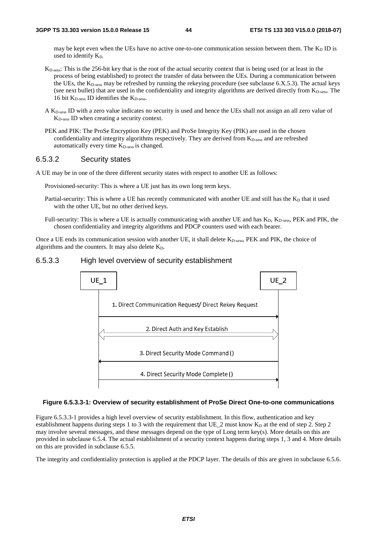may be kept even when the UEs have no active one-to-one communication session between them. The  $K_D$  ID is used to identify  $K_D$ .

- KD-sess: This is the 256-bit key that is the root of the actual security context that is being used (or at least in the process of being established) to protect the transfer of data between the UEs. During a communication between the UEs, the  $K_{D-<sub>sess</sub>}$  may be refreshed by running the rekeying procedure (see subclause 6.X.5.3). The actual keys (see next bullet) that are used in the confidentiality and integrity algorithms are derived directly from K<sub>D-sess</sub>. The 16 bit  $K_{D\text{-}\mathrm{sess}}$  ID identifies the  $K_{D\text{-}\mathrm{sess}}$ .
- A KD-sess ID with a zero value indicates no security is used and hence the UEs shall not assign an all zero value of KD-sess ID when creating a security context.
- PEK and PIK: The ProSe Encryption Key (PEK) and ProSe Integrity Key (PIK) are used in the chosen confidentiality and integrity algorithms respectively. They are derived from  $K_{D-<sub>s</sub>ess}$  and are refreshed automatically every time  $K_{D\text{-}\mathrm{sess}}$  is changed.

### 6.5.3.2 Security states

A UE may be in one of the three different security states with respect to another UE as follows:

Provisioned-security: This is where a UE just has its own long term keys.

- Partial-security: This is where a UE has recently communicated with another UE and still has the  $K_D$  that it used with the other UE, but no other derived keys.
- Full-security: This is where a UE is actually communicating with another UE and has K<sub>D</sub>, K<sub>D-sess</sub>, PEK and PIK, the chosen confidentiality and integrity algorithms and PDCP counters used with each bearer.

Once a UE ends its communication session with another UE, it shall delete K<sub>D-sess</sub>, PEK and PIK, the choice of algorithms and the counters. It may also delete  $K_D$ .

#### 6.5.3.3 High level overview of security establishment



#### **Figure 6.5.3.3-1: Overview of security establishment of ProSe Direct One-to-one communications**

Figure 6.5.3.3-1 provides a high level overview of security establishment. In this flow, authentication and key establishment happens during steps 1 to 3 with the requirement that UE 2 must know  $K_D$  at the end of step 2. Step 2 may involve several messages, and these messages depend on the type of Long term key(s). More details on this are provided in subclause 6.5.4. The actual establishment of a security context happens during steps 1, 3 and 4. More details on this are provided in subclause 6.5.5.

The integrity and confidentiality protection is applied at the PDCP layer. The details of this are given in subclause 6.5.6.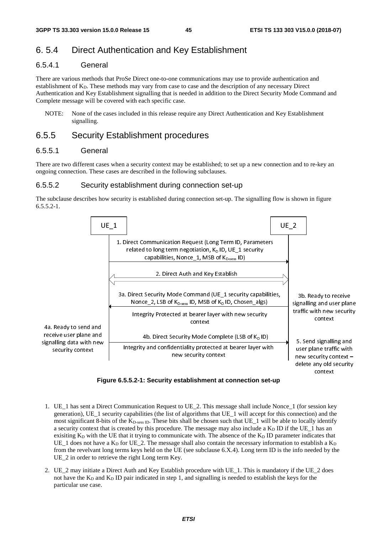# 6. 5.4 Direct Authentication and Key Establishment

## 6.5.4.1 General

There are various methods that ProSe Direct one-to-one communications may use to provide authentication and establishment of K<sub>D</sub>. These methods may vary from case to case and the description of any necessary Direct Authentication and Key Establishment signalling that is needed in addition to the Direct Security Mode Command and Complete message will be covered with each specific case.

NOTE: None of the cases included in this release require any Direct Authentication and Key Establishment signalling.

## 6.5.5 Security Establishment procedures

## 6.5.5.1 General

There are two different cases when a security context may be established; to set up a new connection and to re-key an ongoing connection. These cases are described in the following subclauses.

### 6.5.5.2 Security establishment during connection set-up

The subclause describes how security is established during connection set-up. The signalling flow is shown in figure  $6.5.5.2 - 1.$ 



**Figure 6.5.5.2-1: Security establishment at connection set-up** 

- 1. UE\_1 has sent a Direct Communication Request to UE\_2. This message shall include Nonce\_1 (for session key generation), UE  $\,$  1 security capabilities (the list of algorithms that UE  $\,$  1 will accept for this connection) and the most significant 8-bits of the  $K_{D-sess}$  ID. These bits shall be chosen such that UE 1 will be able to locally identify a security context that is created by this procedure. The message may also include a  $K_D$  ID if the UE\_1 has an exisiting  $K_D$  with the UE that it trying to communicate with. The absence of the  $K_D$  ID parameter indicates that UE\_1 does not have a  $K<sub>D</sub>$  for UE\_2. The message shall also contain the necessary information to establish a  $K<sub>D</sub>$ from the revelvant long terms keys held on the UE (see subclause 6.X.4). Long term ID is the info needed by the UE\_2 in order to retrieve the right Long term Key.
- 2. UE\_2 may initiate a Direct Auth and Key Establish procedure with UE\_1. This is mandatory if the UE\_2 does not have the  $K_D$  and  $K_D$  ID pair indicated in step 1, and signalling is needed to establish the keys for the particular use case.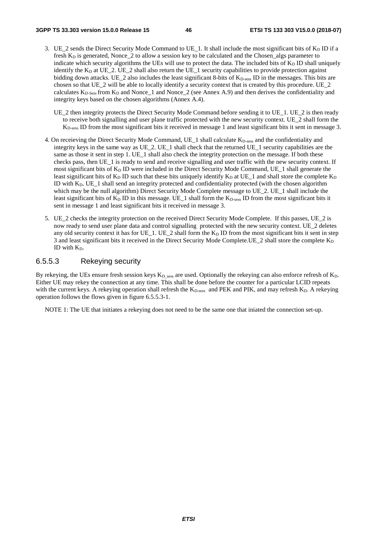- 3. UE\_2 sends the Direct Security Mode Command to UE\_1. It shall include the most significant bits of  $K_D$  ID if a fresh  $K_D$  is generated, Nonce  $2$  to allow a session key to be calculated and the Chosen\_algs parameter to indicate which security algorithms the UEs will use to protect the data. The included bits of  $K<sub>D</sub>$  ID shall uniquely identify the  $K_D$  at UE\_2. UE\_2 shall also return the UE\_1 security capabilities to provide protection against bidding down attacks. UE\_2 also includes the least significant 8-bits of K<sub>D-sess</sub> ID in the messages. This bits are chosen so that UE\_2 will be able to locally identify a security context that is created by this procedure. UE\_2 calculates  $K_{D-Sess}$  from  $K_D$  and Nonce 1 and Nonce 2 (see Annex A.9) and then derives the confidentiality and integrity keys based on the chosen algorithms (Annex A.4).
	- UE\_2 then integrity protects the Direct Security Mode Command before sending it to UE\_1. UE\_2 is then ready to receive both signalling and user plane traffic protected with the new security context. UE\_2 shall form the KD-sess ID from the most significant bits it received in message 1 and least significant bits it sent in message 3.
- 4. On receieving the Direct Security Mode Command,  $UE_1$  shall calculate  $K_{D-<sub>sess</sub>}$  and the confidentiality and integrity keys in the same way as UE\_2. UE\_1 shall check that the returned UE\_1 security capabilities are the same as those it sent in step 1. UE 1 shall also check the integrity protection on the message. If both these checks pass, then UE\_1 is ready to send and receive signalling and user traffic with the new security context. If most significant bits of  $K_D$  ID were included in the Direct Security Mode Command, UE\_1 shall generate the least significant bits of  $K_D$  ID such that these bits uniquely identify  $K_D$  at UE\_1 and shall store the complete  $K_D$ ID with  $K_D$ . UE<sub>1</sub> shall send an integrity protected and confidentiality protected (with the chosen algorithm which may be the null algorithm) Direct Security Mode Complete message to UE\_2. UE\_1 shall include the least significant bits of  $K_D$  ID in this message. UE\_1 shall form the  $K_{D\text{-}\mathrm{sess}}$  ID from the most significant bits it sent in message 1 and least significant bits it received in message 3.
- 5. UE\_2 checks the integrity protection on the received Direct Security Mode Complete. If this passes, UE\_2 is now ready to send user plane data and control signalling protected with the new security context. UE\_2 deletes any old security context it has for UE 1. UE 2 shall form the K<sub>D</sub> ID from the most significant bits it sent in step 3 and least significant bits it received in the Direct Security Mode Complete.UE 2 shall store the complete  $K_D$ ID with  $K_D$ .

## 6.5.5.3 Rekeying security

By rekeying, the UEs ensure fresh session keys  $K_D$  sess are used. Optionally the rekeying can also enforce refresh of  $K_D$ . Either UE may rekey the connection at any time. This shall be done before the counter for a particular LCID repeats with the current keys. A rekeying operation shall refresh the  $K_{D-<sub>5</sub>ess}$  and PEK and PIK, and may refresh  $K_{D}$ . A rekeying operation follows the flows given in figure 6.5.5.3-1.

NOTE 1: The UE that initiates a rekeying does not need to be the same one that iniated the connection set-up.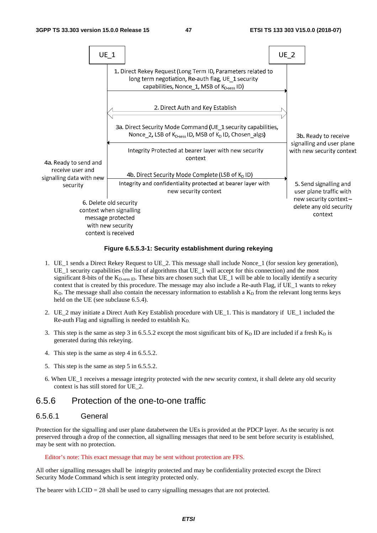

#### **Figure 6.5.5.3-1: Security establishment during rekeying**

- 1. UE\_1 sends a Direct Rekey Request to UE\_2. This message shall include Nonce\_1 (for session key generation), UE\_1 security capabilities (the list of algorithms that UE\_1 will accept for this connection) and the most significant 8-bits of the  $K_{D\text{-}\mathrm{sess\,ID}}$ . These bits are chosen such that UE\_1 will be able to locally identify a security context that is created by this procedure. The message may also include a Re-auth Flag, if UE\_1 wants to rekey  $K_D$ . The message shall also contain the necessary information to establish a  $K_D$  from the relevant long terms keys held on the UE (see subclause 6.5.4).
- 2. UE\_2 may initiate a Direct Auth Key Establish procedure with UE\_1. This is mandatory if UE\_1 included the Re-auth Flag and signalling is needed to establish  $K_D$ .
- 3. This step is the same as step 3 in 6.5.5.2 except the most significant bits of  $K<sub>D</sub>$  ID are included if a fresh  $K<sub>D</sub>$  is generated during this rekeying.
- 4. This step is the same as step 4 in 6.5.5.2.
- 5. This step is the same as step 5 in 6.5.5.2.
- 6. When UE\_1 receives a message integrity protected with the new security context, it shall delete any old security context is has still stored for UE\_2.

## 6.5.6 Protection of the one-to-one traffic

### 6.5.6.1 General

Protection for the signalling and user plane databetween the UEs is provided at the PDCP layer. As the security is not preserved through a drop of the connection, all signalling messages that need to be sent before security is established, may be sent with no protection.

#### Editor's note: This exact message that may be sent without protection are FFS.

All other signalling messages shall be integrity protected and may be confidentiality protected except the Direct Security Mode Command which is sent integrity protected only.

The bearer with  $LCD = 28$  shall be used to carry signalling messages that are not protected.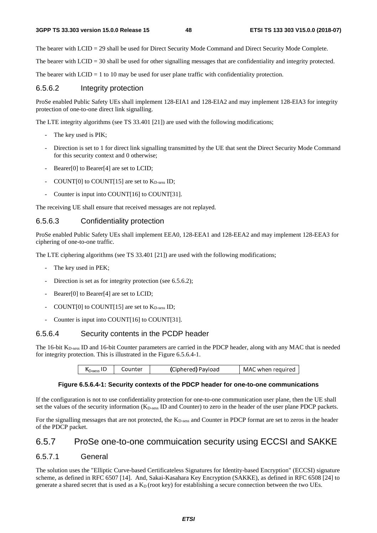The bearer with LCID = 29 shall be used for Direct Security Mode Command and Direct Security Mode Complete.

The bearer with LCID = 30 shall be used for other signalling messages that are confidentiality and integrity protected.

The bearer with  $LCD = 1$  to 10 may be used for user plane traffic with confidentiality protection.

### 6.5.6.2 Integrity protection

ProSe enabled Public Safety UEs shall implement 128-EIA1 and 128-EIA2 and may implement 128-EIA3 for integrity protection of one-to-one direct link signalling.

The LTE integrity algorithms (see TS 33.401 [21]) are used with the following modifications;

- The key used is PIK;
- Direction is set to 1 for direct link signalling transmitted by the UE that sent the Direct Security Mode Command for this security context and 0 otherwise;
- Bearer[0] to Bearer[4] are set to LCID;
- COUNT $[0]$  to COUNT $[15]$  are set to  $K_{D\text{-}\text{sess}}$  ID;
- Counter is input into COUNT[16] to COUNT[31].

The receiving UE shall ensure that received messages are not replayed.

#### 6.5.6.3 Confidentiality protection

ProSe enabled Public Safety UEs shall implement EEA0, 128-EEA1 and 128-EEA2 and may implement 128-EEA3 for ciphering of one-to-one traffic.

The LTE ciphering algorithms (see TS 33.401 [21]) are used with the following modifications;

The key used in PEK;

 $\overline{\phantom{a}}$ 

- Direction is set as for integrity protection (see 6.5.6.2);
- Bearer[0] to Bearer[4] are set to LCID;
- COUNT $[0]$  to COUNT $[15]$  are set to  $K_{D\text{-}\text{sess}}$  ID;
- Counter is input into COUNT[16] to COUNT[31].

### 6.5.6.4 Security contents in the PCDP header

The 16-bit K<sub>D-sess</sub> ID and 16-bit Counter parameters are carried in the PDCP header, along with any MAC that is needed for integrity protection. This is illustrated in the Figure 6.5.6.4-1.

| (Ciphered) Payload<br>MAC when required<br>Counter<br>ND-sess I <del>D</del> |
|------------------------------------------------------------------------------|
|------------------------------------------------------------------------------|

### **Figure 6.5.6.4-1: Security contexts of the PDCP header for one-to-one communications**

If the configuration is not to use confidentiality protection for one-to-one communication user plane, then the UE shall set the values of the security information (KD-sess ID and Counter) to zero in the header of the user plane PDCP packets.

For the signalling messages that are not protected, the K<sub>D-sess</sub> and Counter in PDCP format are set to zeros in the header of the PDCP packet.

## 6.5.7 ProSe one-to-one commuication security using ECCSI and SAKKE

### 6.5.7.1 General

The solution uses the "Elliptic Curve-based Certificateless Signatures for Identity-based Encryption" (ECCSI) signature scheme, as defined in RFC 6507 [14]. And, Sakai-Kasahara Key Encryption (SAKKE), as defined in RFC 6508 [24] to generate a shared secret that is used as a  $K_D$  (root key) for establishing a secure connection between the two UEs.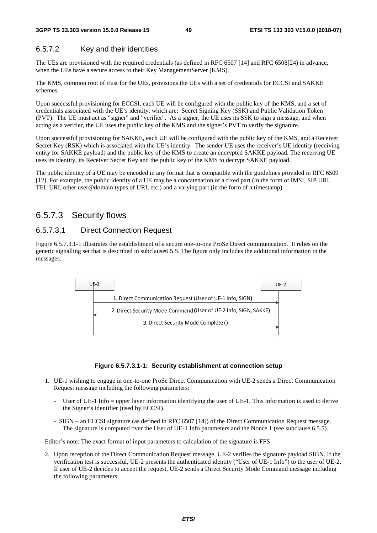## 6.5.7.2 Key and their identities

The UEs are provisioned with the required credentials (as defined in RFC 6507 [14] and RFC 6508[24) in advance, when the UEs have a secure access to their Key ManagementServer (KMS).

The KMS, common root of trust for the UEs, provisions the UEs with a set of credentials for ECCSI and SAKKE schemes.

Upon successful provisioning for ECCSI, each UE will be configured with the public key of the KMS, and a set of credentials associated with the UE's identity, which are: Secret Signing Key (SSK) and Public Validation Token (PVT). The UE must act as "signer" and "verifier". As a signer, the UE uses its SSK to sign a message, and when acting as a verifier, the UE uses the public key of the KMS and the signer's PVT to verify the signature.

Upon successful provisioning for SAKKE, each UE will be configured with the public key of the KMS, and a Receiver Secret Key (RSK) which is associated with the UE's identity. The sender UE uses the receiver's UE identity (receiving entity for SAKKE payload) and the public key of the KMS to create an encrypted SAKKE payload. The receiving UE uses its identity, its Receiver Secret Key and the public key of the KMS to decrypt SAKKE payload.

The public identity of a UE may be encoded in any format that is compatible with the guidelines provided in RFC 6509 [12]. For example, the public identity of a UE may be a concatenation of a fixed part (in the form of IMSI, SIP URI, TEL URI, other user@domain types of URI, etc.) and a varying part (in the form of a timestamp).

# 6.5.7.3 Security flows

## 6.5.7.3.1 Direct Connection Request

Figure 6.5.7.3.1-1 illustrates the establishment of a secure one-to-one ProSe Direct communication. It relies on the generic signalling set that is described in subclause6.5.5. The figure only includes the additional information in the messages.



#### **Figure 6.5.7.3.1-1: Security establishment at connection setup**

- 1. UE-1 wishing to engage in one-to-one ProSe Direct Communication with UE-2 sends a Direct Communication Request message including the following parameters:
	- User of UE-1 Info = upper layer information identifying the user of UE-1. This information is used to derive the Signer's identifier (used by ECCSI).
	- SIGN an ECCSI signature (as defined in RFC 6507 [14]) of the Direct Communication Request message. The signature is computed over the User of UE-1 Info parameters and the Nonce 1 (see subclause 6.5.5).

Editor's note: The exact format of input parameters to calculation of the signature is FFS

2. Upon reception of the Direct Communication Request message, UE-2 verifies the signature payload SIGN. If the verification test is successful, UE-2 presents the authenticated identity ("User of UE-1 Info") to the user of UE-2. If user of UE-2 decides to accept the request, UE-2 sends a Direct Security Mode Command message including the following parameters: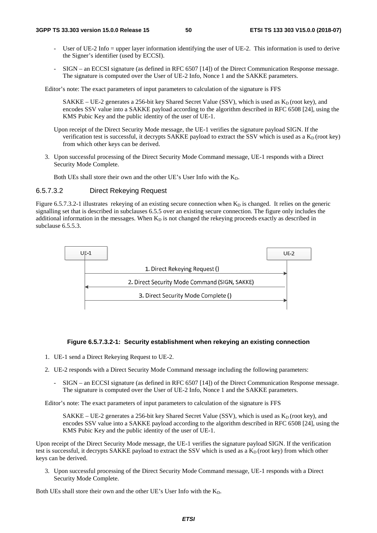- User of UE-2 Info = upper layer information identifying the user of UE-2. This information is used to derive the Signer's identifier (used by ECCSI).
- SIGN an ECCSI signature (as defined in RFC 6507 [14]) of the Direct Communication Response message. The signature is computed over the User of UE-2 Info, Nonce 1 and the SAKKE parameters.

Editor's note: The exact parameters of input parameters to calculation of the signature is FFS

SAKKE – UE-2 generates a 256-bit key Shared Secret Value (SSV), which is used as  $K_D$  (root key), and encodes SSV value into a SAKKE payload according to the algorithm described in RFC 6508 [24], using the KMS Pubic Key and the public identity of the user of UE-1.

- Upon receipt of the Direct Security Mode message, the UE-1 verifies the signature payload SIGN. If the verification test is successful, it decrypts SAKKE payload to extract the SSV which is used as a  $K_D$  (root key) from which other keys can be derived.
- 3. Upon successful processing of the Direct Security Mode Command message, UE-1 responds with a Direct Security Mode Complete.

Both UEs shall store their own and the other UE's User Info with the  $K_D$ .

## 6.5.7.3.2 Direct Rekeying Request

Figure 6.5.7.3.2-1 illustrates rekeying of an existing secure connection when  $K_D$  is changed. It relies on the generic signalling set that is described in subclauses 6.5.5 over an existing secure connection. The figure only includes the additional information in the messages. When  $K<sub>D</sub>$  is not changed the rekeying proceeds exactly as described in subclause 6.5.5.3.



#### **Figure 6.5.7.3.2-1: Security establishment when rekeying an existing connection**

- 1. UE-1 send a Direct Rekeying Request to UE-2.
- 2. UE-2 responds with a Direct Security Mode Command message including the following parameters:
	- SIGN an ECCSI signature (as defined in RFC 6507 [14]) of the Direct Communication Response message. The signature is computed over the User of UE-2 Info, Nonce 1 and the SAKKE parameters.

Editor's note: The exact parameters of input parameters to calculation of the signature is FFS

SAKKE – UE-2 generates a 256-bit key Shared Secret Value (SSV), which is used as  $K_D$  (root key), and encodes SSV value into a SAKKE payload according to the algorithm described in RFC 6508 [24], using the KMS Pubic Key and the public identity of the user of UE-1.

Upon receipt of the Direct Security Mode message, the UE-1 verifies the signature payload SIGN. If the verification test is successful, it decrypts SAKKE payload to extract the SSV which is used as a  $K<sub>D</sub>$  (root key) from which other keys can be derived.

3. Upon successful processing of the Direct Security Mode Command message, UE-1 responds with a Direct Security Mode Complete.

Both UEs shall store their own and the other UE's User Info with the  $K_D$ .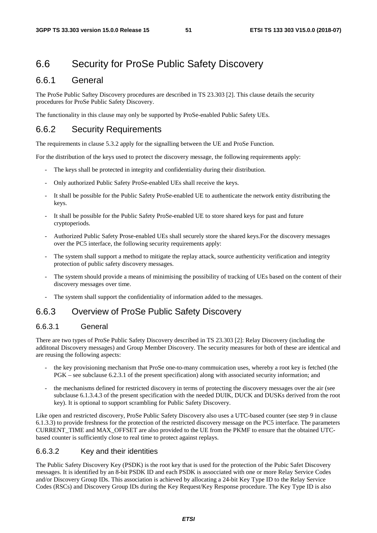# 6.6 Security for ProSe Public Safety Discovery

## 6.6.1 General

The ProSe Public Saftey Discovery procedures are described in TS 23.303 [2]. This clause details the security procedures for ProSe Public Safety Discovery.

The functionality in this clause may only be supported by ProSe-enabled Public Safety UEs.

# 6.6.2 Security Requirements

The requirements in clause 5.3.2 apply for the signalling between the UE and ProSe Function.

For the distribution of the keys used to protect the discovery message, the following requirements apply:

- The keys shall be protected in integrity and confidentiality during their distribution.
- Only authorized Public Safety ProSe-enabled UEs shall receive the keys.
- It shall be possible for the Public Safety ProSe-enabled UE to authenticate the network entity distributing the keys.
- It shall be possible for the Public Safety ProSe-enabled UE to store shared keys for past and future cryptoperiods.
- Authorized Public Safety Prose-enabled UEs shall securely store the shared keys.For the discovery messages over the PC5 interface, the following security requirements apply:
- The system shall support a method to mitigate the replay attack, source authenticity verification and integrity protection of public safety discovery messages.
- The system should provide a means of minimising the possibility of tracking of UEs based on the content of their discovery messages over time.
- The system shall support the confidentiality of information added to the messages.

# 6.6.3 Overview of ProSe Public Safety Discovery

## 6.6.3.1 General

There are two types of ProSe Public Safety Discovery described in TS 23.303 [2]: Relay Discovery (including the additonal Discovery messages) and Group Member Discovery. The security measures for both of these are identical and are reusing the following aspects:

- the key provisioning mechanism that ProSe one-to-many commuication uses, whereby a root key is fetched (the PGK – see subclause 6.2.3.1 of the present specification) along with associated security information; and
- the mechanisms defined for restricted discovery in terms of protecting the discovery messages over the air (see subclause 6.1.3.4.3 of the present specification with the needed DUIK, DUCK and DUSKs derived from the root key). It is optional to support scrambling for Public Safety Discovery.

Like open and restricted discovery, ProSe Public Safety Discovery also uses a UTC-based counter (see step 9 in clause 6.1.3.3) to provide freshness for the protection of the restricted discovery message on the PC5 interface. The parameters CURRENT\_TIME and MAX\_OFFSET are also provided to the UE from the PKMF to ensure that the obtained UTCbased counter is sufficiently close to real time to protect against replays.

### 6.6.3.2 Key and their identities

The Public Safety Discovery Key (PSDK) is the root key that is used for the protection of the Pubic Safet Discovery messages. It is identified by an 8-bit PSDK ID and each PSDK is assocciated with one or more Relay Service Codes and/or Discovery Group IDs. This association is achieved by allocating a 24-bit Key Type ID to the Relay Service Codes (RSCs) and Discovery Group IDs during the Key Request/Key Response procedure. The Key Type ID is also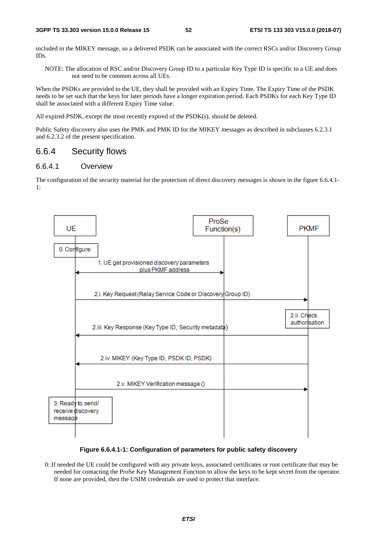included in the MIKEY message, so a delivered PSDK can be associated with the correct RSCs and/or Discovery Group IDs.

NOTE: The allocation of RSC and/or Discovery Group ID to a particular Key Type ID is specific to a UE and does not need to be common across all UEs.

When the PSDKs are provided to the UE, they shall be provided with an Expiry Time. The Expiry Time of the PSDK needs to be set such that the keys for later periods have a longer expiration period. Each PSDKs for each Key Type ID shall be associated with a different Expiry Time value.

All expired PSDK, except the most recently expired of the PSDK(s), should be deleted.

Public Safety discovery also uses the PMK and PMK ID for the MIKEY messages as described in subclauses 6.2.3.1 and 6.2.3.2 of the present specification.

## 6.6.4 Security flows

#### 6.6.4.1 Overview

The configuration of the security material for the protection of direct discovery messages is shown in the figure 6.6.4.1- 1:



**Figure 6.6.4.1-1: Configuration of parameters for public safety discovery** 

0: If needed the UE could be configured with any private keys, associated certificates or root certificate that may be needed for contacting the ProSe Key Management Function to allow the keys to be kept secret from the operator. If none are provided, then the USIM credentials are used to protect that interface.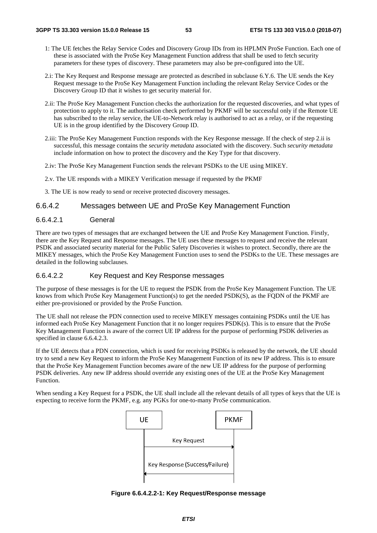- 1: The UE fetches the Relay Service Codes and Discovery Group IDs from its HPLMN ProSe Function. Each one of these is associated with the ProSe Key Management Function address that shall be used to fetch security parameters for these types of discovery. These parameters may also be pre-configured into the UE.
- 2.i: The Key Request and Response message are protected as described in subclause 6.Y.6. The UE sends the Key Request message to the ProSe Key Management Function including the relevant Relay Service Codes or the Discovery Group ID that it wishes to get security material for.
- 2.ii: The ProSe Key Management Function checks the authorization for the requested discoveries, and what types of protection to apply to it. The authorisation check performed by PKMF will be successful only if the Remote UE has subscribed to the relay service, the UE-to-Network relay is authorised to act as a relay, or if the requesting UE is in the group identified by the Discovery Group ID.
- 2.iii: The ProSe Key Management Function responds with the Key Response message. If the check of step 2.ii is successful, this message contains the *security metadata* associated with the discovery. Such *security metadata* include information on how to protect the discovery and the Key Type for that discovery.
- 2.iv: The ProSe Key Management Function sends the relevant PSDKs to the UE using MIKEY.
- 2.v. The UE responds with a MIKEY Verification message if requested by the PKMF
- 3. The UE is now ready to send or receive protected discovery messages.

## 6.6.4.2 Messages between UE and ProSe Key Management Function

### 6.6.4.2.1 General

There are two types of messages that are exchanged between the UE and ProSe Key Management Function. Firstly, there are the Key Request and Response messages. The UE uses these messages to request and receive the relevant PSDK and associated security material for the Public Safety Discoveries it wishes to protect. Secondly, there are the MIKEY messages, which the ProSe Key Management Function uses to send the PSDKs to the UE. These messages are detailed in the following subclauses.

#### 6.6.4.2.2 Key Request and Key Response messages

The purpose of these messages is for the UE to request the PSDK from the ProSe Key Management Function. The UE knows from which ProSe Key Management Function(s) to get the needed PSDK(S), as the FQDN of the PKMF are either pre-provisioned or provided by the ProSe Function.

The UE shall not release the PDN connection used to receive MIKEY messages containing PSDKs until the UE has informed each ProSe Key Management Function that it no longer requires PSDK(s). This is to ensure that the ProSe Key Management Function is aware of the correct UE IP address for the purpose of performing PSDK deliveries as specified in clause 6.6.4.2.3.

If the UE detects that a PDN connection, which is used for receiving PSDKs is released by the network, the UE should try to send a new Key Request to inform the ProSe Key Management Function of its new IP address. This is to ensure that the ProSe Key Management Function becomes aware of the new UE IP address for the purpose of performing PSDK deliveries. Any new IP address should override any existing ones of the UE at the ProSe Key Management Function.

When sending a Key Request for a PSDK, the UE shall include all the relevant details of all types of keys that the UE is expecting to receive form the PKMF, e.g. any PGKs for one-to-many ProSe communication.



**Figure 6.6.4.2.2-1: Key Request/Response message**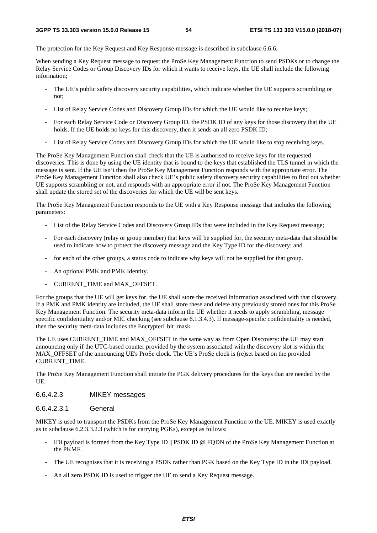The protection for the Key Request and Key Response message is described in subclause 6.6.6.

When sending a Key Request message to request the ProSe Key Management Function to send PSDKs or to change the Relay Service Codes or Group Discovery IDs for which it wants to receive keys, the UE shall include the following information;

- The UE's public safety discovery security capabilities, which indicate whether the UE supports scrambling or not;
- List of Relay Service Codes and Discovery Group IDs for which the UE would like to receive keys;
- For each Relay Service Code or Discovery Group ID, the PSDK ID of any keys for those discovery that the UE holds. If the UE holds no keys for this discovery, then it sends an all zero PSDK ID;
- List of Relay Service Codes and Discovery Group IDs for which the UE would like to stop receiving keys.

The ProSe Key Management Function shall check that the UE is authorised to receive keys for the requested discoveries. This is done by using the UE identity that is bound to the keys that established the TLS tunnel in which the message is sent. If the UE isn't then the ProSe Key Management Function responds with the appropriate error. The ProSe Key Management Function shall also check UE's public safety discovery security capabilities to find out whether UE supports scrambling or not, and responds with an appropriate error if not. The ProSe Key Management Function shall update the stored set of the discoveries for which the UE will be sent keys.

The ProSe Key Management Function responds to the UE with a Key Response message that includes the following parameters:

- List of the Relay Service Codes and Discovery Group IDs that were included in the Key Request message;
- For each discovery (relay or group member) that keys will be supplied for, the security meta-data that should be used to indicate how to protect the discovery message and the Key Type ID for the discovery; and
- for each of the other groups, a status code to indicate why keys will not be supplied for that group.
- An optional PMK and PMK Identity.
- CURRENT\_TIME and MAX\_OFFSET.

For the groups that the UE will get keys for, the UE shall store the received information associated with that discovery. If a PMK and PMK identity are included, the UE shall store these and delete any previously stored ones for this ProSe Key Management Function. The security meta-data inform the UE whether it needs to apply scrambling, message specific confidentiality and/or MIC checking (see subclause 6.1.3.4.3). If message-specific confidentiality is needed, then the security meta-data includes the Encrypted\_bit\_mask.

The UE uses CURRENT\_TIME and MAX\_OFFSET in the same way as from Open Discovery: the UE may start announcing only if the UTC-based counter provided by the system associated with the discovery slot is within the MAX\_OFFSET of the announcing UE's ProSe clock. The UE's ProSe clock is (re)set based on the provided CURRENT\_TIME.

The ProSe Key Management Function shall initiate the PGK delivery procedures for the keys that are needed by the UE.

## 6.6.4.2.3 MIKEY messages

#### 6.6.4.2.3.1 General

MIKEY is used to transport the PSDKs from the ProSe Key Management Function to the UE. MIKEY is used exactly as in subclause 6.2.3.3.2.3 (which is for carrying PGKs), except as follows:

- IDi payload is formed from the Key Type ID || PSDK ID @ FODN of the ProSe Key Management Function at the PKMF.
- The UE recognises that it is receiving a PSDK rather than PGK based on the Key Type ID in the IDi payload.
- An all zero PSDK ID is used to trigger the UE to send a Key Request message.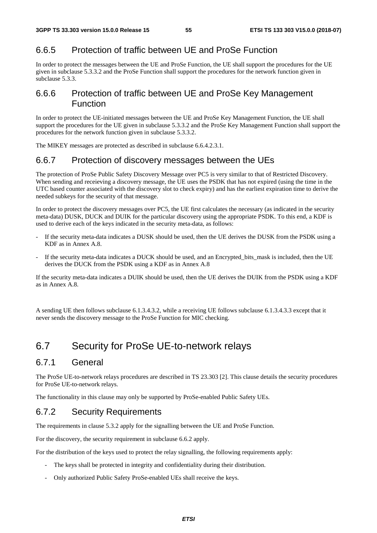# 6.6.5 Protection of traffic between UE and ProSe Function

In order to protect the messages between the UE and ProSe Function, the UE shall support the procedures for the UE given in subclause 5.3.3.2 and the ProSe Function shall support the procedures for the network function given in subclause 5.3.3.

# 6.6.6 Protection of traffic between UE and ProSe Key Management Function

In order to protect the UE-initiated messages between the UE and ProSe Key Management Function, the UE shall support the procedures for the UE given in subclause 5.3.3.2 and the ProSe Key Management Function shall support the procedures for the network function given in subclause 5.3.3.2.

The MIKEY messages are protected as described in subclause 6.6.4.2.3.1.

# 6.6.7 Protection of discovery messages between the UEs

The protection of ProSe Public Safety Discovery Message over PC5 is very similar to that of Restricted Discovery. When sending and receieving a discovery message, the UE uses the PSDK that has not expired (using the time in the UTC based counter associated with the discovery slot to check expiry) and has the earliest expiration time to derive the needed subkeys for the security of that message.

In order to protect the discovery messages over PC5, the UE first calculates the necessary (as indicated in the security meta-data) DUSK, DUCK and DUIK for the particular discovery using the appropriate PSDK. To this end, a KDF is used to derive each of the keys indicated in the security meta-data, as follows:

- If the security meta-data indicates a DUSK should be used, then the UE derives the DUSK from the PSDK using a KDF as in Annex A.8.
- If the security meta-data indicates a DUCK should be used, and an Encrypted\_bits\_mask is included, then the UE derives the DUCK from the PSDK using a KDF as in Annex A.8

If the security meta-data indicates a DUIK should be used, then the UE derives the DUIK from the PSDK using a KDF as in Annex A.8.

A sending UE then follows subclause 6.1.3.4.3.2, while a receiving UE follows subclause 6.1.3.4.3.3 except that it never sends the discovery message to the ProSe Function for MIC checking.

# 6.7 Security for ProSe UE-to-network relays

# 6.7.1 General

The ProSe UE-to-network relays procedures are described in TS 23.303 [2]. This clause details the security procedures for ProSe UE-to-network relays.

The functionality in this clause may only be supported by ProSe-enabled Public Safety UEs.

# 6.7.2 Security Requirements

The requirements in clause 5.3.2 apply for the signalling between the UE and ProSe Function.

For the discovery, the security requirement in subclause 6.6.2 apply.

For the distribution of the keys used to protect the relay signalling, the following requirements apply:

- The keys shall be protected in integrity and confidentiality during their distribution.
- Only authorized Public Safety ProSe-enabled UEs shall receive the keys.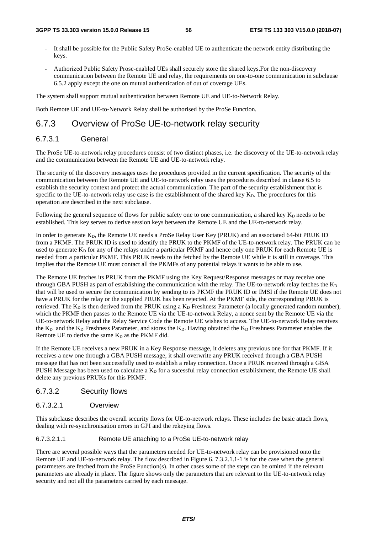- It shall be possible for the Public Safety ProSe-enabled UE to authenticate the network entity distributing the keys.
- Authorized Public Safety Prose-enabled UEs shall securely store the shared keys.For the non-discovery communication between the Remote UE and relay, the requirements on one-to-one communication in subclause 6.5.2 apply except the one on mutual authentication of out of coverage UEs.

The system shall support mutual authentication between Remote UE and UE-to-Network Relay.

Both Remote UE and UE-to-Network Relay shall be authorised by the ProSe Function.

# 6.7.3 Overview of ProSe UE-to-network relay security

# 6.7.3.1 General

The ProSe UE-to-network relay procedures consist of two distinct phases, i.e. the discovery of the UE-to-network relay and the communication between the Remote UE and UE-to-network relay.

The security of the discovery messages uses the procedures provided in the current specification. The security of the communication between the Remote UE and UE-to-network relay uses the procedures described in clause 6.5 to establish the security context and protect the actual communication. The part of the security establishment that is specific to the UE-to-network relay use case is the establishment of the shared key  $K<sub>D</sub>$ . The procedures for this operation are described in the next subclause.

Following the general sequence of flows for public safety one to one communication, a shared key  $K_D$  needs to be established. This key serves to derive session keys between the Remote UE and the UE-to-network relay.

In order to generate K<sub>D</sub>, the Remote UE needs a ProSe Relay User Key (PRUK) and an associated 64-bit PRUK ID from a PKMF. The PRUK ID is used to identify the PRUK to the PKMF of the UE-to-network relay. The PRUK can be used to generate  $K_D$  for any of the relays under a particular PKMF and hence only one PRUK for each Remote UE is needed from a particular PKMF. This PRUK needs to the fetched by the Remote UE while it is still in coverage. This implies that the Remote UE must contact all the PKMFs of any potential relays it wants to be able to use.

The Remote UE fetches its PRUK from the PKMF using the Key Request/Response messages or may receive one through GBA PUSH as part of establishing the communication with the relay. The UE-to-network relay fetches the  $K_D$ that will be used to secure the communication by sending to its PKMF the PRUK ID or IMSI if the Remote UE does not have a PRUK for the relay or the supplied PRUK has been rejected. At the PKMF side, the corresponding PRUK is retrieved. The  $K_D$  is then derived from the PRUK using a  $K_D$  Freshness Parameter (a locally generated random number), which the PKMF then passes to the Remote UE via the UE-to-network Relay, a nonce sent by the Remote UE via the UE-to-network Relay and the Relay Service Code the Remote UE wishes to access. The UE-to-network Relay receives the  $K_D$  and the  $K_D$  Freshness Parameter, and stores the  $K_D$ . Having obtained the  $K_D$  Freshness Parameter enables the Remote UE to derive the same  $K_D$  as the PKMF did.

If the Remote UE receives a new PRUK in a Key Response message, it deletes any previous one for that PKMF. If it receives a new one through a GBA PUSH message, it shall overwrite any PRUK received through a GBA PUSH message that has not been successfully used to establish a relay connection. Once a PRUK received through a GBA PUSH Message has been used to calculate a  $K<sub>D</sub>$  for a sucessful relay connection establishment, the Remote UE shall delete any previous PRUKs for this PKMF.

### 6.7.3.2 Security flows

### 6.7.3.2.1 Overview

This subclause describes the overall security flows for UE-to-network relays. These includes the basic attach flows, dealing with re-synchronisation errors in GPI and the rekeying flows.

#### 6.7.3.2.1.1 Remote UE attaching to a ProSe UE-to-network relay

There are several possible ways that the parameters needed for UE-to-network relay can be provisioned onto the Remote UE and UE-to-network relay. The flow described in Figure 6. 7.3.2.1.1-1 is for the case when the general pararmeters are fetched from the ProSe Function(s). In other cases some of the steps can be omited if the relevant parameters are already in place. The figure shows only the parameters that are relevant to the UE-to-network relay security and not all the parameters carried by each message.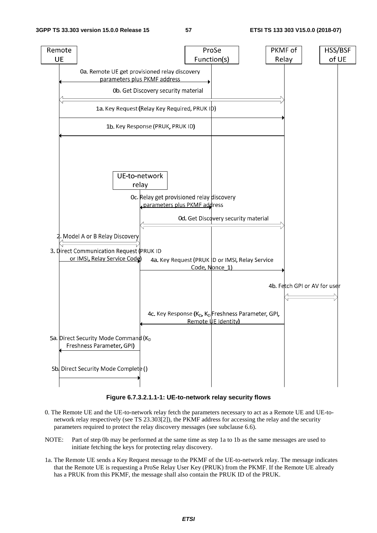

**Figure 6.7.3.2.1.1-1: UE-to-network relay security flows** 

- 0. The Remote UE and the UE-to-network relay fetch the parameters necessary to act as a Remote UE and UE-tonetwork relay respectively (see TS 23.303[2]), the PKMF address for accessing the relay and the security parameters required to protect the relay discovery messages (see subclause 6.6).
- NOTE: Part of step 0b may be performed at the same time as step 1a to 1b as the same messages are used to initiate fetching the keys for protecting relay discovery.
- 1a. The Remote UE sends a Key Request message to the PKMF of the UE-to-network relay. The message indicates that the Remote UE is requesting a ProSe Relay User Key (PRUK) from the PKMF. If the Remote UE already has a PRUK from this PKMF, the message shall also contain the PRUK ID of the PRUK.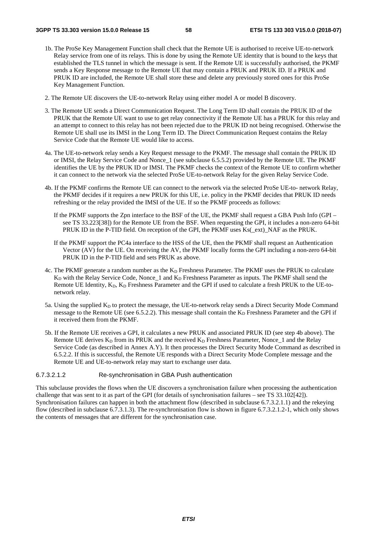- 1b. The ProSe Key Management Function shall check that the Remote UE is authorised to receive UE-to-network Relay service from one of its relays. This is done by using the Remote UE identity that is bound to the keys that established the TLS tunnel in which the message is sent. If the Remote UE is successfully authorised, the PKMF sends a Key Response message to the Remote UE that may contain a PRUK and PRUK ID. If a PRUK and PRUK ID are included, the Remote UE shall store these and delete any previously stored ones for this ProSe Key Management Function.
- 2. The Remote UE discovers the UE-to-network Relay using either model A or model B discovery.
- 3. The Remote UE sends a Direct Communication Request. The Long Term ID shall contain the PRUK ID of the PRUK that the Remote UE want to use to get relay connectivity if the Remote UE has a PRUK for this relay and an attempt to connect to this relay has not been rejected due to the PRUK ID not being recognised. Otherwise the Remote UE shall use its IMSI in the Long Term ID. The Direct Communication Request contains the Relay Service Code that the Remote UE would like to access.
- 4a. The UE-to-network relay sends a Key Request message to the PKMF. The message shall contain the PRUK ID or IMSI, the Relay Service Code and Nonce\_1 (see subclause 6.5.5.2) provided by the Remote UE. The PKMF identifies the UE by the PRUK ID or IMSI. The PKMF checks the context of the Remote UE to confirm whether it can connect to the network via the selected ProSe UE-to-network Relay for the given Relay Service Code.
- 4b. If the PKMF confirms the Remote UE can connect to the network via the selected ProSe UE-to- network Relay, the PKMF decides if it requires a new PRUK for this UE, i.e. policy in the PKMF decides that PRUK ID needs refreshing or the relay provided the IMSI of the UE. If so the PKMF proceeds as follows:
	- If the PKMF supports the Zpn interface to the BSF of the UE, the PKMF shall request a GBA Push Info (GPI see TS 33.223[38]) for the Remote UE from the BSF. When requesting the GPI, it includes a non-zero 64-bit PRUK ID in the P-TID field. On reception of the GPI, the PKMF uses Ks(\_ext)\_NAF as the PRUK.
	- If the PKMF support the PC4a interface to the HSS of the UE, then the PKMF shall request an Authentication Vector (AV) for the UE. On receiving the AV, the PKMF locally forms the GPI including a non-zero 64-bit PRUK ID in the P-TID field and sets PRUK as above.
- 4c. The PKMF generate a random number as the  $K_D$  Freshness Parameter. The PKMF uses the PRUK to calculate K<sub>D</sub> with the Relay Service Code, Nonce\_1 and K<sub>D</sub> Freshness Parameter as inputs. The PKMF shall send the Remote UE Identity, K<sub>D</sub>, K<sub>D</sub> Freshness Parameter and the GPI if used to calculate a fresh PRUK to the UE-tonetwork relay.
- 5a. Using the supplied  $K_D$  to protect the message, the UE-to-network relay sends a Direct Security Mode Command message to the Remote UE (see 6.5.2.2). This message shall contain the  $K<sub>D</sub>$  Freshness Parameter and the GPI if it received them from the PKMF.
- 5b. If the Remote UE receives a GPI, it calculates a new PRUK and associated PRUK ID (see step 4b above). The Remote UE derives  $K_D$  from its PRUK and the received  $K_D$  Freshness Parameter, Nonce\_1 and the Relay Service Code (as described in Annex A.Y). It then processes the Direct Security Mode Command as described in 6.5.2.2. If this is successful, the Remote UE responds with a Direct Security Mode Complete message and the Remote UE and UE-to-network relay may start to exchange user data.

#### 6.7.3.2.1.2 Re-synchronisation in GBA Push authentication

This subclause provides the flows when the UE discovers a synchronisation failure when processing the authentication challenge that was sent to it as part of the GPI (for details of synchronisation failures – see TS 33.102[42]). Synchronisation failures can happen in both the attachment flow (described in subclause 6.7.3.2.1.1) and the rekeying flow (described in subclause 6.7.3.1.3). The re-synchronisation flow is shown in figure 6.7.3.2.1.2-1, which only shows the contents of messages that are different for the synchronisation case.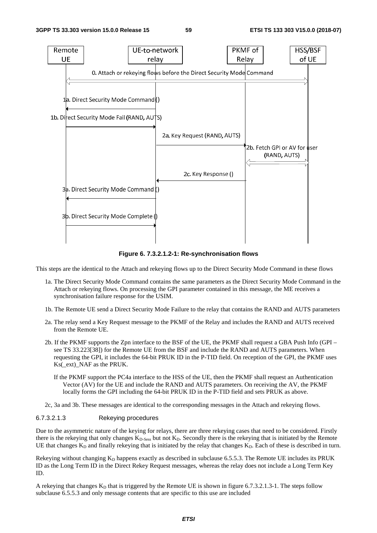

**Figure 6. 7.3.2.1.2-1: Re-synchronisation flows** 

This steps are the identical to the Attach and rekeying flows up to the Direct Security Mode Command in these flows

- 1a. The Direct Security Mode Command contains the same parameters as the Direct Security Mode Command in the Attach or rekeying flows. On processing the GPI parameter contained in this message, the ME receives a synchronisation failure response for the USIM.
- 1b. The Remote UE send a Direct Security Mode Failure to the relay that contains the RAND and AUTS parameters
- 2a. The relay send a Key Request message to the PKMF of the Relay and includes the RAND and AUTS received from the Remote UE.
- 2b. If the PKMF supports the Zpn interface to the BSF of the UE, the PKMF shall request a GBA Push Info (GPI see TS 33.223[38]) for the Remote UE from the BSF and include the RAND and AUTS parameters. When requesting the GPI, it includes the 64-bit PRUK ID in the P-TID field. On reception of the GPI, the PKMF uses Ks(\_ext)\_NAF as the PRUK.
	- If the PKMF support the PC4a interface to the HSS of the UE, then the PKMF shall request an Authentication Vector (AV) for the UE and include the RAND and AUTS parameters. On receiving the AV, the PKMF locally forms the GPI including the 64-bit PRUK ID in the P-TID field and sets PRUK as above.

2c, 3a and 3b. These messages are identical to the corresponding messages in the Attach and rekeying flows.

#### 6.7.3.2.1.3 Rekeying procedures

Due to the asymmetric nature of the keying for relays, there are three rekeying cases that need to be considered. Firstly there is the rekeying that only changes  $K<sub>D-Sess</sub>$  but not  $K<sub>D</sub>$ . Secondly there is the rekeying that is initiated by the Remote UE that changes  $K_D$  and finally rekeying that is initiated by the relay that changes  $K_D$ . Each of these is described in turn.

Rekeying without changing  $K_D$  happens exactly as described in subclause 6.5.5.3. The Remote UE includes its PRUK ID as the Long Term ID in the Direct Rekey Request messages, whereas the relay does not include a Long Term Key ID.

A rekeying that changes  $K<sub>D</sub>$  that is triggered by the Remote UE is shown in figure 6.7.3.2.1.3-1. The steps follow subclause 6.5.5.3 and only message contents that are specific to this use are included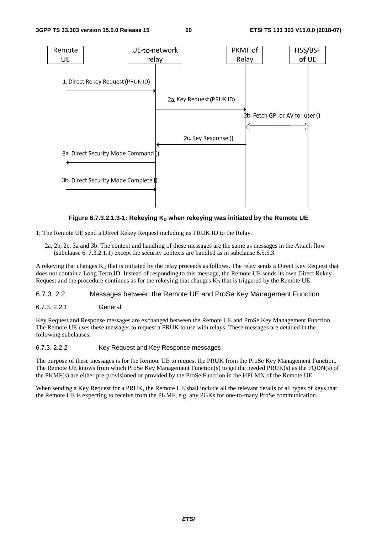

Figure 6.7.3.2.1.3-1: Rekeying K<sub>D</sub> when rekeying was initiated by the Remote UE

1; The Remote UE send a Direct Rekey Request including its PRUK ID to the Relay.

2a, 2b, 2c, 3a and 3b. The content and handling of these messages are the same as messages in the Attach flow (subclause 6. 7.3.2.1.1) except the security contexts are handled as in subclause  $6.5.5.3$ .

A rekeying that changes  $K_D$  that is initiated by the relay proceeds as follows. The relay sends a Direct Key Request that does not contain a Long Term ID. Instead of responding to this message, the Remote UE sends its own Direct Rekey Request and the procedure continues as for the rekeying that changes  $K<sub>D</sub>$  that is triggered by the Remote UE.

### 6.7.3. 2.2 Messages between the Remote UE and ProSe Key Management Function

### 6.7.3. 2.2.1 General

Key Request and Response messages are exchanged between the Remote UE and ProSe Key Management Function. The Remote UE uses these messages to request a PRUK to use with relays. These messages are detailed in the following subclauses.

#### 6.7.3. 2.2.2 Key Request and Key Response messages

The purpose of these messages is for the Remote UE to request the PRUK from the ProSe Key Management Function. The Remote UE knows from which ProSe Key Management Function(s) to get the needed PRUK(s) as the FQDN(s) of the PKMF(s) are either pre-provisioned or provided by the ProSe Function in the HPLMN of the Remote UE.

When sending a Key Request for a PRUK, the Remote UE shall include all the relevant details of all types of keys that the Remote UE is expecting to receive from the PKMF, e.g. any PGKs for one-to-many ProSe communication.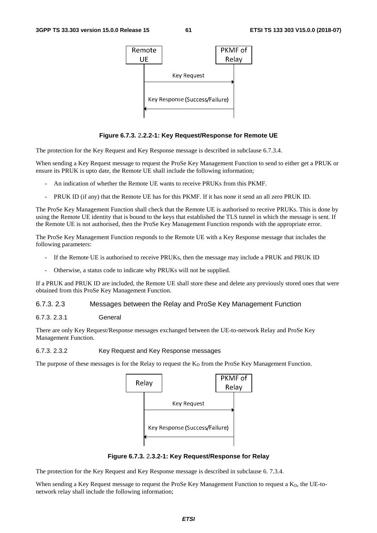

#### **Figure 6.7.3.** 2**.2.2-1: Key Request/Response for Remote UE**

The protection for the Key Request and Key Response message is described in subclause 6.7.3.4.

When sending a Key Request message to request the ProSe Key Management Function to send to either get a PRUK or ensure its PRUK is upto date, the Remote UE shall include the following information;

- An indication of whether the Remote UE wants to receive PRUKs from this PKMF.
- PRUK ID (if any) that the Remote UE has for this PKMF. If it has none it send an all zero PRUK ID.

The ProSe Key Management Function shall check that the Remote UE is authorised to receive PRUKs. This is done by using the Remote UE identity that is bound to the keys that established the TLS tunnel in which the message is sent. If the Remote UE is not authorised, then the ProSe Key Management Function responds with the appropriate error.

The ProSe Key Management Function responds to the Remote UE with a Key Response message that includes the following parameters:

- If the Remote UE is authorised to receive PRUKs, then the message may include a PRUK and PRUK ID
- Otherwise, a status code to indicate why PRUKs will not be supplied.

If a PRUK and PRUK ID are included, the Remote UE shall store these and delete any previously stored ones that were obtained from this ProSe Key Management Function.

#### 6.7.3. 2.3 Messages between the Relay and ProSe Key Management Function

#### 6.7.3. 2.3.1 General

There are only Key Request/Response messages exchanged between the UE-to-network Relay and ProSe Key Management Function.

#### 6.7.3. 2.3.2 Key Request and Key Response messages

The purpose of these messages is for the Relay to request the  $K<sub>D</sub>$  from the ProSe Key Management Function.



**Figure 6.7.3.** 2**.3.2-1: Key Request/Response for Relay** 

The protection for the Key Request and Key Response message is described in subclause 6. 7.3.4.

When sending a Key Request message to request the ProSe Key Management Function to request a  $K<sub>D</sub>$ , the UE-tonetwork relay shall include the following information;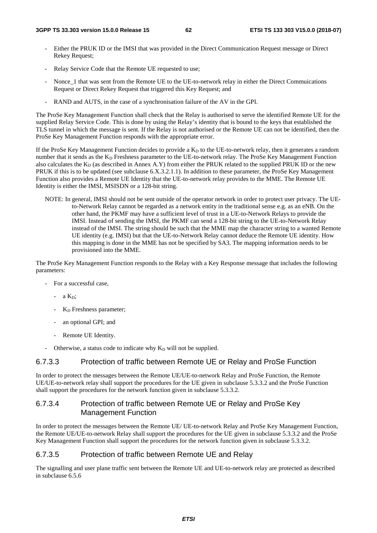- Either the PRUK ID or the IMSI that was provided in the Direct Communication Request message or Direct Rekey Request;
- Relay Service Code that the Remote UE requested to use;
- Nonce 1 that was sent from the Remote UE to the UE-to-network relay in either the Direct Commuications Request or Direct Rekey Request that triggered this Key Request; and
- RAND and AUTS, in the case of a synchronisation failure of the AV in the GPI.

The ProSe Key Management Function shall check that the Relay is authorised to serve the identified Remote UE for the supplied Relay Service Code. This is done by using the Relay's identity that is bound to the keys that established the TLS tunnel in which the message is sent. If the Relay is not authorised or the Remote UE can not be identified, then the ProSe Key Management Function responds with the appropriate error.

If the ProSe Key Management Function decides to provide a  $K<sub>D</sub>$  to the UE-to-network relay, then it generates a random number that it sends as the K<sub>D</sub> Freshness parameter to the UE-to-network relay. The ProSe Key Management Function also calculates the  $K_D$  (as described in Annex A.Y) from either the PRUK related to the supplied PRUK ID or the new PRUK if this is to be updated (see subclause 6.X.3.2.1.1). In addition to these parameter, the ProSe Key Management Function also provides a Remote UE Identity that the UE-to-network relay provides to the MME. The Remote UE Identity is either the IMSI, MSISDN or a 128-bit string.

NOTE: In general, IMSI should not be sent outside of the operator network in order to protect user privacy. The UEto-Network Relay cannot be regarded as a network entity in the traditional sense e.g. as an eNB. On the other hand, the PKMF may have a sufficient level of trust in a UE-to-Network Relays to provide the IMSI. Instead of sending the IMSI, the PKMF can send a 128-bit string to the UE-to-Network Relay instead of the IMSI. The string should be such that the MME map the character string to a wanted Remote UE identity (e.g. IMSI) but that the UE-to-Network Relay cannot deduce the Remote UE identity. How this mapping is done in the MME has not be specified by SA3. The mapping information needs to be provisioned into the MME.

The ProSe Key Management Function responds to the Relay with a Key Response message that includes the following parameters:

- For a successful case,
	- $a K_D$ ;
	- $K_D$  Freshness parameter;
	- an optional GPI; and
	- Remote UE Identity.
- Otherwise, a status code to indicate why  $K_D$  will not be supplied.

## 6.7.3.3 Protection of traffic between Remote UE or Relay and ProSe Function

In order to protect the messages between the Remote UE/UE-to-network Relay and ProSe Function, the Remote UE/UE-to-network relay shall support the procedures for the UE given in subclause 5.3.3.2 and the ProSe Function shall support the procedures for the network function given in subclause 5.3.3.2.

## 6.7.3.4 Protection of traffic between Remote UE or Relay and ProSe Key Management Function

In order to protect the messages between the Remote UE/ UE-to-network Relay and ProSe Key Management Function, the Remote UE/UE-to-network Relay shall support the procedures for the UE given in subclause 5.3.3.2 and the ProSe Key Management Function shall support the procedures for the network function given in subclause 5.3.3.2.

### 6.7.3.5 Protection of traffic between Remote UE and Relay

The signalling and user plane traffic sent between the Remote UE and UE-to-network relay are protected as described in subclause 6.5.6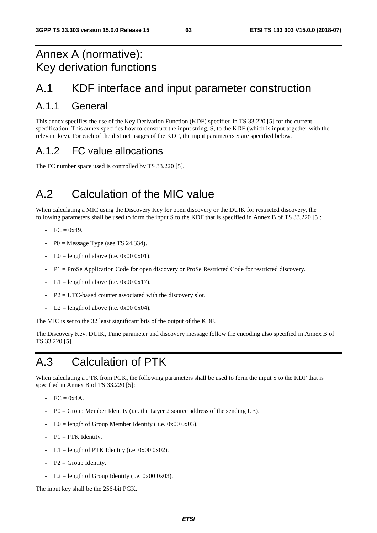# Annex A (normative): Key derivation functions

# A.1 KDF interface and input parameter construction

# A.1.1 General

This annex specifies the use of the Key Derivation Function (KDF) specified in TS 33.220 [5] for the current specification. This annex specifies how to construct the input string, S, to the KDF (which is input together with the relevant key). For each of the distinct usages of the KDF, the input parameters S are specified below.

# A.1.2 FC value allocations

The FC number space used is controlled by TS 33.220 [5].

# A.2 Calculation of the MIC value

When calculating a MIC using the Discovery Key for open discovery or the DUIK for restricted discovery, the following parameters shall be used to form the input S to the KDF that is specified in Annex B of TS 33.220 [5]:

- $-$  FC = 0x49.
- $-$  P0 = Message Type (see TS 24.334).
- $LO =$  length of above (i.e. 0x00 0x01).
- P1 = ProSe Application Code for open discovery or ProSe Restricted Code for restricted discovery.
- $L1 =$  length of above (i.e. 0x00 0x17).
- $P2 = UTC$ -based counter associated with the discovery slot.
- $L2 =$  length of above (i.e. 0x00 0x04).

The MIC is set to the 32 least significant bits of the output of the KDF.

The Discovery Key, DUIK, Time parameter and discovery message follow the encoding also specified in Annex B of TS 33.220 [5].

# A.3 Calculation of PTK

When calculating a PTK from PGK, the following parameters shall be used to form the input S to the KDF that is specified in Annex B of TS 33.220 [5]:

- $-$  FC = 0x4A.
- $P0 =$  Group Member Identity (i.e. the Layer 2 source address of the sending UE).
- $LO =$  length of Group Member Identity (i.e. 0x00 0x03).
- $P1 = PTK$  Identity.
- $L1 =$  length of PTK Identity (i.e. 0x00 0x02).
- $P2 = Group Identity$ .
- $L2 =$  length of Group Identity (i.e. 0x00 0x03).

The input key shall be the 256-bit PGK.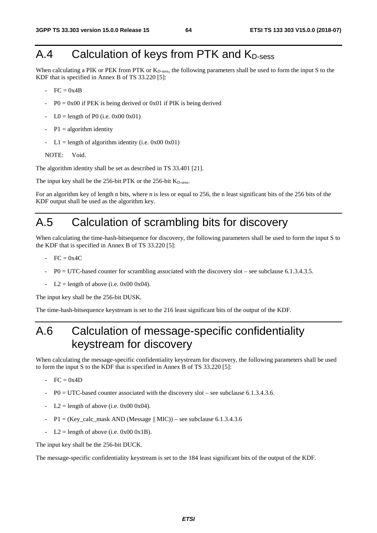# $A.4$  Calculation of keys from PTK and  $K_{D\text{-}\mathrm{sess}}$

When calculating a PIK or PEK from PTK or  $K_{D\text{-sess}}$ , the following parameters shall be used to form the input S to the KDF that is specified in Annex B of TS 33.220 [5]:

- $FC = 0x4B$
- $P0 = 0x00$  if PEK is being derived or 0x01 if PIK is being derived
- $LO =$  length of P0 (i.e. 0x00 0x01)
- $P1 =$  algorithm identity
- $L1 =$  length of algorithm identity (i.e. 0x00 0x01)

```
NOTE: Void.
```
The algorithm identity shall be set as described in TS 33.401 [21].

The input key shall be the 256-bit PTK or the 256-bit K<sub>D-sess</sub>.

For an algorithm key of length n bits, where n is less or equal to 256, the n least significant bits of the 256 bits of the KDF output shall be used as the algorithm key.

# A.5 Calculation of scrambling bits for discovery

When calculating the time-hash-bitsequence for discovery, the following parameters shall be used to form the input S to the KDF that is specified in Annex B of TS 33.220 [5]:

- $FC = 0x4C$
- P0 = UTC-based counter for scrambling associated with the discovery slot see subclause 6.1.3.4.3.5.
- $L2 =$  length of above (i.e. 0x00 0x04).

The input key shall be the 256-bit DUSK.

The time-hash-bitsequence keystream is set to the 216 least significant bits of the output of the KDF.

# A.6 Calculation of message-specific confidentiality keystream for discovery

When calculating the message-specific confidentiality keystream for discovery, the following parameters shall be used to form the input S to the KDF that is specified in Annex B of TS 33.220 [5]:

- $FC = 0x4D$
- $P0 = UTC$ -based counter associated with the discovery slot see subclause 6.1.3.4.3.6.
- $L2$  = length of above (i.e. 0x00 0x04).
- $P1 = (Key\_calc\_mask AND (Message || MIC)) see subclause 6.1.3.4.3.6$
- $L2 =$  length of above (i.e. 0x00 0x1B).

The input key shall be the 256-bit DUCK.

The message-specific confidentiality keystream is set to the 184 least significant bits of the output of the KDF.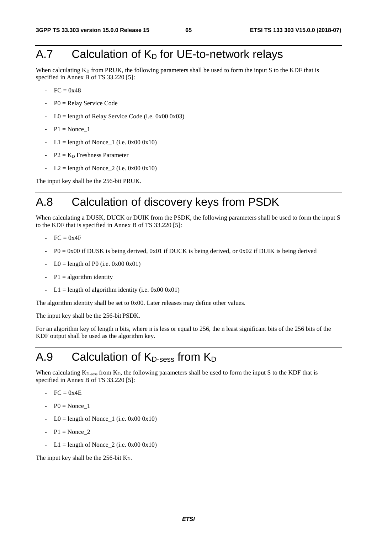# A.7 Calculation of  $K_D$  for UE-to-network relays

When calculating  $K_D$  from PRUK, the following parameters shall be used to form the input S to the KDF that is specified in Annex B of TS 33.220 [5]:

- $FC = 0x48$
- $P0 =$  Relay Service Code
- $LO =$  length of Relay Service Code (i.e. 0x00 0x03)
- $-P1 = None 1$
- L1 = length of Nonce  $_1$  (i.e. 0x00 0x10)
- $P2 = K_D$  Freshness Parameter
- $L2 =$  length of Nonce  $2$  (i.e. 0x00 0x10)

The input key shall be the 256-bit PRUK.

# A.8 Calculation of discovery keys from PSDK

When calculating a DUSK, DUCK or DUIK from the PSDK, the following parameters shall be used to form the input S to the KDF that is specified in Annex B of TS 33.220 [5]:

- $FC = 0x4F$
- $P0 = 0x00$  if DUSK is being derived, 0x01 if DUCK is being derived, or 0x02 if DUIK is being derived
- $LO =$  length of P0 (i.e. 0x00 0x01)
- $P1 = algorithm$  identity
- $L1 =$  length of algorithm identity (i.e. 0x00 0x01)

The algorithm identity shall be set to 0x00. Later releases may define other values.

The input key shall be the 256-bit PSDK.

For an algorithm key of length n bits, where n is less or equal to 256, the n least significant bits of the 256 bits of the KDF output shall be used as the algorithm key.

# A.9 Calculation of  $K_{D\text{-sess}}$  from  $K_D$

When calculating  $K_{D-<sub>scss</sub>}$  from  $K_{D}$ , the following parameters shall be used to form the input S to the KDF that is specified in Annex B of TS 33.220 [5]:

- $-$  FC = 0x4E
- $P0 = \text{None}$  1
- $LO = length of None_1$  (i.e.  $0x00 0x10$ )
- $P1 = \text{None } 2$
- $L1 =$  length of Nonce  $2$  (i.e. 0x00 0x10)

The input key shall be the  $256$ -bit  $K_D$ .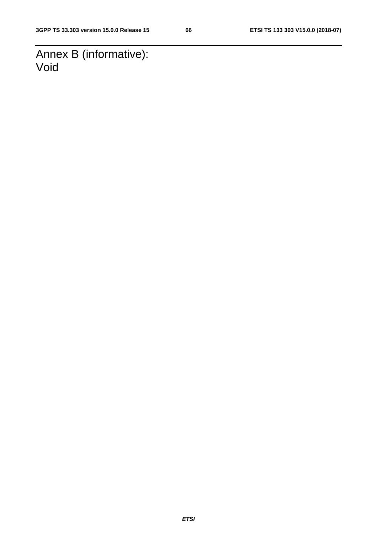Annex B (informative): Void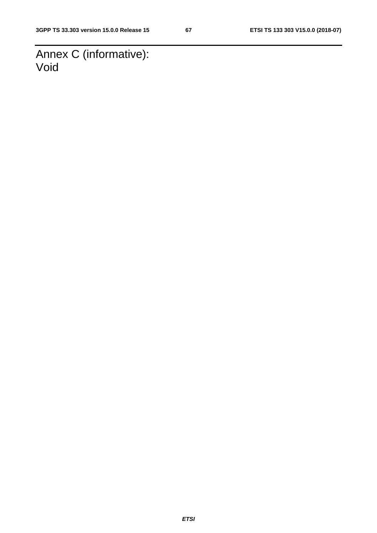Annex C (informative): Void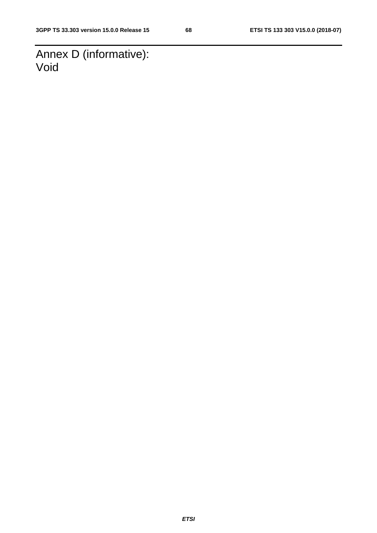Annex D (informative): Void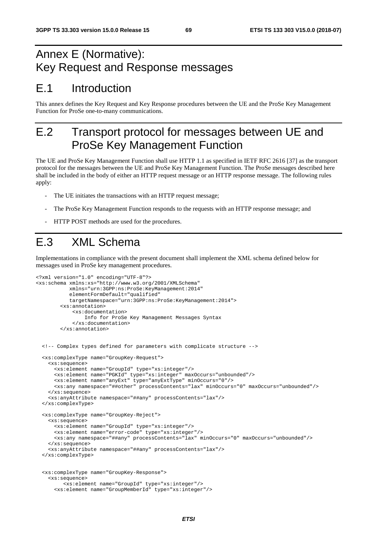# Annex E (Normative): Key Request and Response messages

# E.1 Introduction

This annex defines the Key Request and Key Response procedures between the UE and the ProSe Key Management Function for ProSe one-to-many communications.

# E.2 Transport protocol for messages between UE and ProSe Key Management Function

The UE and ProSe Key Management Function shall use HTTP 1.1 as specified in IETF RFC 2616 [37] as the transport protocol for the messages between the UE and ProSe Key Management Function. The ProSe messages described here shall be included in the body of either an HTTP request message or an HTTP response message. The following rules apply:

- The UE initiates the transactions with an HTTP request message;
- The ProSe Key Management Function responds to the requests with an HTTP response message; and
- HTTP POST methods are used for the procedures.

# E.3 XML Schema

Implementations in compliance with the present document shall implement the XML schema defined below for messages used in ProSe key management procedures.

```
<?xml version="1.0" encoding="UTF-8"?> 
<xs:schema xmlns:xs="http://www.w3.org/2001/XMLSchema" 
            xmlns="urn:3GPP:ns:ProSe:KeyManagement:2014" 
            elementFormDefault="qualified" 
            targetNamespace="urn:3GPP:ns:ProSe:KeyManagement:2014"> 
         <xs:annotation> 
             <xs:documentation> 
                 Info for ProSe Key Management Messages Syntax 
             </xs:documentation> 
         </xs:annotation> 
   <!-- Complex types defined for parameters with complicate structure --> 
   <xs:complexType name="GroupKey-Request"> 
     <xs:sequence> 
       <xs:element name="GroupId" type="xs:integer"/> 
       <xs:element name="PGKId" type="xs:integer" maxOccurs="unbounded"/> 
       <xs:element name="anyExt" type="anyExtType" minOccurs="0"/> 
       <xs:any namespace="##other" processContents="lax" minOccurs="0" maxOccurs="unbounded"/> 
     </xs:sequence> 
     <xs:anyAttribute namespace="##any" processContents="lax"/> 
   </xs:complexType> 
   <xs:complexType name="GroupKey-Reject"> 
     <xs:sequence> 
       <xs:element name="GroupId" type="xs:integer"/> 
       <xs:element name="error-code" type="xs:integer"/> 
       <xs:any namespace="##any" processContents="lax" minOccurs="0" maxOccurs="unbounded"/> 
     </xs:sequence> 
     <xs:anyAttribute namespace="##any" processContents="lax"/> 
   </xs:complexType> 
   <xs:complexType name="GroupKey-Response"> 
     <xs:sequence> 
          <xs:element name="GroupId" type="xs:integer"/> 
       <xs:element name="GroupMemberId" type="xs:integer"/>
```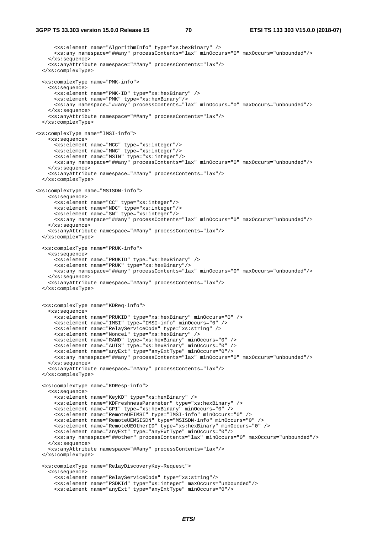<xs:element name="AlgorithmInfo" type="xs:hexBinary" /> <xs:any namespace="##any" processContents="lax" minOccurs="0" maxOccurs="unbounded"/> </xs:sequence> <xs:anyAttribute namespace="##any" processContents="lax"/> </xs:complexType> <xs:complexType name="PMK-info"> <xs:sequence> <xs:element name="PMK-ID" type="xs:hexBinary" /> <xs:element name="PMK" type="xs:hexBinary"/> <xs:any namespace="##any" processContents="lax" minOccurs="0" maxOccurs="unbounded"/> </xs:sequence> <xs:anyAttribute namespace="##any" processContents="lax"/> </xs:complexType> <xs:complexType name="IMSI-info"> <xs:sequence> <xs:element name="MCC" type="xs:integer"/> <xs:element name="MNC" type="xs:integer"/> <xs:element name="MSIN" type="xs:integer"/> <xs:any namespace="##any" processContents="lax" minOccurs="0" maxOccurs="unbounded"/> </xs:sequence> <xs:anyAttribute namespace="##any" processContents="lax"/> </xs:complexType> <xs:complexType name="MSISDN-info"> <xs:sequence> <xs:element name="CC" type="xs:integer"/> <xs:element name="NDC" type="xs:integer"/> <xs:element name="SN" type="xs:integer"/> <xs:any namespace="##any" processContents="lax" minOccurs="0" maxOccurs="unbounded"/> </xs:sequence> <xs:anyAttribute namespace="##any" processContents="lax"/> </xs:complexType> <xs:complexType name="PRUK-info"> <xs:sequence> <xs:element name="PRUKID" type="xs:hexBinary" /> <xs:element name="PRUK" type="xs:hexBinary"/> <xs:any namespace="##any" processContents="lax" minOccurs="0" maxOccurs="unbounded"/> </xs:sequence> <xs:anyAttribute namespace="##any" processContents="lax"/> </xs:complexType> <xs:complexType name="KDReq-info"> <xs:sequence> <xs:element name="PRUKID" type="xs:hexBinary" minOccurs="0" /> <xs:element name="IMSI" type="IMSI-info" minOccurs="0" /> <xs:element name="RelayServiceCode" type="xs:string" /> <xs:element name="Nonce1" type="xs:hexBinary" /> <xs:element name="RAND" type="xs:hexBinary" minOccurs="0" /> <xs:element name="AUTS" type="xs:hexBinary" minOccurs="0" /> <xs:element name="anyExt" type="anyExtType" minOccurs="0"/> <xs:any namespace="##any" processContents="lax" minOccurs="0" maxOccurs="unbounded"/> </xs:sequence> <xs:anyAttribute namespace="##any" processContents="lax"/> </xs:complexType> <xs:complexType name="KDResp-info"> <xs:sequence> <xs:element name="KeyKD" type="xs:hexBinary" /> <xs:element name="KDFreshnessParameter" type="xs:hexBinary" /> <xs:element name="GPI" type="xs:hexBinary" minOccurs="0" /> <xs:element name="RemoteUEIMSI" type="IMSI-info" minOccurs="0" /> <xs:element name="RemoteUEMSISDN" type="MSISDN-info" minOccurs="0" /> <xs:element name="RemoteUEOtherID" type="xs:hexBinary" minOccurs="0" /> <xs:element name="anyExt" type="anyExtType" minOccurs="0"/> <xs:any namespace="##other" processContents="lax" minOccurs="0" maxOccurs="unbounded"/> </xs:sequence> <xs:anyAttribute namespace="##any" processContents="lax"/> </xs:complexType> <xs:complexType name="RelayDiscoveryKey-Request"> <xs:sequence> <xs:element name="RelayServiceCode" type="xs:string"/> <xs:element name="PSDKId" type="xs:integer" maxOccurs="unbounded"/> <xs:element name="anyExt" type="anyExtType" minOccurs="0"/>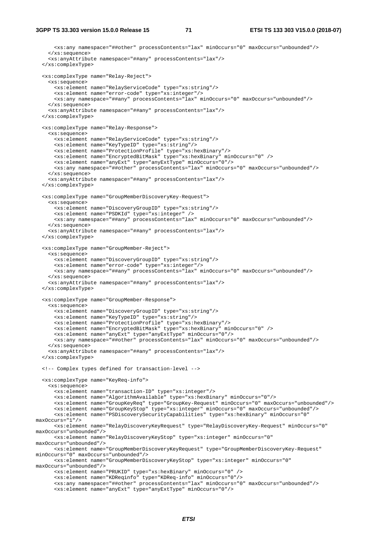<xs:any namespace="##other" processContents="lax" minOccurs="0" maxOccurs="unbounded"/> </xs:sequence> <xs:anyAttribute namespace="##any" processContents="lax"/> </xs:complexType> <xs:complexType name="Relay-Reject"> <xs:sequence> <xs:element name="RelayServiceCode" type="xs:string"/> <xs:element name="error-code" type="xs:integer"/> <xs:any namespace="##any" processContents="lax" minOccurs="0" maxOccurs="unbounded"/> </xs:sequence> <xs:anyAttribute namespace="##any" processContents="lax"/> </xs:complexType> <xs:complexType name="Relay-Response"> <xs:sequence> <xs:element name="RelayServiceCode" type="xs:string"/> <xs:element name="KeyTypeID" type="xs:string"/> <xs:element name="ProtectionProfile" type="xs:hexBinary"/> <xs:element name="EncryptedBitMask" type="xs:hexBinary" minOccurs="0" /> <xs:element name="anyExt" type="anyExtType" minOccurs="0"/> <xs:any namespace="##other" processContents="lax" minOccurs="0" maxOccurs="unbounded"/> </xs:sequence> <xs:anyAttribute namespace="##any" processContents="lax"/> </xs:complexType> <xs:complexType name="GroupMemberDiscoveryKey-Request"> <xs:sequence> <xs:element name="DiscoveryGroupID" type="xs:string"/> <xs:element name="PSDKId" type="xs:integer" /> <xs:any namespace="##any" processContents="lax" minOccurs="0" maxOccurs="unbounded"/> </xs:sequence> <xs:anyAttribute namespace="##any" processContents="lax"/> </xs:complexType> <xs:complexType name="GroupMember-Reject"> <xs:sequence> <xs:element name="DiscoveryGroupID" type="xs:string"/> <xs:element name="error-code" type="xs:integer"/> <xs:any namespace="##any" processContents="lax" minOccurs="0" maxOccurs="unbounded"/> </xs:sequence> <xs:anyAttribute namespace="##any" processContents="lax"/> </xs:complexType> <xs:complexType name="GroupMember-Response"> <xs:sequence> <xs:element name="DiscoveryGroupID" type="xs:string"/> <xs:element name="KeyTypeID" type="xs:string"/> <xs:element name="ProtectionProfile" type="xs:hexBinary"/> <xs:element name="EncryptedBitMask" type="xs:hexBinary" minOccurs="0" /> <xs:element name="anyExt" type="anyExtType" minOccurs="0"/> <xs:any namespace="##other" processContents="lax" minOccurs="0" maxOccurs="unbounded"/> </xs:sequence> <xs:anyAttribute namespace="##any" processContents="lax"/> </xs:complexType> <!-- Complex types defined for transaction-level --> <xs:complexType name="KeyReq-info"> <xs:sequence> <xs:element name="transaction-ID" type="xs:integer"/> <xs:element name="AlgorithmAvailable" type="xs:hexBinary" minOccurs="0"/> <xs:element name="GroupKeyReq" type="GroupKey-Request" minOccurs="0" maxOccurs="unbounded"/> <xs:element name="GroupKeyStop" type="xs:integer" minOccurs="0" maxOccurs="unbounded"/> <xs:element name="PSDiscoverySecurityCapabilities" type="xs:hexBinary" minOccurs="0" maxOccurs="1"/> <xs:element name="RelayDiscoveryKeyRequest" type="RelayDiscoveryKey-Request" minOccurs="0" maxOccurs="unbounded"/> <xs:element name="RelayDiscoveryKeyStop" type="xs:integer" minOccurs="0" maxOccurs="unbounded"/> <xs:element name="GroupMemberDiscoveryKeyRequest" type="GroupMemberDiscoveryKey-Request" minOccurs="0" maxOccurs="unbounded"/> <xs:element name="GroupMemberDiscoveryKeyStop" type="xs:integer" minOccurs="0" maxOccurs="unbounded"/> <xs:element name="PRUKID" type="xs:hexBinary" minOccurs="0" /> <xs:element name="KDReqinfo" type="KDReq-info" minOccurs="0"/> <xs:any namespace="##other" processContents="lax" minOccurs="0" maxOccurs="unbounded"/> <xs:element name="anyExt" type="anyExtType" minOccurs="0"/>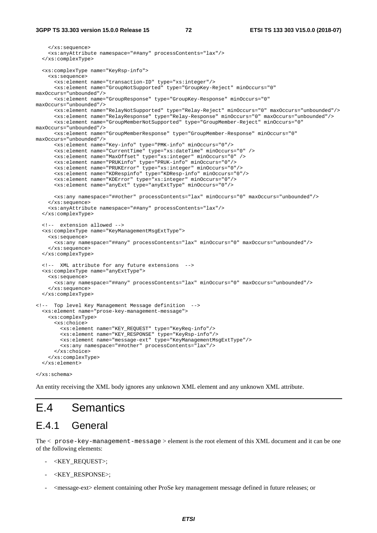```
 </xs:sequence> 
     <xs:anyAttribute namespace="##any" processContents="lax"/> 
   </xs:complexType> 
   <xs:complexType name="KeyRsp-info"> 
     <xs:sequence> 
       <xs:element name="transaction-ID" type="xs:integer"/> 
       <xs:element name="GroupNotSupported" type="GroupKey-Reject" minOccurs="0" 
maxOccurs="unbounded"/> 
       <xs:element name="GroupResponse" type="GroupKey-Response" minOccurs="0" 
maxOccurs="unbounded"/> 
       <xs:element name="RelayNotSupported" type="Relay-Reject" minOccurs="0" maxOccurs="unbounded"/> 
       <xs:element name="RelayResponse" type="Relay-Response" minOccurs="0" maxOccurs="unbounded"/> 
       <xs:element name="GroupMemberNotSupported" type="GroupMember-Reject" minOccurs="0" 
maxOccurs="unbounded"/> 
      <xs:element name="GroupMemberResponse" type="GroupMember-Response" minOccurs="0" 
maxOccurs="unbounded"/> 
       <xs:element name="Key-info" type="PMK-info" minOccurs="0"/> 
       <xs:element name="CurrentTime" type="xs:dateTime" minOccurs="0" /> 
       <xs:element name="MaxOffset" type="xs:integer" minOccurs="0" /> 
       <xs:element name="PRUKinfo" type="PRUK-info" minOccurs="0"/> 
       <xs:element name="PRUKError" type="xs:integer" minOccurs="0"/> 
       <xs:element name="KDRespinfo" type="KDResp-info" minOccurs="0"/> 
       <xs:element name="KDError" type="xs:integer" minOccurs="0"/> 
       <xs:element name="anyExt" type="anyExtType" minOccurs="0"/> 
       <xs:any namespace="##other" processContents="lax" minOccurs="0" maxOccurs="unbounded"/> 
     </xs:sequence> 
     <xs:anyAttribute namespace="##any" processContents="lax"/> 
   </xs:complexType> 
   <!-- extension allowed --> 
   <xs:complexType name="KeyManagementMsgExtType"> 
     <xs:sequence> 
       <xs:any namespace="##any" processContents="lax" minOccurs="0" maxOccurs="unbounded"/> 
     </xs:sequence> 
   </xs:complexType> 
   <!-- XML attribute for any future extensions --> 
   <xs:complexType name="anyExtType"> 
     <xs:sequence> 
      <xs:any namespace="##any" processContents="lax" minOccurs="0" maxOccurs="unbounded"/> 
     </xs:sequence> 
   </xs:complexType> 
<!-- Top level Key Management Message definition --> 
   <xs:element name="prose-key-management-message"> 
     <xs:complexType> 
       <xs:choice> 
         <xs:element name="KEY_REQUEST" type="KeyReq-info"/> 
         <xs:element name="KEY_RESPONSE" type="KeyRsp-info"/> 
         <xs:element name="message-ext" type="KeyManagementMsgExtType"/> 
         <xs:any namespace="##other" processContents="lax"/> 
       </xs:choice> 
     </xs:complexType> 
   </xs:element> 
</xs:schema>
```
An entity receiving the XML body ignores any unknown XML element and any unknown XML attribute.

### E.4 Semantics

### E.4.1 General

The < prose-key-management-message > element is the root element of this XML document and it can be one of the following elements:

- < KEY\_REQUEST>;
- < KEY\_RESPONSE>:
- <message-ext> element containing other ProSe key management message defined in future releases; or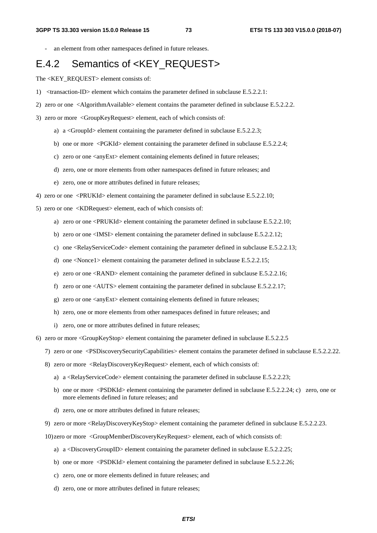an element from other namespaces defined in future releases.

### E.4.2 Semantics of <KEY\_REQUEST>

The <KEY\_REQUEST> element consists of:

- 1) <transaction-ID> element which contains the parameter defined in subclause E.5.2.2.1:
- 2) zero or one <AlgorithmAvailable> element contains the parameter defined in subclause E.5.2.2.2.
- 3) zero or more <GroupKeyRequest> element, each of which consists of:
	- a) a <GroupId> element containing the parameter defined in subclause E.5.2.2.3;
	- b) one or more <PGKId> element containing the parameter defined in subclause E.5.2.2.4;
	- c) zero or one <anyExt> element containing elements defined in future releases;
	- d) zero, one or more elements from other namespaces defined in future releases; and
	- e) zero, one or more attributes defined in future releases;
- 4) zero or one <PRUKId> element containing the parameter defined in subclause E.5.2.2.10;
- 5) zero or one <KDRequest> element, each of which consists of:
	- a) zero or one <PRUKId> element containing the parameter defined in subclause E.5.2.2.10;
	- b) zero or one <IMSI> element containing the parameter defined in subclause E.5.2.2.12;
	- c) one <RelayServiceCode> element containing the parameter defined in subclause E.5.2.2.13;
	- d) one <Nonce1> element containing the parameter defined in subclause E.5.2.2.15;
	- e) zero or one <RAND> element containing the parameter defined in subclause E.5.2.2.16;
	- f) zero or one <AUTS> element containing the parameter defined in subclause E.5.2.2.17;
	- g) zero or one <anyExt> element containing elements defined in future releases;
	- h) zero, one or more elements from other namespaces defined in future releases; and
	- i) zero, one or more attributes defined in future releases;
- 6) zero or more <GroupKeyStop> element containing the parameter defined in subclause E.5.2.2.5
	- 7) zero or one <PSDiscoverySecurityCapabilities> element contains the parameter defined in subclause E.5.2.2.22.
	- 8) zero or more <RelayDiscoveryKeyRequest> element, each of which consists of:
		- a) a <RelayServiceCode> element containing the parameter defined in subclause E.5.2.2.23;
		- b) one or more <PSDKId> element containing the parameter defined in subclause E.5.2.2.24; c) zero, one or more elements defined in future releases; and
		- d) zero, one or more attributes defined in future releases;
	- 9) zero or more <RelayDiscoveryKeyStop> element containing the parameter defined in subclause E.5.2.2.23.
	- 10) zero or more <GroupMemberDiscoveryKeyRequest> element, each of which consists of:
		- a) a <DiscoveryGroupID> element containing the parameter defined in subclause E.5.2.2.25;
		- b) one or more <PSDKId> element containing the parameter defined in subclause E.5.2.2.26;
		- c) zero, one or more elements defined in future releases; and
		- d) zero, one or more attributes defined in future releases;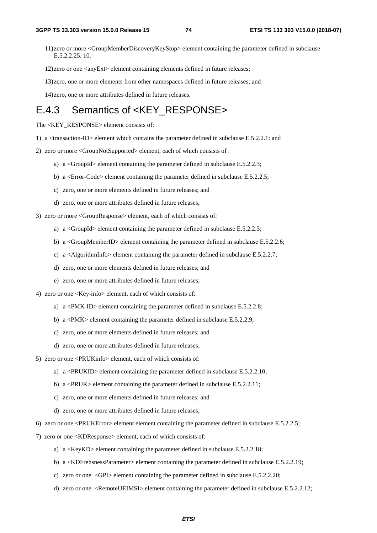- 11) zero or more <GroupMemberDiscoveryKeyStop> element containing the parameter defined in subclause E.5.2.2.25. 10.
- 12) zero or one <anyExt> element containing elements defined in future releases;
- 13) zero, one or more elements from other namespaces defined in future releases; and
- 14) zero, one or more attributes defined in future releases.

### E.4.3 Semantics of <KEY\_RESPONSE>

The <KEY\_RESPONSE> element consists of:

- 1) a <transaction-ID> element which contains the parameter defined in subclause E.5.2.2.1: and
- 2) zero or more <GroupNotSupported> element, each of which consists of :
	- a) a <GroupId> element containing the parameter defined in subclause E.5.2.2.3;
	- b) a <Error-Code> element containing the parameter defined in subclause E.5.2.2.5;
	- c) zero, one or more elements defined in future releases; and
	- d) zero, one or more attributes defined in future releases;
- 3) zero or more <GroupResponse> element, each of which consists of:
	- a) a <GroupId> element containing the parameter defined in subclause E.5.2.2.3;
	- b) a  $\leq$ GroupMemberID $>$  element containing the parameter defined in subclause E.5.2.2.6;
	- c) a <AlgorithmInfo> element containing the parameter defined in subclause E.5.2.2.7;
	- d) zero, one or more elements defined in future releases; and
	- e) zero, one or more attributes defined in future releases;
- 4) zero or one <Key-info> element, each of which consists of:
	- a) a <PMK-ID> element containing the parameter defined in subclause E.5.2.2.8;
	- b) a <PMK> element containing the parameter defined in subclause E.5.2.2.9;
	- c) zero, one or more elements defined in future releases; and
	- d) zero, one or more attributes defined in future releases;
- 5) zero or one <PRUKinfo> element, each of which consists of:
	- a) a  $\langle$ PRUKID $>$  element containing the parameter defined in subclause E.5.2.2.10;
	- b) a <PRUK> element containing the parameter defined in subclause E.5.2.2.11;
	- c) zero, one or more elements defined in future releases; and
	- d) zero, one or more attributes defined in future releases;
- 6) zero or one <PRUKError> element element containing the parameter defined in subclause E.5.2.2.5;
- 7) zero or one <KDResponse> element, each of which consists of:
	- a) a  $\langle$ KeyKD $\rangle$  element containing the parameter defined in subclause E.5.2.2.18;
	- b) a <KDFrehsnessParameter> element containing the parameter defined in subclause E.5.2.2.19;
	- c) zero or one <GPI> element containing the parameter defined in subclause E.5.2.2.20;
	- d) zero or one <RemoteUEIMSI> element containing the parameter defined in subclause E.5.2.2.12;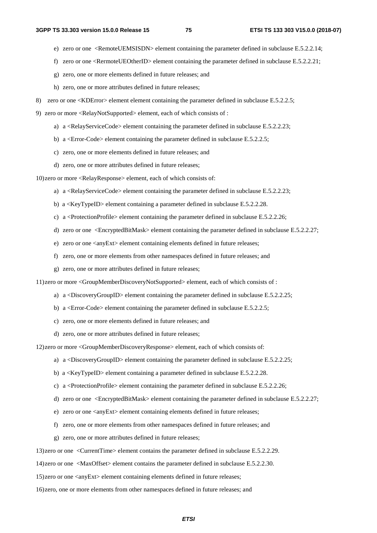- e) zero or one <RemoteUEMSISDN> element containing the parameter defined in subclause E.5.2.2.14;
- f) zero or one <RermoteUEOtherID> element containing the parameter defined in subclause E.5.2.2.21;
- g) zero, one or more elements defined in future releases; and
- h) zero, one or more attributes defined in future releases;
- 8) zero or one <KDError> element element containing the parameter defined in subclause E.5.2.2.5;
- 9) zero or more <RelayNotSupported> element, each of which consists of :
	- a) a <RelayServiceCode> element containing the parameter defined in subclause E.5.2.2.23;
	- b) a  $\leq$  Error-Code> element containing the parameter defined in subclause E.5.2.2.5;
	- c) zero, one or more elements defined in future releases; and
	- d) zero, one or more attributes defined in future releases;

10) zero or more <RelayResponse> element, each of which consists of:

- a) a  $\leq$ RelayServiceCode $\geq$  element containing the parameter defined in subclause E.5.2.2.23;
- b) a <KeyTypeID> element containing a parameter defined in subclause E.5.2.2.28.
- c) a <ProtectionProfile> element containing the parameter defined in subclause E.5.2.2.26;
- d) zero or one <EncryptedBitMask> element containing the parameter defined in subclause E.5.2.2.27;
- e) zero or one <anyExt> element containing elements defined in future releases;
- f) zero, one or more elements from other namespaces defined in future releases; and
- g) zero, one or more attributes defined in future releases;

11) zero or more <GroupMemberDiscoveryNotSupported> element, each of which consists of :

- a) a  $\langle$ DiscoveryGroupID $\rangle$  element containing the parameter defined in subclause E.5.2.2.25;
- b) a <Error-Code> element containing the parameter defined in subclause E.5.2.2.5;
- c) zero, one or more elements defined in future releases; and
- d) zero, one or more attributes defined in future releases;

12) zero or more <GroupMemberDiscoveryResponse> element, each of which consists of:

- a) a <DiscoveryGroupID> element containing the parameter defined in subclause E.5.2.2.25;
- b) a <KeyTypeID> element containing a parameter defined in subclause E.5.2.2.28.
- c) a  $\leq$ ProtectionProfile $\geq$  element containing the parameter defined in subclause E.5.2.2.26;
- d) zero or one <EncryptedBitMask> element containing the parameter defined in subclause E.5.2.2.27;
- e) zero or one <anyExt> element containing elements defined in future releases;
- f) zero, one or more elements from other namespaces defined in future releases; and
- g) zero, one or more attributes defined in future releases;

13) zero or one <CurrentTime> element contains the parameter defined in subclause E.5.2.2.29.

14) zero or one <MaxOffset> element contains the parameter defined in subclause E.5.2.2.30.

15) zero or one <anyExt> element containing elements defined in future releases;

16) zero, one or more elements from other namespaces defined in future releases; and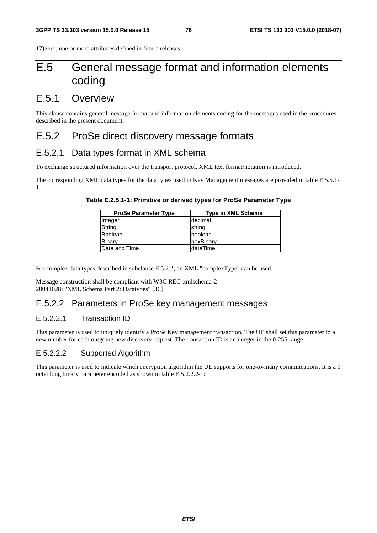17) zero, one or more attributes defined in future releases.

# E.5 General message format and information elements coding

### E.5.1 Overview

This clause contains general message format and information elements coding for the messages used in the procedures described in the present document.

### E.5.2 ProSe direct discovery message formats

#### E.5.2.1 Data types format in XML schema

To exchange structured information over the transport protocol, XML text format/notation is introduced.

The corresponding XML data types for the data types used in Key Management messages are provided in table E.5.5.1- 1.

| Table E.2.5.1-1: Primitive or derived types for ProSe Parameter Type |
|----------------------------------------------------------------------|
|----------------------------------------------------------------------|

| <b>ProSe Parameter Type</b> | Type in XML Schema |
|-----------------------------|--------------------|
| Integer                     | decimal            |
| String                      | string             |
| Boolean                     | boolean            |
| Binary                      | hexBinary          |
| Date and Time               | ldateTime          |

For complex data types described in subclause E.5.2.2, an XML "complexType" can be used.

Message construction shall be compliant with W3C REC-xmlschema-2- 20041028: "XML Schema Part 2: Datatypes" [36]

### E.5.2.2 Parameters in ProSe key management messages

#### E.5.2.2.1 Transaction ID

This parameter is used to uniquely identify a ProSe Key management transaction. The UE shall set this parameter to a new number for each outgoing new discovery request. The transaction ID is an integer in the 0-255 range.

#### E.5.2.2.2 Supported Algorithm

This parameter is used to indicate which encryption algorithm the UE supports for one-to-many commuications. It is a 1 octet long binary parameter encoded as shown in table E.5.2.2.2-1: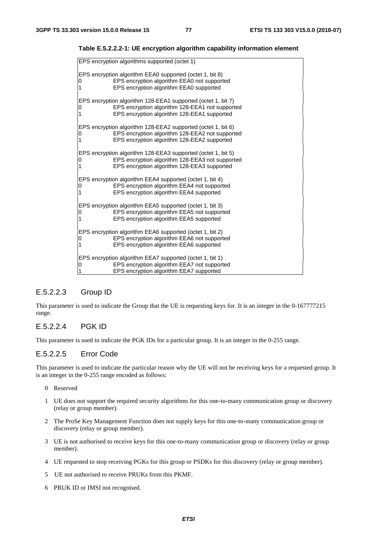| EPS encryption algorithms supported (octet 1)                                                                                                                                      |
|------------------------------------------------------------------------------------------------------------------------------------------------------------------------------------|
| EPS encryption algorithm EEA0 supported (octet 1, bit 8)<br>EPS encryption algorithm EEA0 not supported<br>0<br>$\mathbf{1}$<br>EPS encryption algorithm EEA0 supported            |
| EPS encryption algorithm 128-EEA1 supported (octet 1, bit 7)<br>EPS encryption algorithm 128-EEA1 not supported<br>0<br>1<br>EPS encryption algorithm 128-EEA1 supported           |
| EPS encryption algorithm 128-EEA2 supported (octet 1, bit 6)<br>EPS encryption algorithm 128-EEA2 not supported<br>0<br>$\mathbf 1$<br>EPS encryption algorithm 128-EEA2 supported |
| EPS encryption algorithm 128-EEA3 supported (octet 1, bit 5)<br>EPS encryption algorithm 128-EEA3 not supported<br>0<br>$\mathbf 1$<br>EPS encryption algorithm 128-EEA3 supported |
| EPS encryption algorithm EEA4 supported (octet 1, bit 4)<br>EPS encryption algorithm EEA4 not supported<br>0<br>1<br>EPS encryption algorithm EEA4 supported                       |
| EPS encryption algorithm EEA5 supported (octet 1, bit 3)<br>EPS encryption algorithm EEA5 not supported<br>0<br>1<br>EPS encryption algorithm EEA5 supported                       |
| EPS encryption algorithm EEA6 supported (octet 1, bit 2)<br>EPS encryption algorithm EEA6 not supported<br>0<br>1<br>EPS encryption algorithm EEA6 supported                       |
| EPS encryption algorithm EEA7 supported (octet 1, bit 1)<br>EPS encryption algorithm EEA7 not supported<br>0<br>EPS encryption algorithm EEA7 supported                            |

**Table E.5.2.2.2-1: UE encryption algorithm capability information element** 

#### E.5.2.2.3 Group ID

This parameter is used to indicate the Group that the UE is requesting keys for. It is an integer in the 0-167777215 range.

#### E.5.2.2.4 PGK ID

This parameter is used to indicate the PGK IDs for a particular group. It is an integer in the 0-255 range.

#### E.5.2.2.5 Error Code

This parameter is used to indicate the particular reason why the UE will not be receiving keys for a requested group. It is an integer in the 0-255 range encoded as follows:

- 0 Reserved
- 1 UE does not support the required security algorithms for this one-to-many communication group or discovery (relay or group member).
- 2 The ProSe Key Management Function does not supply keys for this one-to-many communication group or discovery (relay or group member).
- 3 UE is not authorised to receive keys for this one-to-many communication group or discovery (relay or group member).
- 4 UE requested to stop receiving PGKs for this group or PSDKs for this discovery (relay or group member).
- 5 UE not authorised to receive PRUKs from this PKMF.
- 6 PRUK ID or IMSI not recognised.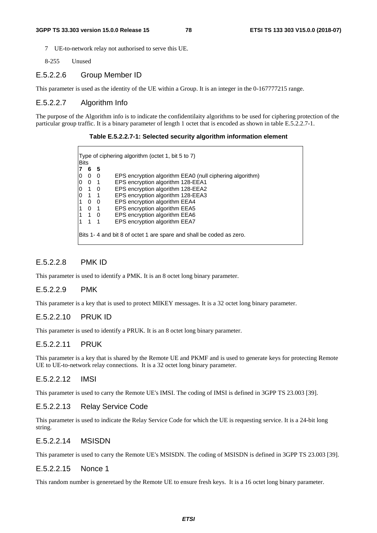- 7 UE-to-network relay not authorised to serve this UE.
- 8-255 Unused

#### E.5.2.2.6 Group Member ID

This parameter is used as the identity of the UE within a Group. It is an integer in the 0-167777215 range.

#### E.5.2.2.7 Algorithm Info

The purpose of the Algorithm info is to indicate the confidentilaity algorithms to be used for ciphering protection of the particular group traffic. It is a binary parameter of length 1 octet that is encoded as shown in table E.5.2.2.7-1.

#### **Table E.5.2.2.7-1: Selected security algorithm information element**

| - 5<br>6<br>$\Omega$<br>$\overline{0}$<br>0 <sub>1</sub><br>$1\quad 0$<br>$1 \quad 1$<br>0<br>$\overline{0}$<br>0<br>$\overline{\phantom{0}}$ 1 | EPS encryption algorithm EEA0 (null ciphering algorithm)<br>EPS encryption algorithm 128-EEA1 |
|-------------------------------------------------------------------------------------------------------------------------------------------------|-----------------------------------------------------------------------------------------------|
| 0<br>0<br>10<br>0<br>1<br>1                                                                                                                     |                                                                                               |
|                                                                                                                                                 |                                                                                               |
|                                                                                                                                                 |                                                                                               |
|                                                                                                                                                 | EPS encryption algorithm 128-EEA2                                                             |
|                                                                                                                                                 | EPS encryption algorithm 128-EEA3                                                             |
|                                                                                                                                                 | EPS encryption algorithm EEA4                                                                 |
|                                                                                                                                                 | EPS encryption algorithm EEA5                                                                 |
| $1\quad 0$<br>1                                                                                                                                 | EPS encryption algorithm EEA6                                                                 |
| 1<br>$\overline{\phantom{0}}$ 1                                                                                                                 | EPS encryption algorithm EEA7                                                                 |

#### E.5.2.2.8 PMK ID

This parameter is used to identify a PMK. It is an 8 octet long binary parameter.

#### E.5.2.2.9 PMK

This parameter is a key that is used to protect MIKEY messages. It is a 32 octet long binary parameter.

#### E.5.2.2.10 PRUK ID

This parameter is used to identify a PRUK. It is an 8 octet long binary parameter.

#### E.5.2.2.11 PRUK

This parameter is a key that is shared by the Remote UE and PKMF and is used to generate keys for protecting Remote UE to UE-to-network relay connections. It is a 32 octet long binary parameter.

#### E.5.2.2.12 IMSI

This parameter is used to carry the Remote UE's IMSI. The coding of IMSI is defined in 3GPP TS 23.003 [39].

#### E.5.2.2.13 Relay Service Code

This parameter is used to indicate the Relay Service Code for which the UE is requesting service. It is a 24-bit long string.

#### E.5.2.2.14 MSISDN

This parameter is used to carry the Remote UE's MSISDN. The coding of MSISDN is defined in 3GPP TS 23.003 [39].

#### E.5.2.2.15 Nonce 1

This random number is generetaed by the Remote UE to ensure fresh keys. It is a 16 octet long binary parameter.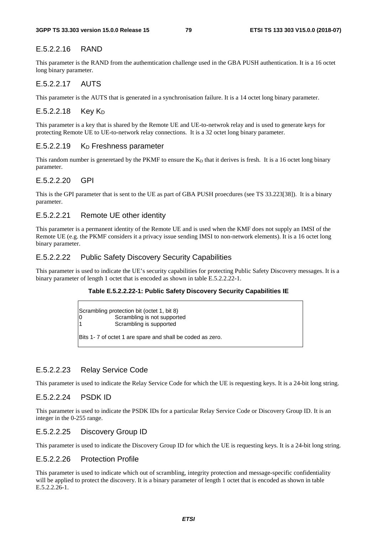#### E.5.2.2.16 RAND

This parameter is the RAND from the authemtication challenge used in the GBA PUSH authentication. It is a 16 octet long binary parameter.

#### E.5.2.2.17 AUTS

This parameter is the AUTS that is generated in a synchronisation failure. It is a 14 octet long binary parameter.

#### $E.5.2.2.18$  Key K<sub>D</sub>

This parameter is a key that is shared by the Remote UE and UE-to-netwrok relay and is used to generate keys for protecting Remote UE to UE-to-network relay connections. It is a 32 octet long binary parameter.

#### E.5.2.2.19 K<sub>D</sub> Freshness parameter

This random number is generetaed by the PKMF to ensure the  $K<sub>D</sub>$  that it derives is fresh. It is a 16 octet long binary parameter.

#### E.5.2.2.20 GPI

This is the GPI parameter that is sent to the UE as part of GBA PUSH proecdures (see TS 33.223[38]). It is a binary parameter.

#### E.5.2.2.21 Remote UE other identity

This parameter is a permanent identity of the Remote UE and is used when the KMF does not supply an IMSI of the Remote UE (e.g. the PKMF considers it a privacy issue sending IMSI to non-network elements). It is a 16 octet long binary parameter.

#### E.5.2.2.22 Public Safety Discovery Security Capabilities

This parameter is used to indicate the UE's security capabilities for protecting Public Safety Discovery messages. It is a binary parameter of length 1 octet that is encoded as shown in table E.5.2.2.22-1.

#### **Table E.5.2.2.22-1: Public Safety Discovery Security Capabilities IE**

Scrambling protection bit (octet 1, bit 8) 0 Scrambling is not supported 1 Scrambling is supported

Bits 1- 7 of octet 1 are spare and shall be coded as zero.

#### E.5.2.2.23 Relay Service Code

This parameter is used to indicate the Relay Service Code for which the UE is requesting keys. It is a 24-bit long string.

#### E.5.2.2.24 PSDK ID

This parameter is used to indicate the PSDK IDs for a particular Relay Service Code or Discovery Group ID. It is an integer in the 0-255 range.

#### E.5.2.2.25 Discovery Group ID

This parameter is used to indicate the Discovery Group ID for which the UE is requesting keys. It is a 24-bit long string.

#### E.5.2.2.26 Protection Profile

This parameter is used to indicate which out of scrambling, integrity protection and message-specific confidentiality will be applied to protect the discovery. It is a binary parameter of length 1 octet that is encoded as shown in table E.5.2.2.26-1.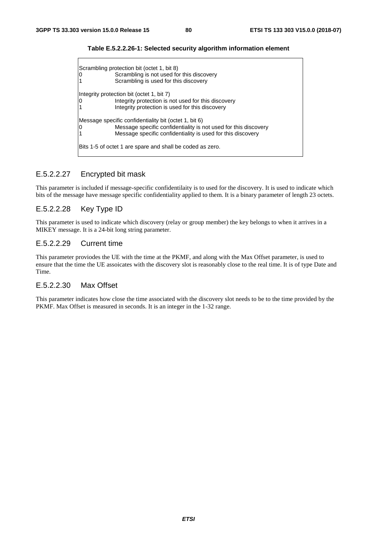| ΙO                                                                                                                                                                                      | Scrambling protection bit (octet 1, bit 8)<br>Scrambling is not used for this discovery<br>Scrambling is used for this discovery                    |  |  |  |  |  |  |
|-----------------------------------------------------------------------------------------------------------------------------------------------------------------------------------------|-----------------------------------------------------------------------------------------------------------------------------------------------------|--|--|--|--|--|--|
| ΙO                                                                                                                                                                                      | Integrity protection bit (octet 1, bit 7)<br>Integrity protection is not used for this discovery<br>Integrity protection is used for this discovery |  |  |  |  |  |  |
| Message specific confidentiality bit (octet 1, bit 6)<br>Message specific confidentiality is not used for this discovery<br>Message specific confidentiality is used for this discovery |                                                                                                                                                     |  |  |  |  |  |  |
| Bits 1-5 of octet 1 are spare and shall be coded as zero.                                                                                                                               |                                                                                                                                                     |  |  |  |  |  |  |

**Table E.5.2.2.26-1: Selected security algorithm information element** 

#### E.5.2.2.27 Encrypted bit mask

This parameter is included if message-specific confidentilaity is to used for the discovery. It is used to indicate which bits of the message have message specific confidentiality applied to them. It is a binary parameter of length 23 octets.

#### E.5.2.2.28 Key Type ID

This parameter is used to indicate which discovery (relay or group member) the key belongs to when it arrives in a MIKEY message. It is a 24-bit long string parameter.

#### E.5.2.2.29 Current time

This parameter proviodes the UE with the time at the PKMF, and along with the Max Offset parameter, is used to ensure that the time the UE assoicates with the discovery slot is reasonably close to the real time. It is of type Date and Time.

#### E.5.2.2.30 Max Offset

This parameter indicates how close the time associated with the discovery slot needs to be to the time provided by the PKMF. Max Offset is measured in seconds. It is an integer in the 1-32 range.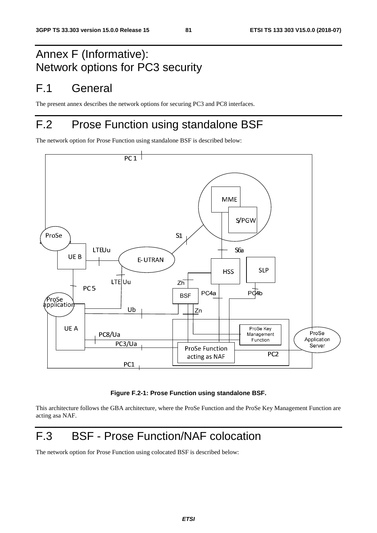# Annex F (Informative): Network options for PC3 security

### F.1 General

The present annex describes the network options for securing PC3 and PC8 interfaces.

# F.2 Prose Function using standalone BSF

The network option for Prose Function using standalone BSF is described below:



#### **Figure F.2-1: Prose Function using standalone BSF.**

This architecture follows the GBA architecture, where the ProSe Function and the ProSe Key Management Function are acting asa NAF.

# F.3 BSF - Prose Function/NAF colocation

The network option for Prose Function using colocated BSF is described below: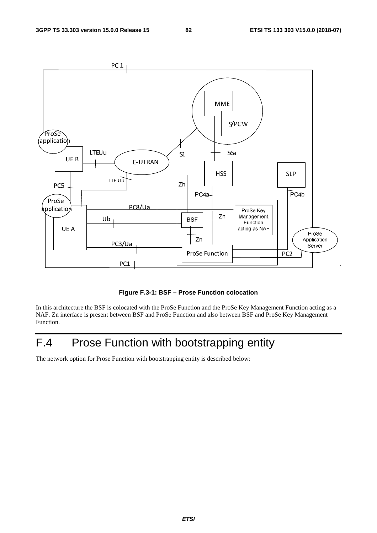

**Figure F.3-1: BSF – Prose Function colocation** 

In this architecture the BSF is colocated with the ProSe Function and the ProSe Key Management Function acting as a NAF. Zn interface is present between BSF and ProSe Function and also between BSF and ProSe Key Management Function.

# F.4 Prose Function with bootstrapping entity

The network option for Prose Function with bootstrapping entity is described below: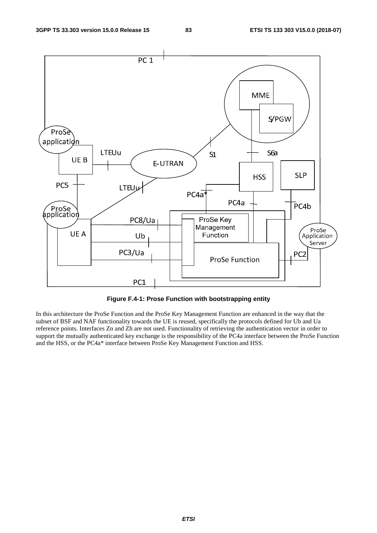

**Figure F.4-1: Prose Function with bootstrapping entity** 

In this architecture the ProSe Function and the ProSe Key Management Function are enhanced in the way that the subset of BSF and NAF functionality towards the UE is reused, specifically the protocols defined for Ub and Ua reference points. Interfaces Zn and Zh are not used. Functionality of retrieving the authentication vector in order to support the mutually authenticated key exchange is the responsibility of the PC4a interface between the ProSe Function and the HSS, or the PC4a\* interface between ProSe Key Management Function and HSS.

*ETSI*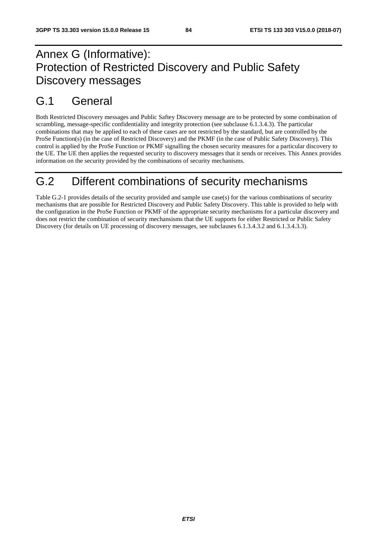# Annex G (Informative): Protection of Restricted Discovery and Public Safety Discovery messages

### G.1 General

Both Restricted Discovery messages and Public Saftey Discovery message are to be protected by some combination of scrambling, message-specific confidentiality and integrity protection (see subclause 6.1.3.4.3). The particular combinations that may be applied to each of these cases are not restricted by the standard, but are controlled by the ProSe Function(s) (in the case of Restricted Discovery) and the PKMF (in the case of Public Safety Discovery). This control is applied by the ProSe Function or PKMF signalling the chosen security measures for a particular discovery to the UE. The UE then applies the requested security to discovery messages that it sends or receives. This Annex provides information on the security provided by the combinations of security mechanisms.

### G.2 Different combinations of security mechanisms

Table G.2-1 provides details of the security provided and sample use case(s) for the various combinations of security mechanisms that are possible for Restricted Discovery and Public Safety Discovery. This table is provided to help with the configuration in the ProSe Function or PKMF of the appropriate security mechanisms for a particular discovery and does not restrict the combination of security mechansisms that the UE supports for either Restricted or Public Safety Discovery (for details on UE processing of discovery messages, see subclauses 6.1.3.4.3.2 and 6.1.3.4.3.3).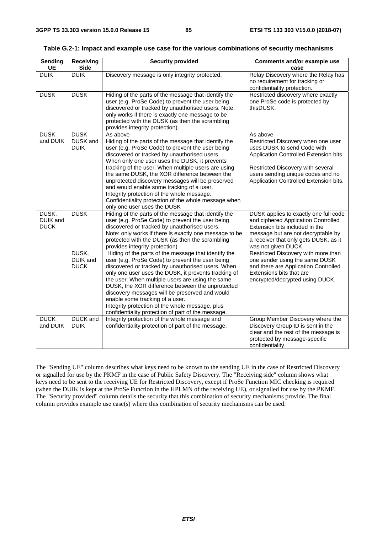| <b>Sending</b><br>UE                    | Receiving<br><b>Side</b>         | <b>Security provided</b>                                                                                                                                                                                                                                                                                                                                                                                                                                                                                                                                | Comments and/or example use<br>case                                                                                                                                                                                            |
|-----------------------------------------|----------------------------------|---------------------------------------------------------------------------------------------------------------------------------------------------------------------------------------------------------------------------------------------------------------------------------------------------------------------------------------------------------------------------------------------------------------------------------------------------------------------------------------------------------------------------------------------------------|--------------------------------------------------------------------------------------------------------------------------------------------------------------------------------------------------------------------------------|
| <b>DUIK</b>                             | <b>DUIK</b>                      | Discovery message is only integrity protected.                                                                                                                                                                                                                                                                                                                                                                                                                                                                                                          | Relay Discovery where the Relay has<br>no requirement for tracking or<br>confidentiality protection.                                                                                                                           |
| <b>DUSK</b>                             | <b>DUSK</b>                      | Hiding of the parts of the message that identify the<br>user (e.g. ProSe Code) to prevent the user being<br>discovered or tracked by unauthorised users. Note:<br>only works if there is exactly one message to be<br>protected with the DUSK (as then the scrambling<br>provides integrity protection).                                                                                                                                                                                                                                                | Restricted discovery where exactly<br>one ProSe code is protected by<br>thisDUSK.                                                                                                                                              |
| <b>DUSK</b>                             | <b>DUSK</b>                      | As above                                                                                                                                                                                                                                                                                                                                                                                                                                                                                                                                                | As above                                                                                                                                                                                                                       |
| and DUIK                                | <b>DUSK</b> and<br><b>DUIK</b>   | Hiding of the parts of the message that identify the<br>user (e.g. ProSe Code) to prevent the user being<br>discovered or tracked by unauthorised users.<br>When only one user uses the DUSK, it prevents<br>tracking of the user. When multiple users are using<br>the same DUSK, the XOR difference between the<br>unprotected discovery messages will be preserved<br>and would enable some tracking of a user.<br>Integrity protection of the whole message.<br>Confidentiality protection of the whole message when<br>only one user uses the DUSK | Restricted Discovery when one user<br>uses DUSK to send Code with<br>Application Controlled Extension bits<br>Restricted Discovery with several<br>users sending unique codes and no<br>Application Controlled Extension bits. |
| DUSK,<br><b>DUIK</b> and<br><b>DUCK</b> | <b>DUSK</b>                      | Hiding of the parts of the message that identify the<br>user (e.g. ProSe Code) to prevent the user being<br>discovered or tracked by unauthorised users.<br>Note: only works if there is exactly one message to be<br>protected with the DUSK (as then the scrambling<br>provides integrity protection)                                                                                                                                                                                                                                                 | DUSK applies to exactly one full code<br>and ciphered Application Controlled<br>Extension bits included in the<br>message but are not decryptable by<br>a receiver that only gets DUSK, as it<br>was not given DUCK.           |
|                                         | DUSK,<br>DUIK and<br><b>DUCK</b> | Hiding of the parts of the message that identify the<br>user (e.g. ProSe Code) to prevent the user being<br>discovered or tracked by unauthorised users. When<br>only one user uses the DUSK, it prevents tracking of<br>the user. When multiple users are using the same<br>DUSK, the XOR difference between the unprotected<br>discovery messages will be preserved and would<br>enable some tracking of a user.<br>Integrity protection of the whole message, plus<br>confidentiality protection of part of the message.                             | Restricted Discovery with more than<br>one sender using the same DUSK<br>and there are Application Controlled<br>Extensions bits that are<br>encrypted/decrypted using DUCK.                                                   |
| <b>DUCK</b><br>and DUIK                 | <b>DUCK</b> and<br><b>DUIK</b>   | Integrity protection of the whole message and<br>confidentiality protection of part of the message.                                                                                                                                                                                                                                                                                                                                                                                                                                                     | Group Member Discovery where the<br>Discovery Group ID is sent in the<br>clear and the rest of the message is<br>protected by message-specific<br>confidentiality.                                                             |

| Table G.2-1: Impact and example use case for the various combinations of security mechanisms |  |  |  |
|----------------------------------------------------------------------------------------------|--|--|--|
|----------------------------------------------------------------------------------------------|--|--|--|

The "Sending UE" column describes what keys need to be known to the sending UE in the case of Restricted Discovery or signalled for use by the PKMF in the case of Public Safety Discovery. The "Receiving side" column shows what keys need to be sent to the receiving UE for Restricted Discovery, except if ProSe Function MIC checking is required (when the DUIK is kept at the ProSe Function in the HPLMN of the receiving UE), or signalled for use by the PKMF. The "Security provided" column details the security that this combination of security mechanisms provide. The final column provides example use case(s) where this combination of security mechanisms can be used.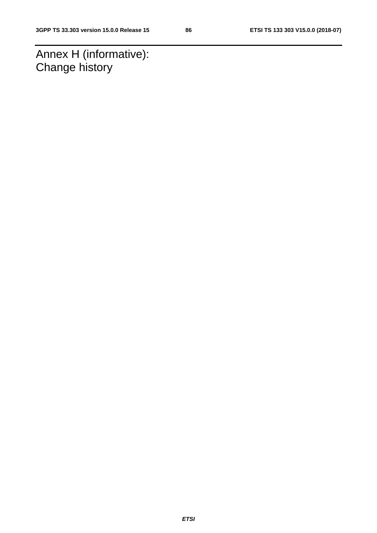Annex H (informative): Change history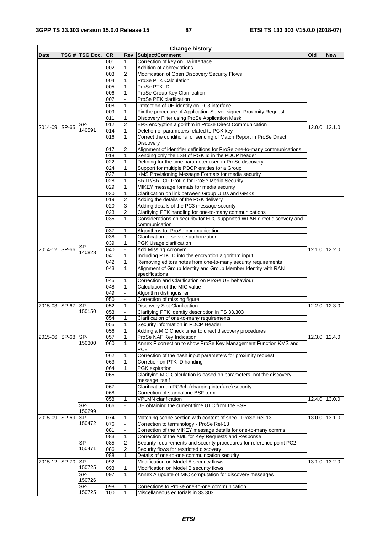| <b>Change history</b> |       |                 |                                           |                         |                                                                                         |               |               |  |
|-----------------------|-------|-----------------|-------------------------------------------|-------------------------|-----------------------------------------------------------------------------------------|---------------|---------------|--|
| Date                  |       | TSG #  TSG Doc. | <b>CR</b>                                 |                         | <b>Rev Subject/Comment</b>                                                              | Old           | <b>New</b>    |  |
|                       |       |                 | 001                                       | 1                       | Correction of key on Ua interface                                                       |               |               |  |
|                       |       |                 | 002                                       | 1                       | Addition of abbreviations                                                               |               |               |  |
|                       |       |                 | 003                                       | $\overline{\mathbf{c}}$ | Modification of Open Discovery Security Flows                                           |               |               |  |
|                       |       |                 | 004                                       | 1                       | ProSe PTK Calculation                                                                   |               |               |  |
|                       |       |                 | 005                                       | 1                       | ProSe PTK ID                                                                            |               |               |  |
|                       |       |                 | 006                                       | $\mathbf{1}$            | ProSe Group Key Clarification                                                           |               |               |  |
|                       |       |                 | 007                                       |                         | ProSe PEK clarification                                                                 |               |               |  |
|                       |       |                 | 008                                       | 1                       | Protection of UE identity on PC3 interface                                              |               |               |  |
|                       |       |                 | 009                                       | 1                       | Fix the procedure of Application Server-signed Proximity Request                        |               |               |  |
|                       |       |                 | 011                                       | $\mathbf{1}$            | Discovery Filter using ProSe Application Mask                                           |               |               |  |
| 2014-09 SP-65         |       | SP-             | 012                                       | $\overline{2}$          | EPS encryption algorithm in ProSe Direct Communication                                  |               | 12.0.0 12.1.0 |  |
|                       |       | 140591          | 014                                       | 1                       | Deletion of parameters related to PGK key                                               |               |               |  |
|                       |       |                 | 016                                       | $\mathbf{1}$            | Correct the conditions for sending of Match Report in ProSe Direct                      |               |               |  |
|                       |       |                 |                                           |                         | Discovery                                                                               |               |               |  |
|                       |       |                 | 017                                       | 2                       | Alignment of identifier definitions for ProSe one-to-many communications                |               |               |  |
|                       |       |                 | 018                                       | 1                       | Sending only the LSB of PGK Id in the PDCP header                                       |               |               |  |
|                       |       |                 | 022                                       | 1                       | Defining for the time parameter used in ProSe discovery                                 |               |               |  |
|                       |       |                 | 024                                       | 1                       | Support for multiple PDCP entities for a Group                                          |               |               |  |
|                       |       |                 | 027                                       | 1                       | KMS Provisioning Message Formats for media security                                     |               |               |  |
|                       |       |                 | 028                                       | 1                       | SRTP/SRTCP Profile for ProSe Media Security                                             |               |               |  |
|                       |       |                 | 029                                       | 1                       | MIKEY message formats for media security                                                |               |               |  |
|                       |       |                 | 030                                       | 1                       | Clarification on link between Group UIDs and GMKs                                       |               |               |  |
|                       |       |                 | 019                                       | 2                       | Adding the details of the PGK delivery                                                  |               |               |  |
|                       |       |                 | 020                                       | 3                       | Adding details of the PC3 message security                                              |               |               |  |
|                       |       |                 | 023                                       | $\overline{c}$          | Clarifying PTK handling for one-to-many communications                                  |               |               |  |
|                       |       |                 | 035                                       | 1                       | Considerations on security for EPC supported WLAN direct discovery and                  |               |               |  |
|                       |       |                 |                                           |                         | communication                                                                           |               |               |  |
|                       |       |                 | 037                                       | 1                       | Algorithms for ProSe communication                                                      |               |               |  |
|                       |       |                 | 038                                       | 1                       | Clarification of service authorization                                                  |               |               |  |
|                       |       | SP-             | 039                                       | 1                       | PGK Usage clarification                                                                 |               |               |  |
| 2014-12 SP-66         |       | 140828          | 040                                       |                         | Add Missing Acronym                                                                     |               | 12.1.0 12.2.0 |  |
|                       |       |                 | 041                                       | 1                       | Including PTK ID into the encryption algorithm input                                    |               |               |  |
|                       |       |                 | 042                                       | $\mathbf{1}$            | Removing editors notes from one-to-many security requirements                           |               |               |  |
|                       |       |                 | 043                                       | 1                       | Alignment of Group Identity and Group Member Identity with RAN                          |               |               |  |
|                       |       |                 |                                           |                         | specifications                                                                          |               |               |  |
|                       |       |                 | 045                                       | 1                       | Correction and Clarification on ProSe UE behaviour                                      |               |               |  |
|                       |       |                 | 048                                       | 1                       | Calculation of the MIC value                                                            |               |               |  |
|                       |       |                 | 049<br>050                                |                         | Algorithm distinguisher                                                                 |               |               |  |
| 2015-03 SP-67 SP-     |       |                 |                                           |                         | Correction of missing figure                                                            |               |               |  |
|                       |       | 150150          | 052<br>053                                | 1                       | <b>Discovery Slot Clarification</b><br>Clarifying PTK Identity description in TS 33.303 | 12.2.0        | 12.3.0        |  |
| 054<br>1              |       |                 | Clarification of one-to-many requirements |                         |                                                                                         |               |               |  |
|                       |       |                 |                                           | 1                       | Security information in PDCP Header                                                     |               |               |  |
|                       |       |                 | 055<br>056                                | $\mathbf{1}$            | Adding a MIC Check timer to direct discovery procedures                                 |               |               |  |
| 2015-06 SP-68 SP-     |       |                 | 057                                       | 1                       | ProSe NAF Key Indication                                                                |               | 12.3.0 12.4.0 |  |
|                       |       | 150300          | 060                                       | 1                       | Annex F correction to show ProSe Key Management Function KMS and                        |               |               |  |
|                       |       |                 |                                           |                         | PC8                                                                                     |               |               |  |
|                       |       |                 | 062                                       | 1                       | Correction of the hash input parameters for proximity request                           |               |               |  |
|                       |       |                 | 063                                       | 1                       | Corretion on PTK ID handing                                                             |               |               |  |
|                       |       |                 | 064                                       | 1                       | PGK expiration                                                                          |               |               |  |
|                       |       |                 | 065                                       |                         | Clarifying MIC Calculation is based on parameters, not the discovery                    |               |               |  |
|                       |       |                 |                                           |                         | message itself                                                                          |               |               |  |
|                       |       |                 | 067                                       |                         | Clarification on PC3ch (charging interface) security                                    |               |               |  |
|                       |       |                 | 068                                       |                         | Correction of standalone BSF term                                                       |               |               |  |
|                       |       |                 | 058                                       | 1                       | <b>VPLMN</b> clarification                                                              | 12.4.0 13.0.0 |               |  |
|                       |       | $SP-$           | 066                                       |                         | UE obtaining the current time UTC from the BSF                                          |               |               |  |
|                       |       | 150299          |                                           |                         |                                                                                         |               |               |  |
| 2015-09               | SP-69 | $SP-$           | 074                                       | 1                       | Matching scope section with content of spec - ProSe Rel-13                              |               | 13.0.0 13.1.0 |  |
|                       |       | 150472          | 076                                       |                         | Correction to terminology - ProSe Rel-13                                                |               |               |  |
|                       |       |                 | 081                                       |                         | Correction of the MIKEY message details for one-to-many comms                           |               |               |  |
|                       |       |                 | 083                                       | 1                       | Correction of the XML for Key Requests and Response                                     |               |               |  |
|                       |       | SP-             | 085                                       | $\overline{\mathbf{c}}$ | Security requirements and security procedures for reference point PC2                   |               |               |  |
|                       |       | 150471          | 086                                       | 2                       | Security flows for restricted discovery                                                 |               |               |  |
|                       |       |                 | 088                                       | 1                       | Details of one-to-one commuincation security                                            |               |               |  |
| 2015-12 SP-70 SP-     |       |                 | 092                                       |                         | Modification on Model A security flows                                                  |               | 13.1.0 13.2.0 |  |
|                       |       | 150725          | 093                                       | 1                       | Modification on Model B security flows                                                  |               |               |  |
|                       |       | $SP-$           | 097                                       | $\mathbf{1}$            | Annex A update of MIC computation for discovery messages                                |               |               |  |
|                       |       | 150726          |                                           |                         |                                                                                         |               |               |  |
|                       |       | $SP-$           | 098                                       | 1                       | Corrections to ProSe one-to-one communication                                           |               |               |  |
|                       |       | 150725          | 100                                       | $\mathbf{1}$            | Miscellaneous editorials in 33.303                                                      |               |               |  |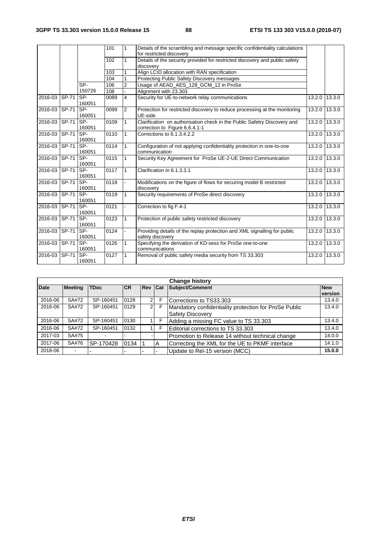|                   |              |                      | 101  | $\mathbf{1}$   | Details of the scrambling and message specific confidentiality calculations<br>for restricted discovery    |        |               |
|-------------------|--------------|----------------------|------|----------------|------------------------------------------------------------------------------------------------------------|--------|---------------|
|                   |              |                      | 102  | 1              | Details of the security provided for restricted discovery and public safety<br>discovery                   |        |               |
|                   |              |                      | 103  | 1              | Align LCID allocation with RAN specification                                                               |        |               |
|                   |              |                      | 104  | 1              | Protecting Public Safety Discovery messages                                                                |        |               |
|                   |              | SP-                  | 106  | $\overline{c}$ | Usage of AEAD_AES_128_GCM_12 in ProSe                                                                      |        |               |
|                   |              | 150726               | 108  |                | Alignment with 23.303                                                                                      |        |               |
| 2016-03           | <b>SP-71</b> | <b>SP-</b><br>160051 | 0089 | $\overline{4}$ | Security for UE-to-network relay communications                                                            | 13.2.0 | 13.3.0        |
| 2016-03 SP-71     |              | SP-<br>160051        | 0099 | 2              | Protection for restricted discovery to reduce processing at the monitoring<br>UE-side                      | 13.2.0 | 13.3.0        |
| 2016-03           | SP-71        | SP-<br>160051        | 0109 | $\mathbf{1}$   | Clarification on authorisation check in the Public Safetry Discovery and<br>correction to Figure 6.6.4.1-1 | 13.2.0 | 13.3.0        |
| 2016-03           | SP-71        | SP-<br>160051        | 0110 | $\mathbf{1}$   | Corrections to 6.1.3.4.2.2                                                                                 | 13.2.0 | 13.3.0        |
| 2016-03           | SP-71        | SP-<br>160051        | 0114 | $\mathbf{1}$   | Configuration of not applying confidentiality protection in one-to-one<br>communication                    |        | 13.2.0 13.3.0 |
| 2016-03           | SP-71        | SP-<br>160051        | 0115 | 1              | Security Key Agreement for ProSe UE-2-UE Direct Communication                                              | 13.2.0 | 13.3.0        |
| 2016-03 SP-71 SP- |              | 160051               | 0117 | $\mathbf{1}$   | Clarification in 6.1.3.3.1                                                                                 | 13.2.0 | 13.3.0        |
| 2016-03           | SP-71        | SP-<br>160051        | 0118 |                | Modifications on the figure of flows for securing model B restricted<br>discoverv                          |        | 13.2.0 13.3.0 |
| 2016-03 SP-71     |              | <b>SP-</b><br>160051 | 0119 | $\mathbf{1}$   | Security requirements of ProSe direct discovery                                                            |        | 13.2.0 13.3.0 |
| 2016-03 SP-71     |              | SP-<br>160051        | 0121 |                | Correction to fig F.4-1<br>13.2.0                                                                          |        | 13.3.0        |
| 2016-03 SP-71     |              | SP-<br>160051        | 0123 | $\mathbf{1}$   | Protection of public safety restricted discovery<br>13.2.0                                                 |        | 13.3.0        |
| 2016-03           | <b>SP-71</b> | SP-<br>160051        | 0124 |                | Providing details of the replay protection and XML signalling for public<br>13.2.0<br>safety discovery     |        | 13.3.0        |
| 2016-03           | SP-71        | SP-<br>160051        | 0126 | $\mathbf{1}$   | Specifying the derivation of KD-sess for ProSe one-to-one<br>communications                                | 13.2.0 | 13.3.0        |
| 2016-03           | SP-71        | SP-<br>160051        | 0127 | 1              | Removal of public safety media security from TS 33.303                                                     | 13.2.0 | 13.3.0        |

| <b>Change history</b> |                |             |      |                |   |                                                                                  |                       |  |  |
|-----------------------|----------------|-------------|------|----------------|---|----------------------------------------------------------------------------------|-----------------------|--|--|
| <b>Date</b>           | <b>Meeting</b> | <b>TDoc</b> | ICR. | <b>Rev Cat</b> |   | Subject/Comment                                                                  | <b>New</b><br>version |  |  |
| 2016-06               | SA#72          | SP-160451   | 0128 | $\overline{2}$ | F | Corrections to TS33.303                                                          | 13.4.0                |  |  |
| 2016-06               | SA#72          | SP-160451   | 0129 | $\overline{2}$ | F | Mandatory confidentiality protection for ProSe Public<br><b>Safety Discovery</b> | 13.4.0                |  |  |
| 2016-06               | SA#72          | SP-160451   | 0130 |                | F | Adding a missing FC value to TS 33.303                                           | 13.4.0                |  |  |
| 2016-06               | SA#72          | SP-160451   | 0132 |                |   | Editorial corrections to TS 33.303                                               | 13.4.0                |  |  |
| 2017-03               | SA#75          |             |      |                |   | Promotion to Release 14 without technical change                                 | 14.0.0                |  |  |
| 2017-06               | SA#76          | SP-170428   | 0134 |                | А | Correcting the XML for the UE to PKMF interface                                  | 14.1.0                |  |  |
| 2018-06               | ۰.             |             |      |                |   | Update to Rel-15 version (MCC)                                                   | 15.0.0                |  |  |